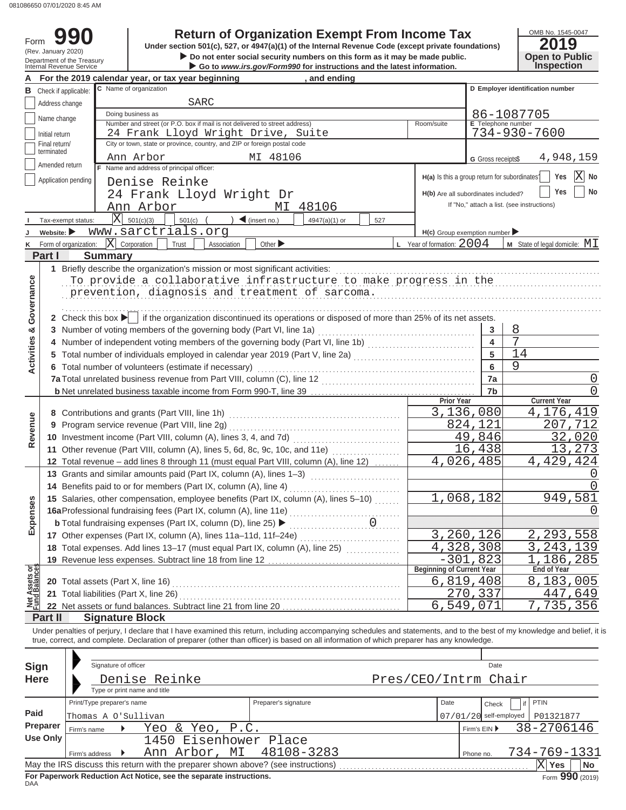(Rev. January 2020)

Form

# **990 2019 Return of Organization Exempt From Income Tax**

X **Do not enter social security numbers on this form as it may be made public. Open to Public Under section 501(c), 527, or 4947(a)(1) of the Internal Revenue Code (except private foundations)**

# OMB No. 1545-0047

|                                | Department of the Treasury<br>Internal Revenue Service |                            |                                                                                                                                                                            | Do not enter social security numbers on this form as it may be made public.<br>Go to www.irs.gov/Form990 for instructions and the latest information. |                                                   |                                               |                          | <b>Open to Public</b><br><b>Inspection</b> |
|--------------------------------|--------------------------------------------------------|----------------------------|----------------------------------------------------------------------------------------------------------------------------------------------------------------------------|-------------------------------------------------------------------------------------------------------------------------------------------------------|---------------------------------------------------|-----------------------------------------------|--------------------------|--------------------------------------------|
|                                |                                                        |                            | For the 2019 calendar year, or tax year beginning                                                                                                                          | , and ending                                                                                                                                          |                                                   |                                               |                          |                                            |
| в                              | Check if applicable:                                   |                            | C Name of organization                                                                                                                                                     |                                                                                                                                                       |                                                   |                                               |                          | D Employer identification number           |
|                                | Address change                                         |                            | SARC                                                                                                                                                                       |                                                                                                                                                       |                                                   |                                               |                          |                                            |
|                                | Name change                                            |                            | Doing business as                                                                                                                                                          |                                                                                                                                                       |                                                   |                                               |                          | 86-1087705                                 |
|                                |                                                        |                            | Number and street (or P.O. box if mail is not delivered to street address)                                                                                                 |                                                                                                                                                       |                                                   | Room/suite                                    | E Telephone number       |                                            |
|                                | Initial return<br>Final return/                        |                            | 24 Frank Lloyd Wright Drive, Suite<br>City or town, state or province, country, and ZIP or foreign postal code                                                             |                                                                                                                                                       |                                                   |                                               |                          | 734-930-7600                               |
|                                | terminated                                             |                            |                                                                                                                                                                            |                                                                                                                                                       |                                                   |                                               |                          |                                            |
|                                | Amended return                                         |                            | Ann Arbor<br>F Name and address of principal officer:                                                                                                                      | MI 48106                                                                                                                                              |                                                   |                                               | G Gross receipts\$       | 4,948,159                                  |
|                                | Application pending                                    |                            |                                                                                                                                                                            |                                                                                                                                                       |                                                   | H(a) Is this a group return for subordinates? |                          | $ {\rm X} $<br>Yes<br>No                   |
|                                |                                                        |                            | Denise Reinke                                                                                                                                                              |                                                                                                                                                       |                                                   |                                               |                          | No<br>Yes                                  |
|                                |                                                        |                            | 24 Frank Lloyd Wright Dr                                                                                                                                                   |                                                                                                                                                       |                                                   | H(b) Are all subordinates included?           |                          | If "No," attach a list. (see instructions) |
|                                |                                                        |                            | Ann Arbor                                                                                                                                                                  | MI 48106                                                                                                                                              |                                                   |                                               |                          |                                            |
|                                | Tax-exempt status:                                     |                            | $X $ 501(c)(3)<br>501(c)                                                                                                                                                   | $\sum$ (insert no.)<br>4947(a)(1) or                                                                                                                  | 527                                               |                                               |                          |                                            |
|                                | Website: $\blacktriangleright$                         |                            | www.sarctrials.org                                                                                                                                                         |                                                                                                                                                       |                                                   | $H(c)$ Group exemption number                 |                          |                                            |
| κ                              | Form of organization:                                  |                            | $ \mathbf{X} $ Corporation<br>Trust<br>Association                                                                                                                         | Other $\blacktriangleright$                                                                                                                           |                                                   | L Year of formation: $2004$                   |                          | $M$ State of legal domicile: $ML$          |
|                                | Part I                                                 | <b>Summary</b>             |                                                                                                                                                                            |                                                                                                                                                       |                                                   |                                               |                          |                                            |
|                                |                                                        |                            | 1 Briefly describe the organization's mission or most significant activities:                                                                                              |                                                                                                                                                       |                                                   |                                               |                          |                                            |
|                                |                                                        |                            | To provide a collaborative infrastructure to make progress in the                                                                                                          |                                                                                                                                                       |                                                   |                                               |                          |                                            |
|                                |                                                        |                            | prevention, diagnosis and treatment of sarcoma.                                                                                                                            |                                                                                                                                                       |                                                   |                                               |                          |                                            |
| Governance                     |                                                        |                            |                                                                                                                                                                            |                                                                                                                                                       |                                                   |                                               |                          |                                            |
|                                |                                                        |                            | 2 Check this box $\blacktriangleright$ if the organization discontinued its operations or disposed of more than 25% of its net assets.                                     |                                                                                                                                                       |                                                   |                                               |                          |                                            |
| න්                             |                                                        |                            | 3 Number of voting members of the governing body (Part VI, line 1a)                                                                                                        |                                                                                                                                                       |                                                   |                                               | 3                        | 8                                          |
| Activities                     |                                                        |                            |                                                                                                                                                                            |                                                                                                                                                       |                                                   |                                               | 4                        |                                            |
|                                |                                                        |                            | 5 Total number of individuals employed in calendar year 2019 (Part V, line 2a) [1, [1, [1, [1, [1, [1, [1, [1, [1]]                                                        |                                                                                                                                                       |                                                   |                                               | 5                        | 14                                         |
|                                |                                                        |                            | 6 Total number of volunteers (estimate if necessary)                                                                                                                       |                                                                                                                                                       |                                                   |                                               | 6                        | 9                                          |
|                                |                                                        |                            |                                                                                                                                                                            |                                                                                                                                                       |                                                   |                                               | 7a                       | U                                          |
|                                |                                                        |                            |                                                                                                                                                                            |                                                                                                                                                       |                                                   |                                               | 7b                       |                                            |
|                                |                                                        |                            |                                                                                                                                                                            |                                                                                                                                                       |                                                   | Prior Year                                    |                          | <b>Current Year</b>                        |
|                                |                                                        |                            | 8 Contributions and grants (Part VIII, line 1h)                                                                                                                            | 3,136,080                                                                                                                                             |                                                   | 4,176,419                                     |                          |                                            |
| Revenue                        |                                                        |                            | 9 Program service revenue (Part VIII, line 2g)                                                                                                                             |                                                                                                                                                       |                                                   |                                               | 824,121                  | 207,712                                    |
|                                |                                                        |                            | 10 Investment income (Part VIII, column (A), lines 3, 4, and 7d)                                                                                                           |                                                                                                                                                       |                                                   |                                               | 49,846                   | 32,020                                     |
|                                |                                                        |                            | 11 Other revenue (Part VIII, column (A), lines 5, 6d, 8c, 9c, 10c, and 11e)                                                                                                |                                                                                                                                                       |                                                   |                                               | 16,438                   | 273<br>13                                  |
|                                |                                                        |                            | 12 Total revenue - add lines 8 through 11 (must equal Part VIII, column (A), line 12)                                                                                      |                                                                                                                                                       |                                                   |                                               | 4,026,485                | 4,429,424                                  |
|                                |                                                        |                            | 13 Grants and similar amounts paid (Part IX, column (A), lines 1-3)                                                                                                        |                                                                                                                                                       | <u> 1999 - Johann Stoff, Amerikaansk kanton (</u> |                                               |                          |                                            |
|                                |                                                        |                            | 14 Benefits paid to or for members (Part IX, column (A), line 4)                                                                                                           |                                                                                                                                                       |                                                   |                                               |                          |                                            |
| nses                           |                                                        |                            | 15 Salaries, other compensation, employee benefits (Part IX, column (A), lines 5-10)                                                                                       |                                                                                                                                                       |                                                   | 1,068,182                                     |                          | 949,581                                    |
|                                |                                                        |                            | 16aProfessional fundraising fees (Part IX, column (A), line 11e)                                                                                                           |                                                                                                                                                       |                                                   |                                               |                          | O                                          |
| Exper                          |                                                        |                            | <b>b</b> Total fundraising expenses (Part IX, column (D), line 25) ▶                                                                                                       |                                                                                                                                                       | 0                                                 |                                               |                          |                                            |
|                                |                                                        |                            | 17 Other expenses (Part IX, column (A), lines 11a-11d, 11f-24e)                                                                                                            |                                                                                                                                                       |                                                   |                                               | 3,260,126                | , 293, 558                                 |
|                                |                                                        |                            | 18 Total expenses. Add lines 13-17 (must equal Part IX, column (A), line 25)                                                                                               |                                                                                                                                                       |                                                   |                                               | 4,328,308                | 243<br>,139                                |
|                                |                                                        |                            | 19 Revenue less expenses. Subtract line 18 from line 12                                                                                                                    |                                                                                                                                                       |                                                   | $-301.$                                       | 823                      | 186,285                                    |
| Net Assets or<br>Fund Balances |                                                        |                            |                                                                                                                                                                            |                                                                                                                                                       |                                                   | Beginning of Current Year                     | 6,819,408                | <b>End of Year</b><br>8,183,005            |
|                                |                                                        |                            | 21 Total liabilities (Part X, line 26)                                                                                                                                     |                                                                                                                                                       |                                                   |                                               | 270,337                  | 447,649                                    |
|                                |                                                        |                            | 22 Net assets or fund balances. Subtract line 21 from line 20                                                                                                              |                                                                                                                                                       |                                                   | 6,549,071                                     |                          | 735,356<br>7                               |
|                                | Part II                                                | <b>Signature Block</b>     |                                                                                                                                                                            |                                                                                                                                                       |                                                   |                                               |                          |                                            |
|                                |                                                        |                            | Under penalties of perjury, I declare that I have examined this return, including accompanying schedules and statements, and to the best of my knowledge and belief, it is |                                                                                                                                                       |                                                   |                                               |                          |                                            |
|                                |                                                        |                            | true, correct, and complete. Declaration of preparer (other than officer) is based on all information of which preparer has any knowledge.                                 |                                                                                                                                                       |                                                   |                                               |                          |                                            |
|                                |                                                        |                            |                                                                                                                                                                            |                                                                                                                                                       |                                                   |                                               |                          |                                            |
|                                | <b>Sign</b>                                            | Signature of officer       |                                                                                                                                                                            |                                                                                                                                                       |                                                   |                                               | Date                     |                                            |
|                                | <b>Here</b>                                            |                            | Denise Reinke                                                                                                                                                              |                                                                                                                                                       |                                                   | Pres/CEO/Intrm Chair                          |                          |                                            |
|                                |                                                        |                            | Type or print name and title                                                                                                                                               |                                                                                                                                                       |                                                   |                                               |                          |                                            |
|                                |                                                        | Print/Type preparer's name |                                                                                                                                                                            | Preparer's signature                                                                                                                                  |                                                   | Date                                          | Check                    | PTIN<br>if                                 |
| Paid                           |                                                        |                            |                                                                                                                                                                            |                                                                                                                                                       |                                                   |                                               |                          |                                            |
|                                | Preparer                                               | Thomas A O'Sullivan        |                                                                                                                                                                            |                                                                                                                                                       |                                                   |                                               | $07/01/20$ self-employed | P01321877                                  |
|                                | <b>Use Only</b>                                        | Firm's name                | P.C.<br>Yeo & Yeo,                                                                                                                                                         |                                                                                                                                                       |                                                   |                                               | Firm's EIN ▶             | 38-2706146                                 |
|                                |                                                        |                            | 1450 Eisenhower Place                                                                                                                                                      |                                                                                                                                                       |                                                   |                                               |                          |                                            |
|                                |                                                        | Firm's address<br>▸        | Ann Arbor, MI                                                                                                                                                              | 48108-3283                                                                                                                                            |                                                   |                                               | Phone no.                | 734-769-1331                               |
|                                |                                                        |                            | May the IRS discuss this return with the preparer shown above? (see instructions)                                                                                          |                                                                                                                                                       |                                                   |                                               |                          | $\overline{\mathrm{X}}$ Yes<br>No          |

| <b>Sign</b><br><b>Here</b>                                                                                                                                                                                 | Signature of officer                              | Denise Reinke<br>Type or print name and title |                          | Pres/CEO/Intrm Chair | Date                              |                            |  |  |  |  |  |
|------------------------------------------------------------------------------------------------------------------------------------------------------------------------------------------------------------|---------------------------------------------------|-----------------------------------------------|--------------------------|----------------------|-----------------------------------|----------------------------|--|--|--|--|--|
| Paid                                                                                                                                                                                                       | Print/Type preparer's name<br>Thomas A O'Sullivan |                                               | Preparer's signature     | Date                 | Check<br>$07/01/20$ self-employed | <b>PTIN</b><br>P01321877   |  |  |  |  |  |
| Preparer<br>Use Only                                                                                                                                                                                       | Firm's name<br>Firm's address                     | Yeo & Yeo, P.C.<br>1450 Eisenhower Place      | Ann Arbor, MI 48108-3283 |                      | Firm's $EIN$<br>Phone no.         | 38-2706146<br>734-769-1331 |  |  |  |  |  |
| May the IRS discuss this return with the preparer shown above? (see instructions)<br>X<br><b>No</b><br>Yes<br>Form 990 (2019)<br>For Paperwork Reduction Act Notice, see the separate instructions.<br>DAA |                                                   |                                               |                          |                      |                                   |                            |  |  |  |  |  |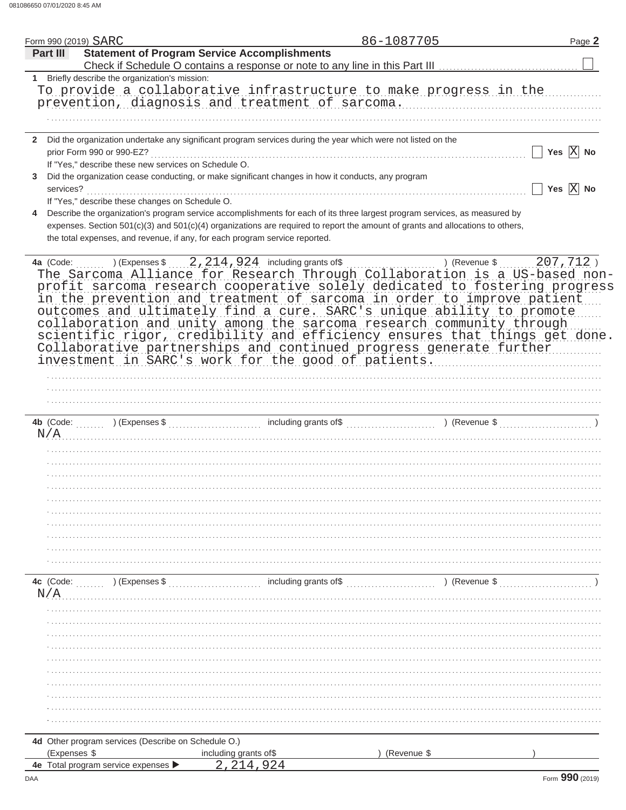| Part III  | Form 990 (2019) SARC                                 |                                                                                                                                | 86-1087705              | Page 2                |
|-----------|------------------------------------------------------|--------------------------------------------------------------------------------------------------------------------------------|-------------------------|-----------------------|
|           |                                                      | <b>Statement of Program Service Accomplishments</b>                                                                            |                         |                       |
|           |                                                      |                                                                                                                                |                         |                       |
|           | 1 Briefly describe the organization's mission:       |                                                                                                                                |                         |                       |
|           |                                                      | To provide a collaborative infrastructure to make progress in the                                                              |                         |                       |
|           |                                                      | prevention, diagnosis and treatment of sarcoma.                                                                                |                         |                       |
|           |                                                      |                                                                                                                                |                         |                       |
|           |                                                      |                                                                                                                                |                         |                       |
|           |                                                      | 2 Did the organization undertake any significant program services during the year which were not listed on the                 |                         |                       |
|           | prior Form 990 or 990-EZ?                            |                                                                                                                                |                         | Yes $\overline{X}$ No |
|           | If "Yes," describe these new services on Schedule O. |                                                                                                                                |                         |                       |
| 3         |                                                      | Did the organization cease conducting, or make significant changes in how it conducts, any program                             |                         |                       |
| services? |                                                      |                                                                                                                                |                         | Yes $\overline{X}$ No |
|           | If "Yes," describe these changes on Schedule O.      |                                                                                                                                |                         |                       |
| 4         |                                                      | Describe the organization's program service accomplishments for each of its three largest program services, as measured by     |                         |                       |
|           |                                                      | expenses. Section 501(c)(3) and 501(c)(4) organizations are required to report the amount of grants and allocations to others, |                         |                       |
|           |                                                      | the total expenses, and revenue, if any, for each program service reported.                                                    |                         |                       |
|           |                                                      |                                                                                                                                |                         |                       |
| 4a (Code: |                                                      | $(1)$ (Expenses $\frac{1}{2}$ , 214, 924 including grants of $\frac{1}{2}$                                                     | ) (Revenue \$ 207, 712) |                       |
|           |                                                      | The Sarcoma Alliance for Research Through Collaboration is a US-based non-                                                     |                         |                       |
|           |                                                      | profit sarcoma research cooperative solely dedicated to fostering progress                                                     |                         |                       |
|           |                                                      | in the prevention and treatment of sarcoma in order to improve patient                                                         |                         |                       |
|           |                                                      | outcomes and ultimately find a cure. SARC's unique ability to promote                                                          |                         |                       |
|           |                                                      | collaboration and unity among the sarcoma research community through                                                           |                         |                       |
|           |                                                      | scientific rigor, credibility and efficiency ensures that things get done.                                                     |                         |                       |
|           |                                                      | Collaborative partnerships and continued progress generate further                                                             |                         |                       |
|           |                                                      | investment in SARC's work for the good of patients.                                                                            |                         |                       |
|           |                                                      |                                                                                                                                |                         |                       |
|           |                                                      |                                                                                                                                |                         |                       |
|           |                                                      |                                                                                                                                |                         |                       |
|           |                                                      |                                                                                                                                |                         |                       |
|           |                                                      |                                                                                                                                |                         |                       |
| N/A       |                                                      |                                                                                                                                |                         |                       |
|           |                                                      |                                                                                                                                |                         |                       |
|           |                                                      |                                                                                                                                |                         |                       |
|           |                                                      |                                                                                                                                |                         |                       |
|           |                                                      |                                                                                                                                |                         |                       |
|           |                                                      |                                                                                                                                |                         |                       |
|           |                                                      |                                                                                                                                |                         |                       |
|           |                                                      |                                                                                                                                |                         |                       |
|           |                                                      |                                                                                                                                |                         |                       |
|           |                                                      |                                                                                                                                |                         |                       |
|           |                                                      |                                                                                                                                |                         |                       |
|           |                                                      |                                                                                                                                |                         |                       |
|           |                                                      |                                                                                                                                |                         |                       |
|           |                                                      |                                                                                                                                |                         |                       |
|           | 4c (Code: ) (Expenses \$                             |                                                                                                                                | ) (Revenue \$           |                       |
| N/A       |                                                      |                                                                                                                                |                         |                       |
|           |                                                      |                                                                                                                                |                         |                       |
|           |                                                      |                                                                                                                                |                         |                       |
|           |                                                      |                                                                                                                                |                         |                       |
|           |                                                      |                                                                                                                                |                         |                       |
|           |                                                      |                                                                                                                                |                         |                       |
|           |                                                      |                                                                                                                                |                         |                       |
|           |                                                      |                                                                                                                                |                         |                       |
|           |                                                      |                                                                                                                                |                         |                       |
|           |                                                      |                                                                                                                                |                         |                       |
|           |                                                      |                                                                                                                                |                         |                       |
|           |                                                      |                                                                                                                                |                         |                       |
|           | 4d Other program services (Describe on Schedule O.)  |                                                                                                                                |                         |                       |
|           | (Expenses \$                                         | including grants of\$                                                                                                          | (Revenue \$             |                       |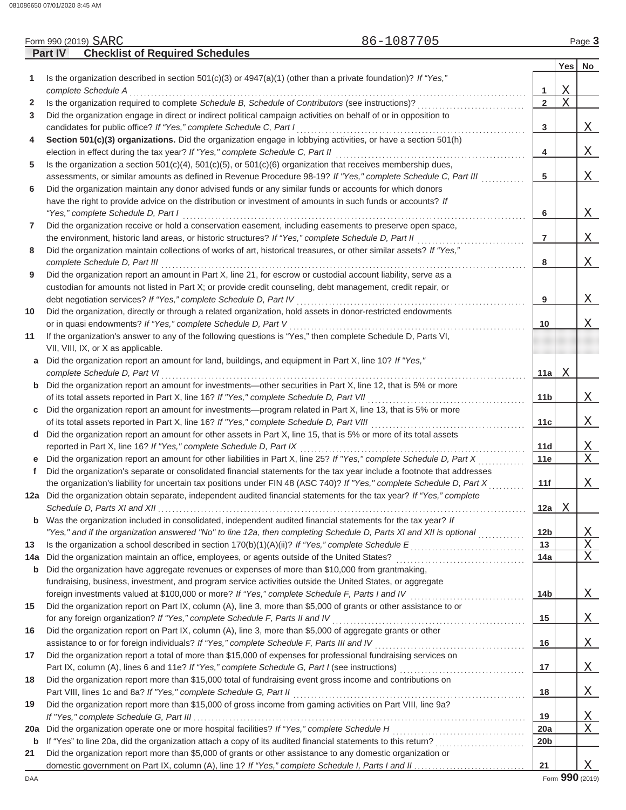|             | <b>Checklist of Required Schedules</b><br>Part IV                                                                                                                                               |                 |   |                 |
|-------------|-------------------------------------------------------------------------------------------------------------------------------------------------------------------------------------------------|-----------------|---|-----------------|
|             |                                                                                                                                                                                                 |                 |   | Yes No          |
| 1           | Is the organization described in section 501(c)(3) or $4947(a)(1)$ (other than a private foundation)? If "Yes,"                                                                                 |                 |   |                 |
|             | complete Schedule A                                                                                                                                                                             | 1               | Χ |                 |
| 2           | Is the organization required to complete Schedule B, Schedule of Contributors (see instructions)?                                                                                               | $\overline{2}$  | Χ |                 |
| 3           | Did the organization engage in direct or indirect political campaign activities on behalf of or in opposition to                                                                                |                 |   |                 |
|             | candidates for public office? If "Yes," complete Schedule C, Part I                                                                                                                             | 3               |   | Χ               |
| 4           | Section 501(c)(3) organizations. Did the organization engage in lobbying activities, or have a section 501(h)                                                                                   |                 |   |                 |
|             |                                                                                                                                                                                                 | 4               |   | Χ               |
| 5           | Is the organization a section $501(c)(4)$ , $501(c)(5)$ , or $501(c)(6)$ organization that receives membership dues,                                                                            |                 |   |                 |
|             | assessments, or similar amounts as defined in Revenue Procedure 98-19? If "Yes," complete Schedule C, Part III                                                                                  | 5               |   | Χ               |
| 6           | Did the organization maintain any donor advised funds or any similar funds or accounts for which donors                                                                                         |                 |   |                 |
|             | have the right to provide advice on the distribution or investment of amounts in such funds or accounts? If                                                                                     |                 |   |                 |
|             | "Yes," complete Schedule D, Part I                                                                                                                                                              | 6               |   | Χ               |
| 7           | Did the organization receive or hold a conservation easement, including easements to preserve open space,                                                                                       |                 |   |                 |
|             | the environment, historic land areas, or historic structures? If "Yes," complete Schedule D, Part II                                                                                            |                 |   | Χ               |
|             |                                                                                                                                                                                                 | 7               |   |                 |
| 8           | Did the organization maintain collections of works of art, historical treasures, or other similar assets? If "Yes,"                                                                             |                 |   |                 |
|             |                                                                                                                                                                                                 | 8               |   | Χ               |
| 9           | Did the organization report an amount in Part X, line 21, for escrow or custodial account liability, serve as a                                                                                 |                 |   |                 |
|             | custodian for amounts not listed in Part X; or provide credit counseling, debt management, credit repair, or                                                                                    |                 |   |                 |
|             | debt negotiation services? If "Yes," complete Schedule D, Part IV                                                                                                                               | 9               |   | Χ               |
| 10          | Did the organization, directly or through a related organization, hold assets in donor-restricted endowments                                                                                    |                 |   |                 |
|             | or in quasi endowments? If "Yes," complete Schedule D, Part V                                                                                                                                   | 10              |   | Χ               |
| 11          | If the organization's answer to any of the following questions is "Yes," then complete Schedule D, Parts VI,                                                                                    |                 |   |                 |
|             | VII, VIII, IX, or X as applicable.                                                                                                                                                              |                 |   |                 |
| a           | Did the organization report an amount for land, buildings, and equipment in Part X, line 10? If "Yes,"                                                                                          |                 |   |                 |
|             | complete Schedule D, Part VI                                                                                                                                                                    | 11a             | Χ |                 |
|             | <b>b</b> Did the organization report an amount for investments-other securities in Part X, line 12, that is 5% or more                                                                          |                 |   |                 |
|             |                                                                                                                                                                                                 | 11 <sub>b</sub> |   | Χ               |
| C           | Did the organization report an amount for investments—program related in Part X, line 13, that is 5% or more                                                                                    |                 |   |                 |
|             |                                                                                                                                                                                                 | 11c             |   | Χ               |
|             | d Did the organization report an amount for other assets in Part X, line 15, that is 5% or more of its total assets                                                                             |                 |   |                 |
|             | reported in Part X, line 16? If "Yes," complete Schedule D, Part IX                                                                                                                             | 11d             |   | Χ               |
|             | e Did the organization report an amount for other liabilities in Part X, line 25? If "Yes," complete Schedule D, Part X                                                                         | 11e             |   | X               |
| f           | Did the organization's separate or consolidated financial statements for the tax year include a footnote that addresses                                                                         |                 |   |                 |
|             | the organization's liability for uncertain tax positions under FIN 48 (ASC 740)? If "Yes," complete Schedule D, Part X                                                                          | 11f             |   | Χ               |
|             | 12a Did the organization obtain separate, independent audited financial statements for the tax year? If "Yes," complete                                                                         |                 |   |                 |
|             |                                                                                                                                                                                                 | 12a             | Χ |                 |
| $\mathbf b$ | Was the organization included in consolidated, independent audited financial statements for the tax year? If                                                                                    |                 |   |                 |
|             | "Yes," and if the organization answered "No" to line 12a, then completing Schedule D, Parts XI and XII is optional                                                                              | 12 <sub>b</sub> |   | Χ               |
| 13          |                                                                                                                                                                                                 | 13              |   | Χ               |
| 14a         | Did the organization maintain an office, employees, or agents outside of the United States? [1] [1] Did the organization maintain an office, employees, or agents outside of the United States? | 14a             |   | Χ               |
| b           | Did the organization have aggregate revenues or expenses of more than \$10,000 from grantmaking,                                                                                                |                 |   |                 |
|             | fundraising, business, investment, and program service activities outside the United States, or aggregate                                                                                       |                 |   |                 |
|             | foreign investments valued at \$100,000 or more? If "Yes," complete Schedule F, Parts I and IV [[[[[[[[[[[[[[[                                                                                  | 14b             |   | Χ               |
| 15          | Did the organization report on Part IX, column (A), line 3, more than \$5,000 of grants or other assistance to or                                                                               |                 |   |                 |
|             | for any foreign organization? If "Yes," complete Schedule F, Parts II and IV                                                                                                                    | 15              |   | Χ               |
| 16          | Did the organization report on Part IX, column (A), line 3, more than \$5,000 of aggregate grants or other                                                                                      |                 |   |                 |
|             | assistance to or for foreign individuals? If "Yes," complete Schedule F, Parts III and IV                                                                                                       | 16              |   | Χ               |
| 17          | Did the organization report a total of more than \$15,000 of expenses for professional fundraising services on                                                                                  |                 |   |                 |
|             |                                                                                                                                                                                                 | 17              |   | Χ               |
| 18          | Did the organization report more than \$15,000 total of fundraising event gross income and contributions on                                                                                     |                 |   |                 |
|             | Part VIII, lines 1c and 8a? If "Yes," complete Schedule G, Part II                                                                                                                              | 18              |   | Χ               |
| 19          | Did the organization report more than \$15,000 of gross income from gaming activities on Part VIII, line 9a?                                                                                    |                 |   |                 |
|             |                                                                                                                                                                                                 | 19              |   | Χ               |
| <b>20a</b>  |                                                                                                                                                                                                 | 20a             |   | Χ               |
| b           |                                                                                                                                                                                                 | 20 <sub>b</sub> |   |                 |
| 21          | Did the organization report more than \$5,000 of grants or other assistance to any domestic organization or                                                                                     |                 |   |                 |
|             |                                                                                                                                                                                                 | 21              |   | X               |
| DAA         |                                                                                                                                                                                                 |                 |   | Form 990 (2019) |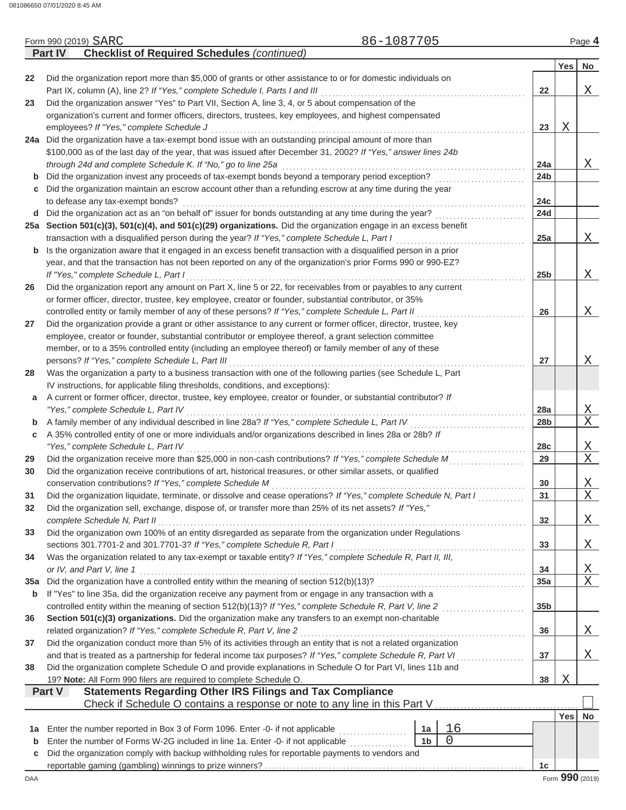|             | <b>Checklist of Required Schedules (continued)</b><br>Part IV                                                                                           |                 |            |                          |
|-------------|---------------------------------------------------------------------------------------------------------------------------------------------------------|-----------------|------------|--------------------------|
|             |                                                                                                                                                         |                 | <b>Yes</b> | <b>No</b>                |
| 22          | Did the organization report more than \$5,000 of grants or other assistance to or for domestic individuals on                                           |                 |            |                          |
|             |                                                                                                                                                         | 22              |            | Χ                        |
| 23          | Did the organization answer "Yes" to Part VII, Section A, line 3, 4, or 5 about compensation of the                                                     |                 |            |                          |
|             | organization's current and former officers, directors, trustees, key employees, and highest compensated                                                 |                 |            |                          |
|             | employees? If "Yes," complete Schedule J                                                                                                                | 23              | Χ          |                          |
|             | 24a Did the organization have a tax-exempt bond issue with an outstanding principal amount of more than                                                 |                 |            |                          |
|             | \$100,000 as of the last day of the year, that was issued after December 31, 2002? If "Yes," answer lines 24b                                           |                 |            |                          |
|             | through 24d and complete Schedule K. If "No," go to line 25a                                                                                            | 24a             |            | X                        |
| b           | Did the organization invest any proceeds of tax-exempt bonds beyond a temporary period exception?                                                       | 24 <sub>b</sub> |            |                          |
|             | Did the organization maintain an escrow account other than a refunding escrow at any time during the year                                               |                 |            |                          |
| c           |                                                                                                                                                         | 24c             |            |                          |
|             | to defease any tax-exempt bonds?                                                                                                                        |                 |            |                          |
|             | d Did the organization act as an "on behalf of" issuer for bonds outstanding at any time during the year?                                               | 24d             |            |                          |
|             | 25a Section 501(c)(3), 501(c)(4), and 501(c)(29) organizations. Did the organization engage in an excess benefit                                        |                 |            |                          |
|             | transaction with a disqualified person during the year? If "Yes," complete Schedule L, Part I                                                           | 25a             |            | Χ                        |
| b           | Is the organization aware that it engaged in an excess benefit transaction with a disqualified person in a prior                                        |                 |            |                          |
|             | year, and that the transaction has not been reported on any of the organization's prior Forms 990 or 990-EZ?                                            |                 |            |                          |
|             | If "Yes," complete Schedule L, Part I                                                                                                                   | 25 <sub>b</sub> |            | Χ                        |
| 26          | Did the organization report any amount on Part X, line 5 or 22, for receivables from or payables to any current                                         |                 |            |                          |
|             | or former officer, director, trustee, key employee, creator or founder, substantial contributor, or 35%                                                 |                 |            |                          |
|             | controlled entity or family member of any of these persons? If "Yes," complete Schedule L, Part II                                                      | 26              |            | Χ                        |
| 27          | Did the organization provide a grant or other assistance to any current or former officer, director, trustee, key                                       |                 |            |                          |
|             | employee, creator or founder, substantial contributor or employee thereof, a grant selection committee                                                  |                 |            |                          |
|             | member, or to a 35% controlled entity (including an employee thereof) or family member of any of these                                                  |                 |            |                          |
|             | persons? If "Yes," complete Schedule L, Part III                                                                                                        | 27              |            | Χ                        |
| 28          | Was the organization a party to a business transaction with one of the following parties (see Schedule L, Part                                          |                 |            |                          |
|             | IV instructions, for applicable filing thresholds, conditions, and exceptions):                                                                         |                 |            |                          |
| a           | A current or former officer, director, trustee, key employee, creator or founder, or substantial contributor? If                                        |                 |            |                          |
|             | "Yes," complete Schedule L, Part IV                                                                                                                     | 28a             |            | Χ                        |
| $\mathbf b$ | A family member of any individual described in line 28a? If "Yes," complete Schedule L, Part IV                                                         | 28b             |            | $\mathbf{X}$             |
| С           | A 35% controlled entity of one or more individuals and/or organizations described in lines 28a or 28b? If                                               |                 |            |                          |
|             | "Yes," complete Schedule L, Part IV                                                                                                                     | 28 <sub>c</sub> |            | Χ                        |
| 29          | Did the organization receive more than \$25,000 in non-cash contributions? If "Yes," complete Schedule M                                                | 29              |            | $\mathbf X$              |
| 30          | Did the organization receive contributions of art, historical treasures, or other similar assets, or qualified                                          |                 |            |                          |
|             | conservation contributions? If "Yes," complete Schedule M                                                                                               | 30              |            | Χ                        |
| 31          | Did the organization liquidate, terminate, or dissolve and cease operations? If "Yes," complete Schedule N, Part I                                      | 31              |            | X                        |
| 32          | Did the organization sell, exchange, dispose of, or transfer more than 25% of its net assets? If "Yes,"                                                 |                 |            |                          |
|             | complete Schedule N, Part II                                                                                                                            | 32              |            | Χ                        |
| 33          | Did the organization own 100% of an entity disregarded as separate from the organization under Regulations                                              |                 |            |                          |
|             | sections 301.7701-2 and 301.7701-3? If "Yes," complete Schedule R, Part I                                                                               | 33              |            | Χ                        |
|             | Was the organization related to any tax-exempt or taxable entity? If "Yes," complete Schedule R, Part II, III,                                          |                 |            |                          |
| 34          |                                                                                                                                                         | 34              |            |                          |
|             | or IV, and Part V, line 1                                                                                                                               |                 |            | <u>X</u><br>$\mathbf{X}$ |
| 35a         |                                                                                                                                                         | 35a             |            |                          |
| b           | If "Yes" to line 35a, did the organization receive any payment from or engage in any transaction with a                                                 |                 |            |                          |
|             |                                                                                                                                                         | 35 <sub>b</sub> |            |                          |
| 36          | Section 501(c)(3) organizations. Did the organization make any transfers to an exempt non-charitable                                                    |                 |            |                          |
|             | related organization? If "Yes," complete Schedule R, Part V, line 2                                                                                     | 36              |            | Χ                        |
| 37          | Did the organization conduct more than 5% of its activities through an entity that is not a related organization                                        |                 |            |                          |
|             | and that is treated as a partnership for federal income tax purposes? If "Yes," complete Schedule R, Part VI<br>.                                       | 37              |            | X                        |
| 38          | Did the organization complete Schedule O and provide explanations in Schedule O for Part VI, lines 11b and                                              |                 |            |                          |
|             | 19? Note: All Form 990 filers are required to complete Schedule O.                                                                                      | 38              | Χ          |                          |
|             | <b>Statements Regarding Other IRS Filings and Tax Compliance</b><br><b>Part V</b>                                                                       |                 |            |                          |
|             | Check if Schedule O contains a response or note to any line in this Part V.                                                                             |                 |            |                          |
|             |                                                                                                                                                         |                 | Yes        | No                       |
| 1a          | 16<br>Enter the number reported in Box 3 of Form 1096. Enter -0- if not applicable<br>1a                                                                |                 |            |                          |
| b           | $\Omega$<br>Enter the number of Forms W-2G included in line 1a. Enter -0- if not applicable [1] [1] [1] [1] Enter the number of Forms<br>1 <sub>b</sub> |                 |            |                          |
| с           | Did the organization comply with backup withholding rules for reportable payments to vendors and                                                        |                 |            |                          |
|             |                                                                                                                                                         | 1c              |            |                          |
| DAA         |                                                                                                                                                         |                 |            | Form 990 (2019)          |

Form 990 (2019) SARC **Page 4 120 and 2019 Page 4 86-1087705 Page 4** SARC 86-1087705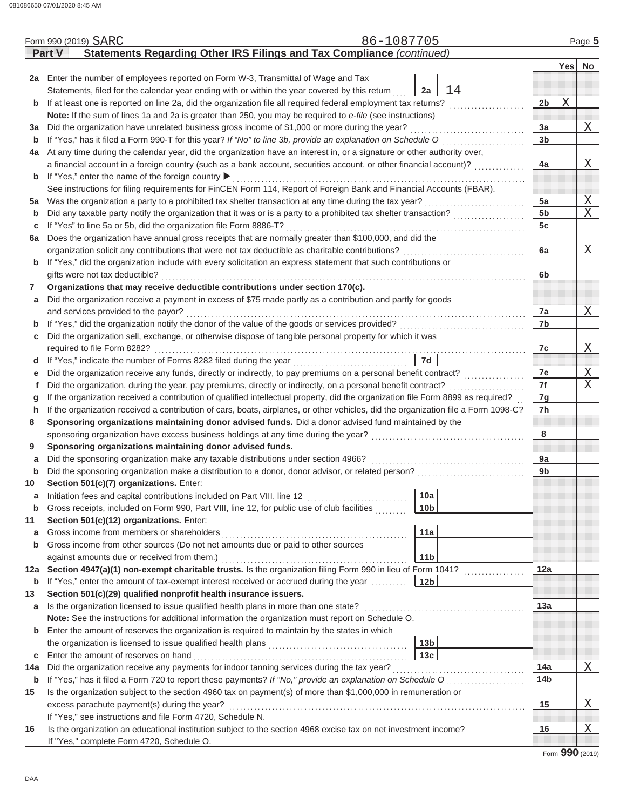|             |                                                                                                                                    | Form 990 (2019) SARC                                                                                                                         | 86-1087705 |                        |                |   | Page 5                  |  |  |  |
|-------------|------------------------------------------------------------------------------------------------------------------------------------|----------------------------------------------------------------------------------------------------------------------------------------------|------------|------------------------|----------------|---|-------------------------|--|--|--|
|             | <b>Part V</b>                                                                                                                      | Statements Regarding Other IRS Filings and Tax Compliance (continued)                                                                        |            |                        |                |   |                         |  |  |  |
|             |                                                                                                                                    |                                                                                                                                              |            |                        |                |   | Yes No                  |  |  |  |
|             |                                                                                                                                    | 2a Enter the number of employees reported on Form W-3, Transmittal of Wage and Tax                                                           |            |                        |                |   |                         |  |  |  |
|             |                                                                                                                                    | Statements, filed for the calendar year ending with or within the year covered by this return                                                |            | 14<br>2a               |                |   |                         |  |  |  |
| b           |                                                                                                                                    | If at least one is reported on line 2a, did the organization file all required federal employment tax returns?                               |            |                        | 2 <sub>b</sub> | X |                         |  |  |  |
|             |                                                                                                                                    | Note: If the sum of lines 1a and 2a is greater than 250, you may be required to e-file (see instructions)                                    |            |                        |                |   |                         |  |  |  |
| За          |                                                                                                                                    | Did the organization have unrelated business gross income of \$1,000 or more during the year?                                                |            |                        | 3a             |   | Χ                       |  |  |  |
| b           |                                                                                                                                    | If "Yes," has it filed a Form 990-T for this year? If "No" to line 3b, provide an explanation on Schedule O                                  |            |                        | 3 <sub>b</sub> |   |                         |  |  |  |
| 4a          |                                                                                                                                    | At any time during the calendar year, did the organization have an interest in, or a signature or other authority over,                      |            |                        |                |   |                         |  |  |  |
|             |                                                                                                                                    | a financial account in a foreign country (such as a bank account, securities account, or other financial account)?                           |            |                        | 4a             |   | Χ                       |  |  |  |
| b           |                                                                                                                                    | If "Yes," enter the name of the foreign country ▶                                                                                            |            |                        |                |   |                         |  |  |  |
|             |                                                                                                                                    | See instructions for filing requirements for FinCEN Form 114, Report of Foreign Bank and Financial Accounts (FBAR).                          |            |                        |                |   |                         |  |  |  |
| 5а          |                                                                                                                                    |                                                                                                                                              |            |                        | 5a             |   | $\overline{\mathrm{X}}$ |  |  |  |
| b           |                                                                                                                                    |                                                                                                                                              |            |                        | 5 <sub>b</sub> |   | Χ                       |  |  |  |
| с           |                                                                                                                                    | If "Yes" to line 5a or 5b, did the organization file Form 8886-T?                                                                            |            |                        | 5c             |   |                         |  |  |  |
| 6а          |                                                                                                                                    | Does the organization have annual gross receipts that are normally greater than \$100,000, and did the                                       |            |                        |                |   |                         |  |  |  |
|             |                                                                                                                                    | organization solicit any contributions that were not tax deductible as charitable contributions?                                             |            |                        | 6a             |   | Χ                       |  |  |  |
| b           | If "Yes," did the organization include with every solicitation an express statement that such contributions or                     |                                                                                                                                              |            |                        |                |   |                         |  |  |  |
|             |                                                                                                                                    | gifts were not tax deductible?                                                                                                               |            |                        | 6b             |   |                         |  |  |  |
| 7           |                                                                                                                                    | Organizations that may receive deductible contributions under section 170(c).                                                                |            |                        |                |   |                         |  |  |  |
| а           |                                                                                                                                    | Did the organization receive a payment in excess of \$75 made partly as a contribution and partly for goods                                  |            |                        |                |   |                         |  |  |  |
|             |                                                                                                                                    | and services provided to the payor?                                                                                                          |            |                        | 7a             |   | Χ                       |  |  |  |
| b           |                                                                                                                                    | If "Yes," did the organization notify the donor of the value of the goods or services provided?                                              |            |                        | 7b             |   |                         |  |  |  |
| С           |                                                                                                                                    | Did the organization sell, exchange, or otherwise dispose of tangible personal property for which it was                                     |            |                        |                |   |                         |  |  |  |
|             |                                                                                                                                    |                                                                                                                                              |            |                        | 7c             |   | Χ                       |  |  |  |
| d           | 7d<br>If "Yes," indicate the number of Forms 8282 filed during the year<br>[[[[[[[[[[[[[]]]]]                                      |                                                                                                                                              |            |                        |                |   |                         |  |  |  |
| е           | Did the organization receive any funds, directly or indirectly, to pay premiums on a personal benefit contract?                    |                                                                                                                                              |            |                        |                |   |                         |  |  |  |
| f           | Did the organization, during the year, pay premiums, directly or indirectly, on a personal benefit contract?                       |                                                                                                                                              |            |                        |                |   |                         |  |  |  |
| g           | If the organization received a contribution of qualified intellectual property, did the organization file Form 8899 as required?   |                                                                                                                                              |            |                        |                |   |                         |  |  |  |
| h           | If the organization received a contribution of cars, boats, airplanes, or other vehicles, did the organization file a Form 1098-C? |                                                                                                                                              |            |                        |                |   |                         |  |  |  |
| 8           |                                                                                                                                    | Sponsoring organizations maintaining donor advised funds. Did a donor advised fund maintained by the                                         |            |                        |                |   |                         |  |  |  |
|             |                                                                                                                                    | sponsoring organization have excess business holdings at any time during the year?                                                           |            |                        | 8              |   |                         |  |  |  |
| 9           |                                                                                                                                    | Sponsoring organizations maintaining donor advised funds.                                                                                    |            |                        |                |   |                         |  |  |  |
| а           |                                                                                                                                    | Did the sponsoring organization make any taxable distributions under section 4966?                                                           |            |                        | 9a             |   |                         |  |  |  |
| b           |                                                                                                                                    | Did the sponsoring organization make a distribution to a donor, donor advisor, or related person?<br>Section 501(c)(7) organizations. Enter: |            |                        | 9 <sub>b</sub> |   |                         |  |  |  |
| 10          |                                                                                                                                    |                                                                                                                                              |            |                        |                |   |                         |  |  |  |
| a<br>b      |                                                                                                                                    | Gross receipts, included on Form 990, Part VIII, line 12, for public use of club facilities                                                  |            | 10a<br>10 <sub>b</sub> |                |   |                         |  |  |  |
|             |                                                                                                                                    | Section 501(c)(12) organizations. Enter:                                                                                                     |            |                        |                |   |                         |  |  |  |
| 11<br>a     |                                                                                                                                    |                                                                                                                                              |            | 11a                    |                |   |                         |  |  |  |
| b           |                                                                                                                                    | Gross income from other sources (Do not net amounts due or paid to other sources                                                             |            |                        |                |   |                         |  |  |  |
|             |                                                                                                                                    | against amounts due or received from them.)                                                                                                  |            | 11 <sub>b</sub>        |                |   |                         |  |  |  |
| 12a         |                                                                                                                                    | Section 4947(a)(1) non-exempt charitable trusts. Is the organization filing Form 990 in lieu of Form 1041?                                   |            |                        | 12a            |   |                         |  |  |  |
| b           |                                                                                                                                    | If "Yes," enter the amount of tax-exempt interest received or accrued during the year                                                        |            | 12 <sub>b</sub>        |                |   |                         |  |  |  |
| 13          |                                                                                                                                    | Section 501(c)(29) qualified nonprofit health insurance issuers.                                                                             |            |                        |                |   |                         |  |  |  |
| а           |                                                                                                                                    | Is the organization licensed to issue qualified health plans in more than one state?                                                         |            |                        | 13a            |   |                         |  |  |  |
|             |                                                                                                                                    | Note: See the instructions for additional information the organization must report on Schedule O.                                            |            |                        |                |   |                         |  |  |  |
| $\mathbf b$ |                                                                                                                                    | Enter the amount of reserves the organization is required to maintain by the states in which                                                 |            |                        |                |   |                         |  |  |  |
|             |                                                                                                                                    |                                                                                                                                              |            | 13 <sub>b</sub>        |                |   |                         |  |  |  |
| с           |                                                                                                                                    | Enter the amount of reserves on hand                                                                                                         |            | 13 <sub>c</sub>        |                |   |                         |  |  |  |
| 14a         |                                                                                                                                    |                                                                                                                                              |            |                        | 14a            |   | Χ                       |  |  |  |
| b           |                                                                                                                                    | If "Yes," has it filed a Form 720 to report these payments? If "No," provide an explanation on Schedule O                                    |            |                        | 14b            |   |                         |  |  |  |
| 15          |                                                                                                                                    | Is the organization subject to the section 4960 tax on payment(s) of more than \$1,000,000 in remuneration or                                |            |                        |                |   |                         |  |  |  |
|             |                                                                                                                                    | excess parachute payment(s) during the year?                                                                                                 |            |                        | 15             |   | Χ                       |  |  |  |
|             |                                                                                                                                    | If "Yes," see instructions and file Form 4720, Schedule N.                                                                                   |            |                        |                |   |                         |  |  |  |
| 16          |                                                                                                                                    | Is the organization an educational institution subject to the section 4968 excise tax on net investment income?                              |            |                        | 16             |   | Χ                       |  |  |  |
|             |                                                                                                                                    | If "Yes," complete Form 4720, Schedule O.                                                                                                    |            |                        |                |   |                         |  |  |  |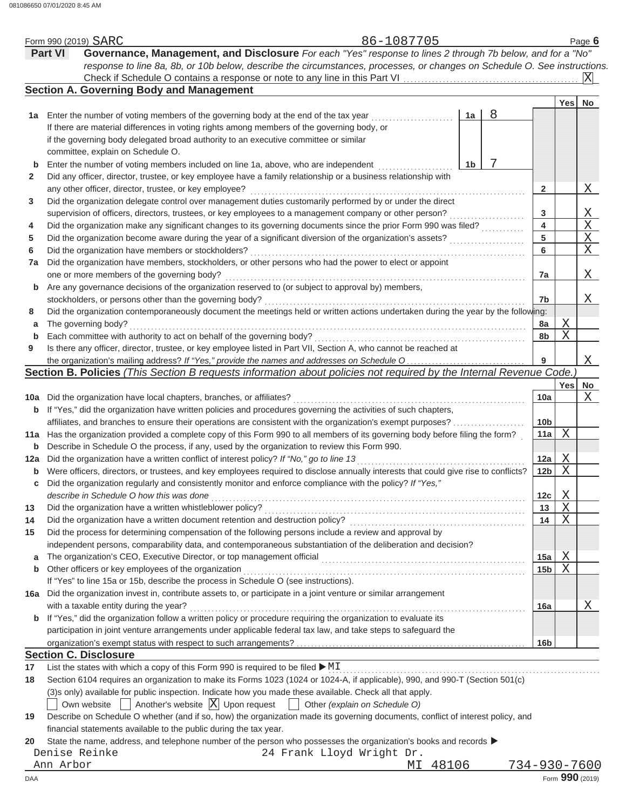|     | Form 990 (2019) SARC |                                                                                                                                     |                                      |                           | 86-1087705                    |          |    |   |                 |            | Page 6                |
|-----|----------------------|-------------------------------------------------------------------------------------------------------------------------------------|--------------------------------------|---------------------------|-------------------------------|----------|----|---|-----------------|------------|-----------------------|
|     | <b>Part VI</b>       | Governance, Management, and Disclosure For each "Yes" response to lines 2 through 7b below, and for a "No"                          |                                      |                           |                               |          |    |   |                 |            |                       |
|     |                      | response to line 8a, 8b, or 10b below, describe the circumstances, processes, or changes on Schedule O. See instructions.           |                                      |                           |                               |          |    |   |                 |            |                       |
|     |                      |                                                                                                                                     |                                      |                           |                               |          |    |   |                 |            | X                     |
|     |                      | <b>Section A. Governing Body and Management</b>                                                                                     |                                      |                           |                               |          |    |   |                 |            |                       |
|     |                      |                                                                                                                                     |                                      |                           |                               |          |    |   |                 | <b>Yes</b> | No                    |
|     |                      | 1a Enter the number of voting members of the governing body at the end of the tax year                                              |                                      |                           |                               |          | 1a | 8 |                 |            |                       |
|     |                      | If there are material differences in voting rights among members of the governing body, or                                          |                                      |                           |                               |          |    |   |                 |            |                       |
|     |                      | if the governing body delegated broad authority to an executive committee or similar                                                |                                      |                           |                               |          |    |   |                 |            |                       |
|     |                      | committee, explain on Schedule O.                                                                                                   |                                      |                           |                               |          |    |   |                 |            |                       |
| b   |                      | Enter the number of voting members included on line 1a, above, who are independent                                                  |                                      |                           |                               |          | 1b |   |                 |            |                       |
| 2   |                      | Did any officer, director, trustee, or key employee have a family relationship or a business relationship with                      |                                      |                           |                               |          |    |   |                 |            |                       |
|     |                      | any other officer, director, trustee, or key employee?                                                                              |                                      |                           |                               |          |    |   | $\mathbf{2}$    |            | Χ                     |
| 3   |                      | Did the organization delegate control over management duties customarily performed by or under the direct                           |                                      |                           |                               |          |    |   |                 |            |                       |
|     |                      | supervision of officers, directors, trustees, or key employees to a management company or other person?                             |                                      |                           |                               |          |    |   | 3               |            | X                     |
| 4   |                      | Did the organization make any significant changes to its governing documents since the prior Form 990 was filed?                    |                                      |                           |                               |          |    |   | 4               |            | $\overline{\text{X}}$ |
| 5   |                      | Did the organization become aware during the year of a significant diversion of the organization's assets?                          |                                      |                           |                               |          |    |   | 5               |            | $\overline{\text{X}}$ |
| 6   |                      | Did the organization have members or stockholders?                                                                                  |                                      |                           |                               |          |    |   | 6               |            | $\overline{X}$        |
| 7a  |                      | Did the organization have members, stockholders, or other persons who had the power to elect or appoint                             |                                      |                           |                               |          |    |   |                 |            |                       |
|     |                      | one or more members of the governing body?                                                                                          |                                      |                           |                               |          |    |   | 7a              |            | Χ                     |
| b   |                      | Are any governance decisions of the organization reserved to (or subject to approval by) members,                                   |                                      |                           |                               |          |    |   |                 |            |                       |
|     |                      | stockholders, or persons other than the governing body?                                                                             |                                      |                           |                               |          |    |   | 7b              |            | Χ                     |
| 8   |                      | Did the organization contemporaneously document the meetings held or written actions undertaken during the year by the following:   |                                      |                           |                               |          |    |   |                 |            |                       |
| a   |                      | The governing body?                                                                                                                 |                                      |                           |                               |          |    |   | 8a              | Χ          |                       |
| b   |                      | Each committee with authority to act on behalf of the governing body?                                                               |                                      |                           |                               |          |    |   | 8b              | X          |                       |
| 9   |                      | Is there any officer, director, trustee, or key employee listed in Part VII, Section A, who cannot be reached at                    |                                      |                           |                               |          |    |   |                 |            |                       |
|     |                      |                                                                                                                                     |                                      |                           |                               |          |    |   | 9               |            | Χ                     |
|     |                      | Section B. Policies (This Section B requests information about policies not required by the Internal Revenue Code.)                 |                                      |                           |                               |          |    |   |                 |            |                       |
|     |                      |                                                                                                                                     |                                      |                           |                               |          |    |   |                 | Yesl       | No                    |
|     |                      | 10a Did the organization have local chapters, branches, or affiliates?                                                              |                                      |                           |                               |          |    |   | 10a             |            | Χ                     |
| b   |                      | If "Yes," did the organization have written policies and procedures governing the activities of such chapters,                      |                                      |                           |                               |          |    |   |                 |            |                       |
|     |                      | affiliates, and branches to ensure their operations are consistent with the organization's exempt purposes?                         |                                      |                           |                               |          |    |   | 10 <sub>b</sub> |            |                       |
|     |                      | 11a Has the organization provided a complete copy of this Form 990 to all members of its governing body before filing the form?     |                                      |                           |                               |          |    |   | 11a             | X          |                       |
| b   |                      | Describe in Schedule O the process, if any, used by the organization to review this Form 990.                                       |                                      |                           |                               |          |    |   |                 |            |                       |
| 12a |                      | Did the organization have a written conflict of interest policy? If "No," go to line 13                                             |                                      |                           |                               |          |    |   | 12a             | Χ          |                       |
| b   |                      | Were officers, directors, or trustees, and key employees required to disclose annually interests that could give rise to conflicts? |                                      |                           |                               |          |    |   | 12 <sub>b</sub> | X          |                       |
| С   |                      | Did the organization regularly and consistently monitor and enforce compliance with the policy? If "Yes,"                           |                                      |                           |                               |          |    |   |                 |            |                       |
|     |                      | describe in Schedule O how this was done                                                                                            |                                      |                           |                               |          |    |   | 12c             | Χ          |                       |
| 13  |                      | Did the organization have a written whistleblower policy?                                                                           |                                      |                           |                               |          |    |   | 13              | Χ          |                       |
| 14  |                      | Did the organization have a written document retention and destruction policy?                                                      |                                      |                           |                               |          |    |   | 14              | X          |                       |
| 15  |                      | Did the process for determining compensation of the following persons include a review and approval by                              |                                      |                           |                               |          |    |   |                 |            |                       |
|     |                      | independent persons, comparability data, and contemporaneous substantiation of the deliberation and decision?                       |                                      |                           |                               |          |    |   |                 |            |                       |
| a   |                      |                                                                                                                                     |                                      |                           |                               |          |    |   | 15a             | Χ          |                       |
| b   |                      | Other officers or key employees of the organization                                                                                 |                                      |                           |                               |          |    |   | 15 <sub>b</sub> | X          |                       |
|     |                      | If "Yes" to line 15a or 15b, describe the process in Schedule O (see instructions).                                                 |                                      |                           |                               |          |    |   |                 |            |                       |
|     |                      | 16a Did the organization invest in, contribute assets to, or participate in a joint venture or similar arrangement                  |                                      |                           |                               |          |    |   |                 |            |                       |
|     |                      | with a taxable entity during the year?                                                                                              |                                      |                           |                               |          |    |   | 16a             |            | Χ                     |
|     |                      | <b>b</b> If "Yes," did the organization follow a written policy or procedure requiring the organization to evaluate its             |                                      |                           |                               |          |    |   |                 |            |                       |
|     |                      | participation in joint venture arrangements under applicable federal tax law, and take steps to safeguard the                       |                                      |                           |                               |          |    |   |                 |            |                       |
|     |                      |                                                                                                                                     |                                      |                           |                               |          |    |   | 16 <sub>b</sub> |            |                       |
|     |                      | <b>Section C. Disclosure</b>                                                                                                        |                                      |                           |                               |          |    |   |                 |            |                       |
|     |                      |                                                                                                                                     |                                      |                           |                               |          |    |   |                 |            |                       |
| 17  |                      | List the states with which a copy of this Form 990 is required to be filed ▶ MI                                                     |                                      |                           |                               |          |    |   |                 |            |                       |
| 18  |                      | Section 6104 requires an organization to make its Forms 1023 (1024 or 1024-A, if applicable), 990, and 990-T (Section 501(c)        |                                      |                           |                               |          |    |   |                 |            |                       |
|     |                      | (3) s only) available for public inspection. Indicate how you made these available. Check all that apply.                           |                                      |                           |                               |          |    |   |                 |            |                       |
|     |                      | Own website                                                                                                                         | Another's website $ X $ Upon request |                           | Other (explain on Schedule O) |          |    |   |                 |            |                       |
| 19  |                      | Describe on Schedule O whether (and if so, how) the organization made its governing documents, conflict of interest policy, and     |                                      |                           |                               |          |    |   |                 |            |                       |
|     |                      | financial statements available to the public during the tax year.                                                                   |                                      |                           |                               |          |    |   |                 |            |                       |
| 20  |                      | State the name, address, and telephone number of the person who possesses the organization's books and records ▶                    |                                      |                           |                               |          |    |   |                 |            |                       |
|     | Denise Reinke        |                                                                                                                                     |                                      | 24 Frank Lloyd Wright Dr. |                               |          |    |   |                 |            |                       |
|     | Ann Arbor            |                                                                                                                                     |                                      |                           |                               | MI 48106 |    |   | 734-930-7600    |            |                       |
| DAA |                      |                                                                                                                                     |                                      |                           |                               |          |    |   |                 |            | Form 990 (2019)       |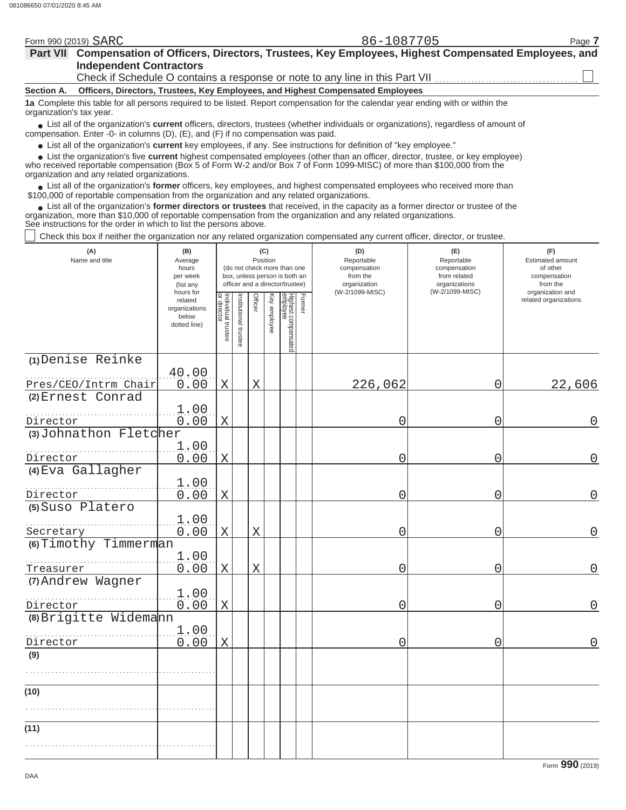|                          | Form 990 (2019) SARC                                                                                                                                                   | 86-1087705                                                                                                                                    | Page 7 |
|--------------------------|------------------------------------------------------------------------------------------------------------------------------------------------------------------------|-----------------------------------------------------------------------------------------------------------------------------------------------|--------|
|                          |                                                                                                                                                                        | Part VII Compensation of Officers, Directors, Trustees, Key Employees, Highest Compensated Employees, and                                     |        |
|                          | <b>Independent Contractors</b>                                                                                                                                         |                                                                                                                                               |        |
|                          |                                                                                                                                                                        | Check if Schedule O contains a response or note to any line in this Part VII                                                                  |        |
| Section A.               | Officers, Directors, Trustees, Key Employees, and Highest Compensated Employees                                                                                        |                                                                                                                                               |        |
| organization's tax year. | 1a Complete this table for all persons required to be listed. Report compensation for the calendar year ending with or within the                                      |                                                                                                                                               |        |
|                          | compensation. Enter -0- in columns $(D)$ , $(E)$ , and $(F)$ if no compensation was paid.                                                                              | • List all of the organization's <b>current</b> officers, directors, trustees (whether individuals or organizations), regardless of amount of |        |
|                          | • List all of the organization's current key employees, if any. See instructions for definition of "key employee."                                                     |                                                                                                                                               |        |
|                          | who received reportable compensation (Box 5 of Form W-2 and/or Box 7 of Form 1099-MISC) of more than \$100,000 from the<br>organization and any related organizations. | • List the organization's five current highest compensated employees (other than an officer, director, trustee, or key employee)              |        |
|                          | \$100,000 of reportable compensation from the organization and any related organizations.                                                                              | List all of the organization's former officers, key employees, and highest compensated employees who received more than                       |        |
|                          |                                                                                                                                                                        |                                                                                                                                               |        |

List all of the organization's **former directors or trustees** that received, in the capacity as a former director or trustee of the organization, more than \$10,000 of reportable compensation from the organization and any related organizations. See instructions for the order in which to list the persons above. **•**

Check this box if neither the organization nor any related organization compensated any current officer, director, or trustee.

| (A)<br>Name and title                     | (B)<br>Average<br>hours<br>per week<br>(list any<br>hours for |                                   |                       |             | (C)<br>Position | (do not check more than one<br>box, unless person is both an<br>officer and a director/trustee) | (D)<br>Reportable<br>compensation<br>from the<br>organization<br>(W-2/1099-MISC) | (E)<br>Reportable<br>compensation<br>from related<br>organizations<br>(W-2/1099-MISC) | (F)<br>Estimated amount<br>of other<br>compensation<br>from the<br>organization and |
|-------------------------------------------|---------------------------------------------------------------|-----------------------------------|-----------------------|-------------|-----------------|-------------------------------------------------------------------------------------------------|----------------------------------------------------------------------------------|---------------------------------------------------------------------------------------|-------------------------------------------------------------------------------------|
|                                           | related<br>organizations<br>below<br>dotted line)             | Individual trustee<br>or director | Institutional trustee | Officer     | Key employee    | Highest compensated<br>employee<br>Former                                                       |                                                                                  |                                                                                       | related organizations                                                               |
| (1) Denise Reinke<br>Pres/CEO/Intrm Chair | 40.00<br>0.00                                                 | $\mathbf X$                       |                       | $\rm X$     |                 |                                                                                                 | 226,062                                                                          | 0                                                                                     | 22,606                                                                              |
| (2) Ernest Conrad                         | 1.00                                                          |                                   |                       |             |                 |                                                                                                 |                                                                                  |                                                                                       |                                                                                     |
| Director<br>(3) Johnathon Fletcher        | 0.00                                                          | Χ                                 |                       |             |                 |                                                                                                 | 0                                                                                | 0                                                                                     | 0                                                                                   |
| Director                                  | 1.00<br>0.00                                                  | Χ                                 |                       |             |                 |                                                                                                 | 0                                                                                | 0                                                                                     | 0                                                                                   |
| (4) Eva Gallagher                         | 1.00                                                          |                                   |                       |             |                 |                                                                                                 |                                                                                  |                                                                                       |                                                                                     |
| Director<br>(5) Suso Platero              | 0.00<br>1.00                                                  | X                                 |                       |             |                 |                                                                                                 | 0                                                                                | 0                                                                                     | 0                                                                                   |
| Secretary<br>(6) Timothy Timmerman        | 0.00                                                          | X                                 |                       | $\mathbf X$ |                 |                                                                                                 | 0                                                                                | 0                                                                                     | 0                                                                                   |
| Treasurer                                 | 1.00<br>0.00                                                  | $\mathbf X$                       |                       | X           |                 |                                                                                                 | 0                                                                                | 0                                                                                     | 0                                                                                   |
| (7) Andrew Wagner<br>Director             | 1.00<br>0.00                                                  | $\mathbf X$                       |                       |             |                 |                                                                                                 | 0                                                                                | 0                                                                                     | 0                                                                                   |
| (8) Brigitte Widemann                     | 1.00                                                          |                                   |                       |             |                 |                                                                                                 |                                                                                  |                                                                                       |                                                                                     |
| Director<br>(9)                           | 0.00                                                          | $\mathbf X$                       |                       |             |                 |                                                                                                 | 0                                                                                | 0                                                                                     | 0                                                                                   |
|                                           |                                                               |                                   |                       |             |                 |                                                                                                 |                                                                                  |                                                                                       |                                                                                     |
| (10)                                      |                                                               |                                   |                       |             |                 |                                                                                                 |                                                                                  |                                                                                       |                                                                                     |
| (11)                                      |                                                               |                                   |                       |             |                 |                                                                                                 |                                                                                  |                                                                                       |                                                                                     |
|                                           |                                                               |                                   |                       |             |                 |                                                                                                 |                                                                                  |                                                                                       |                                                                                     |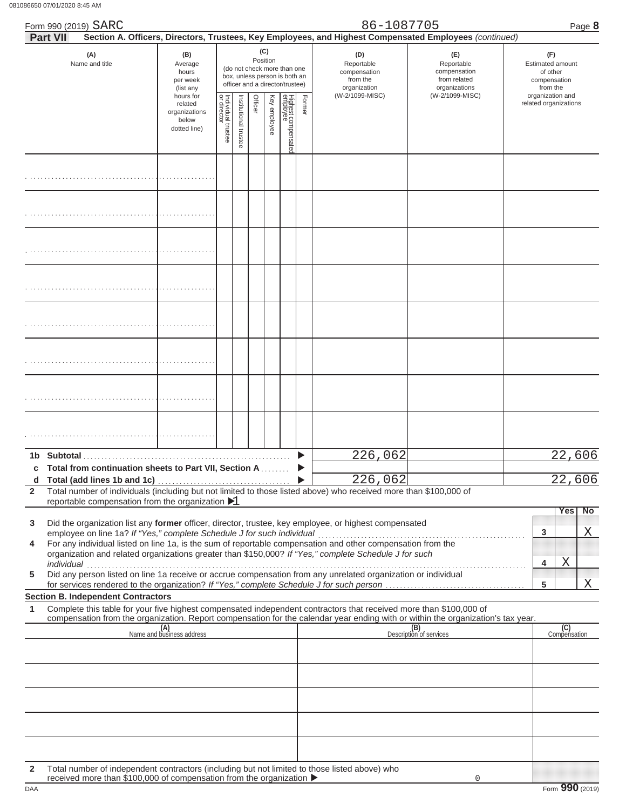| 86650 07/01/2020 8:45 AM                                                                                                                                                                                                                                                                                                                                                                                                                                                    |                                                                                                                    |                                   |                      |         |                                 |                                                                                                                                    |        |                                                                                  |                                                                                                                                                                                                 |                                                                                                                     |
|-----------------------------------------------------------------------------------------------------------------------------------------------------------------------------------------------------------------------------------------------------------------------------------------------------------------------------------------------------------------------------------------------------------------------------------------------------------------------------|--------------------------------------------------------------------------------------------------------------------|-----------------------------------|----------------------|---------|---------------------------------|------------------------------------------------------------------------------------------------------------------------------------|--------|----------------------------------------------------------------------------------|-------------------------------------------------------------------------------------------------------------------------------------------------------------------------------------------------|---------------------------------------------------------------------------------------------------------------------|
| Form 990 (2019) SARC                                                                                                                                                                                                                                                                                                                                                                                                                                                        |                                                                                                                    |                                   |                      |         |                                 |                                                                                                                                    |        | 86-1087705                                                                       |                                                                                                                                                                                                 | Page 8                                                                                                              |
| <b>Part VII</b><br>(A)<br>Name and title                                                                                                                                                                                                                                                                                                                                                                                                                                    | (B)<br>Average<br>hours<br>per week<br>(list any<br>hours for<br>related<br>organizations<br>below<br>dotted line) | Individual trustee<br>or director | nstitutional trustee | Officer | (C)<br>Position<br>Key employee | (do not check more than one<br>box, unless person is both an<br>officer and a director/trustee)<br>Highest compensated<br>employee | Former | (D)<br>Reportable<br>compensation<br>from the<br>organization<br>(W-2/1099-MISC) | Section A. Officers, Directors, Trustees, Key Employees, and Highest Compensated Employees (continued)<br>(E)<br>Reportable<br>compensation<br>from related<br>organizations<br>(W-2/1099-MISC) | (F)<br><b>Estimated amount</b><br>of other<br>compensation<br>from the<br>organization and<br>related organizations |
|                                                                                                                                                                                                                                                                                                                                                                                                                                                                             |                                                                                                                    |                                   |                      |         |                                 |                                                                                                                                    |        |                                                                                  |                                                                                                                                                                                                 |                                                                                                                     |
|                                                                                                                                                                                                                                                                                                                                                                                                                                                                             |                                                                                                                    |                                   |                      |         |                                 |                                                                                                                                    |        |                                                                                  |                                                                                                                                                                                                 |                                                                                                                     |
|                                                                                                                                                                                                                                                                                                                                                                                                                                                                             |                                                                                                                    |                                   |                      |         |                                 |                                                                                                                                    |        |                                                                                  |                                                                                                                                                                                                 |                                                                                                                     |
|                                                                                                                                                                                                                                                                                                                                                                                                                                                                             |                                                                                                                    |                                   |                      |         |                                 |                                                                                                                                    |        |                                                                                  |                                                                                                                                                                                                 |                                                                                                                     |
|                                                                                                                                                                                                                                                                                                                                                                                                                                                                             |                                                                                                                    |                                   |                      |         |                                 |                                                                                                                                    |        |                                                                                  |                                                                                                                                                                                                 |                                                                                                                     |
|                                                                                                                                                                                                                                                                                                                                                                                                                                                                             |                                                                                                                    |                                   |                      |         |                                 |                                                                                                                                    |        |                                                                                  |                                                                                                                                                                                                 |                                                                                                                     |
|                                                                                                                                                                                                                                                                                                                                                                                                                                                                             |                                                                                                                    |                                   |                      |         |                                 |                                                                                                                                    |        |                                                                                  |                                                                                                                                                                                                 |                                                                                                                     |
|                                                                                                                                                                                                                                                                                                                                                                                                                                                                             |                                                                                                                    |                                   |                      |         |                                 |                                                                                                                                    |        |                                                                                  |                                                                                                                                                                                                 |                                                                                                                     |
| Total from continuation sheets to Part VII, Section A<br>c<br>Total (add lines 1b and 1c)<br>d                                                                                                                                                                                                                                                                                                                                                                              |                                                                                                                    |                                   |                      |         |                                 |                                                                                                                                    |        | 226,062<br>226,062                                                               |                                                                                                                                                                                                 | 22,606<br>22,606                                                                                                    |
| Total number of individuals (including but not limited to those listed above) who received more than \$100,000 of<br>$\mathbf{2}$<br>reportable compensation from the organization $\blacktriangleright$ 1                                                                                                                                                                                                                                                                  |                                                                                                                    |                                   |                      |         |                                 |                                                                                                                                    |        |                                                                                  |                                                                                                                                                                                                 |                                                                                                                     |
| Did the organization list any former officer, director, trustee, key employee, or highest compensated<br>3<br>For any individual listed on line 1a, is the sum of reportable compensation and other compensation from the<br>4<br>organization and related organizations greater than \$150,000? If "Yes," complete Schedule J for such<br>individual<br>Did any person listed on line 1a receive or accrue compensation from any unrelated organization or individual<br>5 |                                                                                                                    |                                   |                      |         |                                 |                                                                                                                                    |        |                                                                                  |                                                                                                                                                                                                 | Yes I<br><b>No</b><br>3<br>Χ<br>Χ<br>4<br>Χ<br>5                                                                    |
| <b>Section B. Independent Contractors</b><br>Complete this table for your five highest compensated independent contractors that received more than \$100,000 of<br>1                                                                                                                                                                                                                                                                                                        |                                                                                                                    |                                   |                      |         |                                 |                                                                                                                                    |        |                                                                                  |                                                                                                                                                                                                 |                                                                                                                     |
| compensation from the organization. Report compensation for the calendar year ending with or within the organization's tax year.                                                                                                                                                                                                                                                                                                                                            | (A)<br>Name and business address                                                                                   |                                   |                      |         |                                 |                                                                                                                                    |        |                                                                                  | (B)<br>Description of services                                                                                                                                                                  | (C)<br>Compensation                                                                                                 |

|    | reportable compensation from the organization $\blacktriangleright$ 1                                                                                                                                                  |       |    |
|----|------------------------------------------------------------------------------------------------------------------------------------------------------------------------------------------------------------------------|-------|----|
|    |                                                                                                                                                                                                                        | res i | No |
| 3. | Did the organization list any former officer, director, trustee, key employee, or highest compensated<br>employee on line 1a? If "Yes," complete Schedule J for such individual                                        |       |    |
|    | 4 For any individual listed on line 1a, is the sum of reportable compensation and other compensation from the<br>organization and related organizations greater than \$150,000? If "Yes," complete Schedule J for such |       |    |
|    | individual                                                                                                                                                                                                             |       |    |
| 5. | Did any person listed on line 1a receive or accrue compensation from any unrelated organization or individual<br>for services rendered to the organization? If "Yes," complete Schedule J for such person              |       |    |
|    |                                                                                                                                                                                                                        |       |    |

## **Section B. Independent Contractors**

|              | (A)<br>Name and business address                                                                                                                                                       | (B)<br>Description of services | (C)<br>Compensation |
|--------------|----------------------------------------------------------------------------------------------------------------------------------------------------------------------------------------|--------------------------------|---------------------|
|              |                                                                                                                                                                                        |                                |                     |
|              |                                                                                                                                                                                        |                                |                     |
|              |                                                                                                                                                                                        |                                |                     |
|              |                                                                                                                                                                                        |                                |                     |
|              |                                                                                                                                                                                        |                                |                     |
| $\mathbf{2}$ | Total number of independent contractors (including but not limited to those listed above) who received more than \$100,000 of compensation from the organization $\blacktriangleright$ |                                |                     |

DAA Form **990** (2019) on from the organization **i**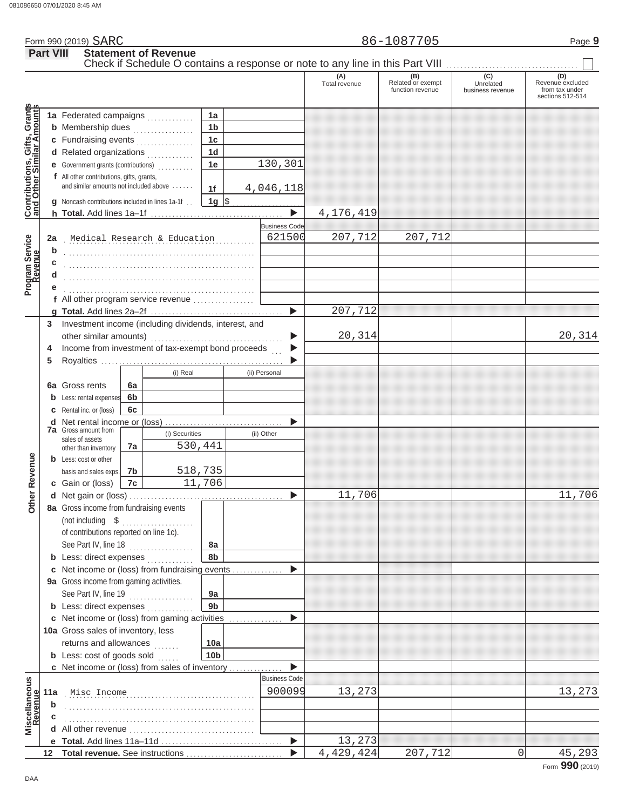|                  | Form 990 (2019) SARC                                                                                         |     | 86-1087705 |     | Page 9 |
|------------------|--------------------------------------------------------------------------------------------------------------|-----|------------|-----|--------|
| <b>Part VIII</b> | <b>Statement of Revenue</b><br>Check if Schedule O contains a response or note to any line in this Part VIII |     |            |     |        |
|                  |                                                                                                              | (A) |            | (C) |        |

|                                                                  |                                                                                     |                |                              |                 |                       |             | function revenue | business revenue | from tax under<br>sections 512-514 |
|------------------------------------------------------------------|-------------------------------------------------------------------------------------|----------------|------------------------------|-----------------|-----------------------|-------------|------------------|------------------|------------------------------------|
|                                                                  | 1a Federated campaigns                                                              |                |                              | 1a              |                       |             |                  |                  |                                    |
|                                                                  | <b>b</b> Membership dues                                                            |                |                              | 1 <sub>b</sub>  |                       |             |                  |                  |                                    |
|                                                                  | c Fundraising events                                                                |                |                              | 1 <sub>c</sub>  |                       |             |                  |                  |                                    |
|                                                                  | d Related organizations                                                             |                |                              | 1 <sub>d</sub>  |                       |             |                  |                  |                                    |
|                                                                  | e Government grants (contributions)<br>                                             |                |                              | 1e              | 130,301               |             |                  |                  |                                    |
| <b>Contributions, Gifts, Grants</b><br>and Other Similar Amounts | f All other contributions, gifts, grants,<br>and similar amounts not included above |                |                              | 1f              | 4,046,118             |             |                  |                  |                                    |
|                                                                  | g Noncash contributions included in lines 1a-1f.                                    |                |                              | $1g$ \$         |                       |             |                  |                  |                                    |
|                                                                  |                                                                                     |                |                              |                 | $\blacktriangleright$ | 4,176,419   |                  |                  |                                    |
|                                                                  |                                                                                     |                |                              |                 | <b>Business Code</b>  |             |                  |                  |                                    |
| 2a                                                               |                                                                                     |                | Medical Research & Education |                 | 621500                | 207,712     | 207,712          |                  |                                    |
| b                                                                |                                                                                     |                |                              |                 |                       |             |                  |                  |                                    |
| Program Service<br>Revenue                                       |                                                                                     |                |                              |                 |                       |             |                  |                  |                                    |
|                                                                  |                                                                                     |                |                              |                 |                       |             |                  |                  |                                    |
|                                                                  |                                                                                     |                |                              |                 |                       |             |                  |                  |                                    |
|                                                                  | f All other program service revenue                                                 |                |                              |                 |                       |             |                  |                  |                                    |
|                                                                  |                                                                                     |                |                              |                 |                       | 207,712     |                  |                  |                                    |
| 3                                                                | Investment income (including dividends, interest, and                               |                |                              |                 |                       |             |                  |                  |                                    |
|                                                                  |                                                                                     |                |                              |                 |                       | 20,314      |                  |                  | 20,314                             |
| 4                                                                | Income from investment of tax-exempt bond proceeds                                  |                |                              |                 |                       |             |                  |                  |                                    |
| 5                                                                |                                                                                     |                |                              |                 |                       |             |                  |                  |                                    |
|                                                                  |                                                                                     |                | (i) Real                     |                 | (ii) Personal         |             |                  |                  |                                    |
|                                                                  | <b>6a</b> Gross rents                                                               | 6a             |                              |                 |                       |             |                  |                  |                                    |
| b                                                                | Less: rental expenses                                                               | 6 <sub>b</sub> |                              |                 |                       |             |                  |                  |                                    |
| c                                                                | Rental inc. or (loss)                                                               | 6c             |                              |                 |                       |             |                  |                  |                                    |
| d                                                                | <b>7a</b> Gross amount from                                                         |                |                              |                 |                       |             |                  |                  |                                    |
|                                                                  | sales of assets                                                                     |                | (i) Securities<br>530,441    |                 | (ii) Other            |             |                  |                  |                                    |
|                                                                  | other than inventory                                                                | 7a             |                              |                 |                       |             |                  |                  |                                    |
|                                                                  | <b>b</b> Less: cost or other                                                        | 7b             | 518,735                      |                 |                       |             |                  |                  |                                    |
| Other Revenue                                                    | basis and sales exps.<br>c Gain or (loss)                                           | 7c             |                              | 11,706          |                       |             |                  |                  |                                    |
|                                                                  |                                                                                     |                |                              |                 | ▶                     | 11,706      |                  |                  | 11,706                             |
|                                                                  | 8a Gross income from fundraising events                                             |                |                              |                 |                       |             |                  |                  |                                    |
|                                                                  | (not including \$                                                                   |                |                              |                 |                       |             |                  |                  |                                    |
|                                                                  | of contributions reported on line 1c).                                              |                |                              |                 |                       |             |                  |                  |                                    |
|                                                                  | See Part IV, line 18                                                                |                |                              | 8a              |                       |             |                  |                  |                                    |
|                                                                  | <b>b</b> Less: direct expenses <i>minimum</i>                                       |                | .                            | 8b              |                       |             |                  |                  |                                    |
|                                                                  | c Net income or (loss) from fundraising events                                      |                |                              |                 |                       |             |                  |                  |                                    |
|                                                                  | 9a Gross income from gaming activities.                                             |                |                              |                 |                       |             |                  |                  |                                    |
|                                                                  | See Part IV, line 19                                                                |                |                              | 9a              |                       |             |                  |                  |                                    |
|                                                                  | <b>b</b> Less: direct expenses <i>minimum</i>                                       |                |                              | 9 <sub>b</sub>  |                       |             |                  |                  |                                    |
|                                                                  | c Net income or (loss) from gaming activities                                       |                |                              |                 |                       |             |                  |                  |                                    |
|                                                                  | 10a Gross sales of inventory, less                                                  |                |                              |                 |                       |             |                  |                  |                                    |
|                                                                  | returns and allowances                                                              |                |                              | 10a             |                       |             |                  |                  |                                    |
|                                                                  | <b>b</b> Less: cost of goods sold                                                   |                | a sa sala                    | 10 <sub>b</sub> |                       |             |                  |                  |                                    |
|                                                                  | c Net income or (loss) from sales of inventory                                      |                |                              |                 |                       |             |                  |                  |                                    |
|                                                                  |                                                                                     |                |                              |                 | <b>Business Code</b>  |             |                  |                  |                                    |
| 11a                                                              | Misc Income                                                                         |                |                              |                 | 900099                | 13,273      |                  |                  | 13,273                             |
| Miscellaneous<br>Revenue<br>b                                    |                                                                                     |                |                              |                 |                       |             |                  |                  |                                    |
|                                                                  |                                                                                     |                |                              |                 |                       |             |                  |                  |                                    |
|                                                                  | All other revenue                                                                   |                |                              |                 |                       |             |                  |                  |                                    |
|                                                                  |                                                                                     |                |                              |                 | ▶                     | 13,273      |                  |                  |                                    |
| 12                                                               | Total revenue. See instructions                                                     |                |                              |                 |                       | 4, 429, 424 | 207,712          | 0                | 45,293<br>Form $990(2019)$         |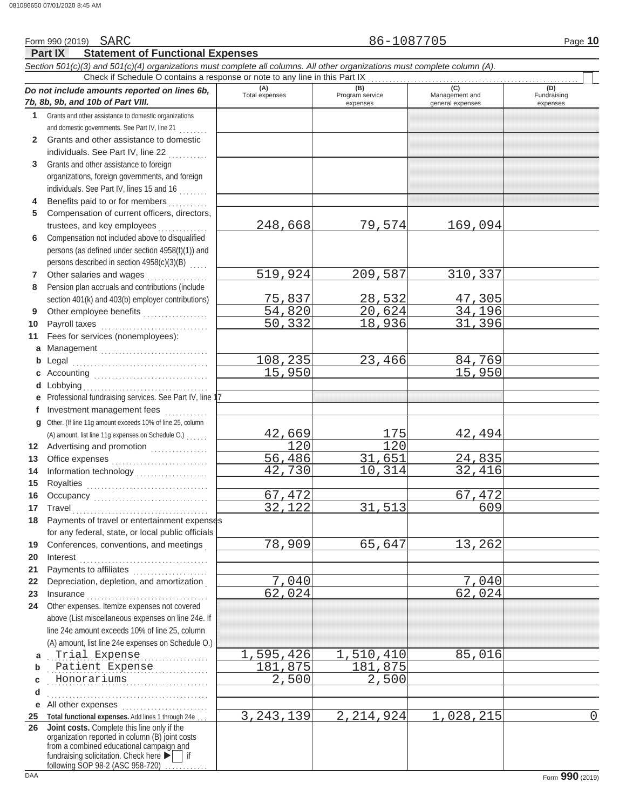|              | Form 990 (2019) SARC                                                                                                                                                                                                                                                                                                                                                                                                                                                                                     |                              | 86-1087705             |                       | Page 10            |
|--------------|----------------------------------------------------------------------------------------------------------------------------------------------------------------------------------------------------------------------------------------------------------------------------------------------------------------------------------------------------------------------------------------------------------------------------------------------------------------------------------------------------------|------------------------------|------------------------|-----------------------|--------------------|
|              | <b>Statement of Functional Expenses</b><br><b>Part IX</b>                                                                                                                                                                                                                                                                                                                                                                                                                                                |                              |                        |                       |                    |
|              | Section 501(c)(3) and 501(c)(4) organizations must complete all columns. All other organizations must complete column (A).                                                                                                                                                                                                                                                                                                                                                                               |                              |                        |                       |                    |
|              | Check if Schedule O contains a response or note to any line in this Part IX                                                                                                                                                                                                                                                                                                                                                                                                                              |                              |                        |                       |                    |
|              | Do not include amounts reported on lines 6b,                                                                                                                                                                                                                                                                                                                                                                                                                                                             | (A)<br><b>Total expenses</b> | (B)<br>Program service | (C)<br>Management and | (D)<br>Fundraising |
|              | 7b, 8b, 9b, and 10b of Part VIII.                                                                                                                                                                                                                                                                                                                                                                                                                                                                        |                              | expenses               | general expenses      | expenses           |
| 1.           | Grants and other assistance to domestic organizations                                                                                                                                                                                                                                                                                                                                                                                                                                                    |                              |                        |                       |                    |
|              | and domestic governments. See Part IV, line 21                                                                                                                                                                                                                                                                                                                                                                                                                                                           |                              |                        |                       |                    |
| $\mathbf{2}$ | Grants and other assistance to domestic                                                                                                                                                                                                                                                                                                                                                                                                                                                                  |                              |                        |                       |                    |
|              | individuals. See Part IV, line 22                                                                                                                                                                                                                                                                                                                                                                                                                                                                        |                              |                        |                       |                    |
| 3            | Grants and other assistance to foreign                                                                                                                                                                                                                                                                                                                                                                                                                                                                   |                              |                        |                       |                    |
|              | organizations, foreign governments, and foreign                                                                                                                                                                                                                                                                                                                                                                                                                                                          |                              |                        |                       |                    |
|              | individuals. See Part IV, lines 15 and 16                                                                                                                                                                                                                                                                                                                                                                                                                                                                |                              |                        |                       |                    |
| 4            | Benefits paid to or for members                                                                                                                                                                                                                                                                                                                                                                                                                                                                          |                              |                        |                       |                    |
| 5            | Compensation of current officers, directors,                                                                                                                                                                                                                                                                                                                                                                                                                                                             |                              |                        |                       |                    |
|              | trustees, and key employees                                                                                                                                                                                                                                                                                                                                                                                                                                                                              | 248,668                      | 79,574                 | 169,094               |                    |
| 6            | Compensation not included above to disqualified                                                                                                                                                                                                                                                                                                                                                                                                                                                          |                              |                        |                       |                    |
|              | persons (as defined under section 4958(f)(1)) and                                                                                                                                                                                                                                                                                                                                                                                                                                                        |                              |                        |                       |                    |
|              | persons described in section 4958(c)(3)(B)                                                                                                                                                                                                                                                                                                                                                                                                                                                               |                              |                        |                       |                    |
| 7            | Other salaries and wages                                                                                                                                                                                                                                                                                                                                                                                                                                                                                 | 519,924                      | 209,587                | 310,337               |                    |
| 8            | Pension plan accruals and contributions (include                                                                                                                                                                                                                                                                                                                                                                                                                                                         |                              |                        |                       |                    |
|              | section 401(k) and 403(b) employer contributions)                                                                                                                                                                                                                                                                                                                                                                                                                                                        | 75,837                       | 28,532                 | 47,305                |                    |
| 9            | Other employee benefits                                                                                                                                                                                                                                                                                                                                                                                                                                                                                  | 54,820                       | 20,624                 | 34,196                |                    |
|              |                                                                                                                                                                                                                                                                                                                                                                                                                                                                                                          | 50, 332                      | 18,936                 | 31,396                |                    |
| 10           | Payroll taxes                                                                                                                                                                                                                                                                                                                                                                                                                                                                                            |                              |                        |                       |                    |
| 11           | Fees for services (nonemployees):                                                                                                                                                                                                                                                                                                                                                                                                                                                                        |                              |                        |                       |                    |
|              | a Management                                                                                                                                                                                                                                                                                                                                                                                                                                                                                             |                              |                        |                       |                    |
|              | <b>b</b> Legal                                                                                                                                                                                                                                                                                                                                                                                                                                                                                           | 108,235                      | 23,466                 | 84,769                |                    |
| с            |                                                                                                                                                                                                                                                                                                                                                                                                                                                                                                          | 15,950                       |                        | 15,950                |                    |
| d            | Lobbying                                                                                                                                                                                                                                                                                                                                                                                                                                                                                                 |                              |                        |                       |                    |
| е            | Professional fundraising services. See Part IV, line                                                                                                                                                                                                                                                                                                                                                                                                                                                     |                              |                        |                       |                    |
| f            | Investment management fees                                                                                                                                                                                                                                                                                                                                                                                                                                                                               |                              |                        |                       |                    |
|              | g Other. (If line 11g amount exceeds 10% of line 25, column                                                                                                                                                                                                                                                                                                                                                                                                                                              |                              |                        |                       |                    |
|              | (A) amount, list line 11g expenses on Schedule O.)                                                                                                                                                                                                                                                                                                                                                                                                                                                       | 42,669                       | 175                    | 42,494                |                    |
|              | 12 Advertising and promotion                                                                                                                                                                                                                                                                                                                                                                                                                                                                             | $\overline{120}$             | $\overline{120}$       |                       |                    |
| 13           |                                                                                                                                                                                                                                                                                                                                                                                                                                                                                                          | 56,486                       | 31,651                 | 24,835                |                    |
| 14           |                                                                                                                                                                                                                                                                                                                                                                                                                                                                                                          | $\overline{42,730}$          | 10,314                 | 32,416                |                    |
| 15           |                                                                                                                                                                                                                                                                                                                                                                                                                                                                                                          |                              |                        |                       |                    |
|              | Occupancy                                                                                                                                                                                                                                                                                                                                                                                                                                                                                                | 67,472                       |                        | 67,472                |                    |
| 17           | Travel                                                                                                                                                                                                                                                                                                                                                                                                                                                                                                   | 32,122                       | 31,513                 | 609                   |                    |
|              | 18 Payments of travel or entertainment expenses                                                                                                                                                                                                                                                                                                                                                                                                                                                          |                              |                        |                       |                    |
|              | for any federal, state, or local public officials                                                                                                                                                                                                                                                                                                                                                                                                                                                        |                              |                        |                       |                    |
| 19           | Conferences, conventions, and meetings                                                                                                                                                                                                                                                                                                                                                                                                                                                                   | 78,909                       | 65,647                 | 13,262                |                    |
| 20           | Interest                                                                                                                                                                                                                                                                                                                                                                                                                                                                                                 |                              |                        |                       |                    |
| 21           | Payments to affiliates [11] [11] Dayments to affiliates                                                                                                                                                                                                                                                                                                                                                                                                                                                  |                              |                        |                       |                    |
| 22           | Depreciation, depletion, and amortization                                                                                                                                                                                                                                                                                                                                                                                                                                                                | 7,040                        |                        | 7,040                 |                    |
| 23           | $In \textbf{surance} \begin{tabular}{@{}l@{}} \hline \textbf{unsum} & \textbf{unsum} \\ \hline \textbf{unsum} & \textbf{unsum} \\ \hline \textbf{unsum} & \textbf{unsum} \\ \hline \textbf{unsum} & \textbf{unsum} \\ \hline \textbf{unsum} & \textbf{unsum} \\ \hline \textbf{unsum} & \textbf{unsum} \\ \hline \textbf{unsum} & \textbf{unsum} \\ \hline \textbf{unsum} & \textbf{unsum} \\ \hline \textbf{unsum} & \textbf{unsum} \\ \hline \textbf{unsum} & \textbf{unsum} \\ \hline \textbf{unsum}$ | 62,024                       |                        | 62,024                |                    |
| 24           | Other expenses. Itemize expenses not covered                                                                                                                                                                                                                                                                                                                                                                                                                                                             |                              |                        |                       |                    |
|              | above (List miscellaneous expenses on line 24e. If                                                                                                                                                                                                                                                                                                                                                                                                                                                       |                              |                        |                       |                    |
|              | line 24e amount exceeds 10% of line 25, column                                                                                                                                                                                                                                                                                                                                                                                                                                                           |                              |                        |                       |                    |
|              | (A) amount, list line 24e expenses on Schedule O.)                                                                                                                                                                                                                                                                                                                                                                                                                                                       |                              |                        |                       |                    |
| a            | Trial Expense                                                                                                                                                                                                                                                                                                                                                                                                                                                                                            | 1,595,426                    | 1,510,410              | 85,016                |                    |
| b            | Patient Expense                                                                                                                                                                                                                                                                                                                                                                                                                                                                                          | 181,875                      | 181,875                |                       |                    |
|              | Honorariums                                                                                                                                                                                                                                                                                                                                                                                                                                                                                              | 2,500                        | 2,500                  |                       |                    |
| С            | .                                                                                                                                                                                                                                                                                                                                                                                                                                                                                                        |                              |                        |                       |                    |
| d            |                                                                                                                                                                                                                                                                                                                                                                                                                                                                                                          |                              |                        |                       |                    |
|              | e All other expenses                                                                                                                                                                                                                                                                                                                                                                                                                                                                                     |                              |                        |                       |                    |
| 25           | Total functional expenses. Add lines 1 through 24e.                                                                                                                                                                                                                                                                                                                                                                                                                                                      | 3, 243, 139                  | 2, 214, 924            | 1,028,215             | $\mathbf 0$        |
| 26           | Joint costs. Complete this line only if the<br>organization reported in column (B) joint costs                                                                                                                                                                                                                                                                                                                                                                                                           |                              |                        |                       |                    |
|              | from a combined educational campaign and                                                                                                                                                                                                                                                                                                                                                                                                                                                                 |                              |                        |                       |                    |
|              | fundraising solicitation. Check here ▶   if                                                                                                                                                                                                                                                                                                                                                                                                                                                              |                              |                        |                       |                    |
|              | following SOP 98-2 (ASC 958-720)                                                                                                                                                                                                                                                                                                                                                                                                                                                                         |                              |                        |                       |                    |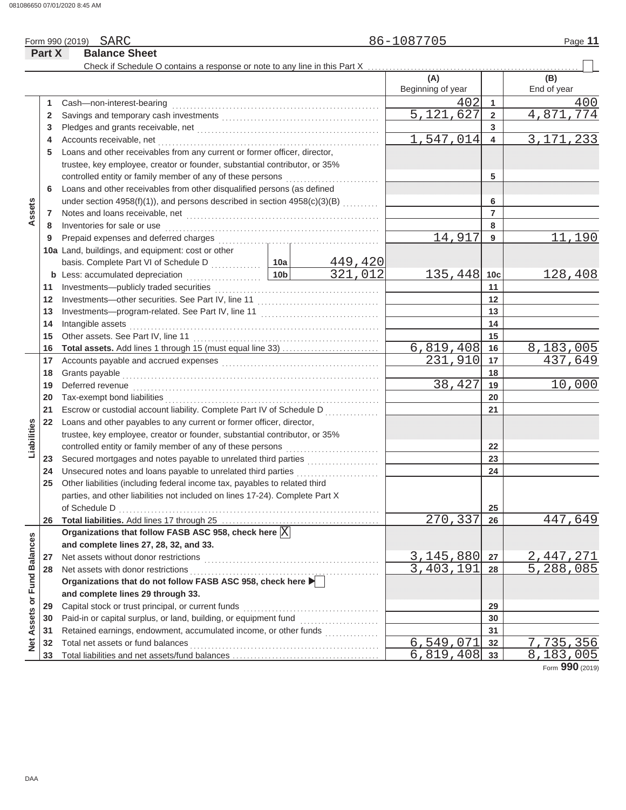|                             | Part X | <b>Balance Sheet</b>                                                                                                                       |                 |         |                   |                 |                        |
|-----------------------------|--------|--------------------------------------------------------------------------------------------------------------------------------------------|-----------------|---------|-------------------|-----------------|------------------------|
|                             |        | Check if Schedule O contains a response or note to any line in this Part X                                                                 |                 |         |                   |                 |                        |
|                             |        |                                                                                                                                            |                 |         | (A)               |                 | (B)                    |
|                             |        |                                                                                                                                            |                 |         | Beginning of year |                 | End of year            |
|                             | 1      | Cash-non-interest-bearing                                                                                                                  |                 |         | 402               | $\overline{1}$  | 400                    |
|                             | 2      |                                                                                                                                            |                 |         | 5,121,627         | $\overline{2}$  | 4,871,774              |
|                             | 3      |                                                                                                                                            |                 |         |                   | 3               |                        |
|                             | 4      | Accounts receivable, net                                                                                                                   |                 |         | 1,547,014         | $\overline{4}$  | 3, 171, 233            |
|                             | 5      | Loans and other receivables from any current or former officer, director,                                                                  |                 |         |                   |                 |                        |
|                             |        | trustee, key employee, creator or founder, substantial contributor, or 35%                                                                 |                 |         |                   |                 |                        |
|                             |        | controlled entity or family member of any of these persons                                                                                 |                 |         |                   | 5               |                        |
|                             | 6      | Loans and other receivables from other disqualified persons (as defined                                                                    |                 |         |                   |                 |                        |
|                             |        | under section 4958(f)(1)), and persons described in section 4958(c)(3)(B)                                                                  |                 |         |                   | 6               |                        |
| Assets                      | 7      |                                                                                                                                            |                 |         |                   | $\overline{7}$  |                        |
|                             | 8      | Inventories for sale or use                                                                                                                |                 |         |                   | 8               |                        |
|                             | 9      | Prepaid expenses and deferred charges                                                                                                      |                 |         | 14,917            | 9               | 11,190                 |
|                             |        | 10a Land, buildings, and equipment: cost or other                                                                                          |                 |         |                   |                 |                        |
|                             |        |                                                                                                                                            |                 | 449,420 |                   |                 |                        |
|                             |        | <b>b</b> Less: accumulated depreciation<br>.                                                                                               | 10 <sub>b</sub> | 321,012 | 135,448           | 10 <sub>c</sub> | 128,408                |
|                             | 11     | Investments-publicly traded securities                                                                                                     |                 |         |                   | 11              |                        |
|                             | 12     |                                                                                                                                            |                 |         |                   | 12              |                        |
|                             | 13     |                                                                                                                                            |                 |         |                   | 13              |                        |
|                             | 14     | Intangible assets                                                                                                                          |                 |         |                   | 14              |                        |
|                             | 15     |                                                                                                                                            |                 |         |                   | 15              |                        |
|                             | 16     | Total assets. Add lines 1 through 15 (must equal line 33)                                                                                  |                 |         | 6,819,408         | 16              | 8,183,005              |
|                             | 17     |                                                                                                                                            |                 |         | 231,910           | 17              | 437,649                |
|                             | 18     | Grants payable                                                                                                                             |                 |         | 18                |                 |                        |
|                             | 19     | Deferred revenue                                                                                                                           |                 |         | 38,427            | 19              | 10,000                 |
|                             | 20     | Tax-exempt bond liabilities                                                                                                                |                 |         |                   | 20              |                        |
|                             | 21     | Escrow or custodial account liability. Complete Part IV of Schedule D                                                                      |                 |         |                   | 21              |                        |
| Liabilities                 | 22     | Loans and other payables to any current or former officer, director,                                                                       |                 |         |                   |                 |                        |
|                             |        | trustee, key employee, creator or founder, substantial contributor, or 35%                                                                 |                 |         |                   |                 |                        |
|                             |        | controlled entity or family member of any of these persons                                                                                 |                 |         |                   | 22              |                        |
|                             | 23     |                                                                                                                                            |                 |         |                   | 23              |                        |
|                             | 24     | Unsecured notes and loans payable to unrelated third parties<br>Other liabilities (including federal income tax, payables to related third |                 | .       |                   | 24              |                        |
|                             | 25     | parties, and other liabilities not included on lines 17-24). Complete Part X                                                               |                 |         |                   |                 |                        |
|                             |        | of Schedule D                                                                                                                              |                 |         |                   |                 |                        |
|                             | 26     |                                                                                                                                            |                 |         | 270,337           | 25<br>26        | 447,649                |
|                             |        | Organizations that follow FASB ASC 958, check here $\overline{\mathbb{X}}$                                                                 |                 |         |                   |                 |                        |
|                             |        | and complete lines 27, 28, 32, and 33.                                                                                                     |                 |         |                   |                 |                        |
|                             | 27     | Net assets without donor restrictions                                                                                                      |                 |         | 3, 145, 880       | 27              | <u>2,447,271</u>       |
|                             | 28     | Net assets with donor restrictions                                                                                                         |                 |         | 3,403,191         | 28              | $\overline{5,288,085}$ |
|                             |        | Organizations that do not follow FASB ASC 958, check here                                                                                  |                 |         |                   |                 |                        |
|                             |        | and complete lines 29 through 33.                                                                                                          |                 |         |                   |                 |                        |
|                             | 29     | Capital stock or trust principal, or current funds                                                                                         |                 |         |                   | 29              |                        |
|                             | 30     | Paid-in or capital surplus, or land, building, or equipment fund                                                                           |                 |         |                   | 30              |                        |
|                             | 31     | Retained earnings, endowment, accumulated income, or other funds                                                                           |                 |         |                   | 31              |                        |
| Net Assets or Fund Balances | 32     | Total net assets or fund balances                                                                                                          |                 |         | 6,549,071         | 32              | 7,735,356              |
|                             | 33     |                                                                                                                                            |                 |         | 6,819,408         | 33              | 183<br>8.<br>005       |
|                             |        |                                                                                                                                            |                 |         |                   |                 | nnn                    |

Form **990** (2019)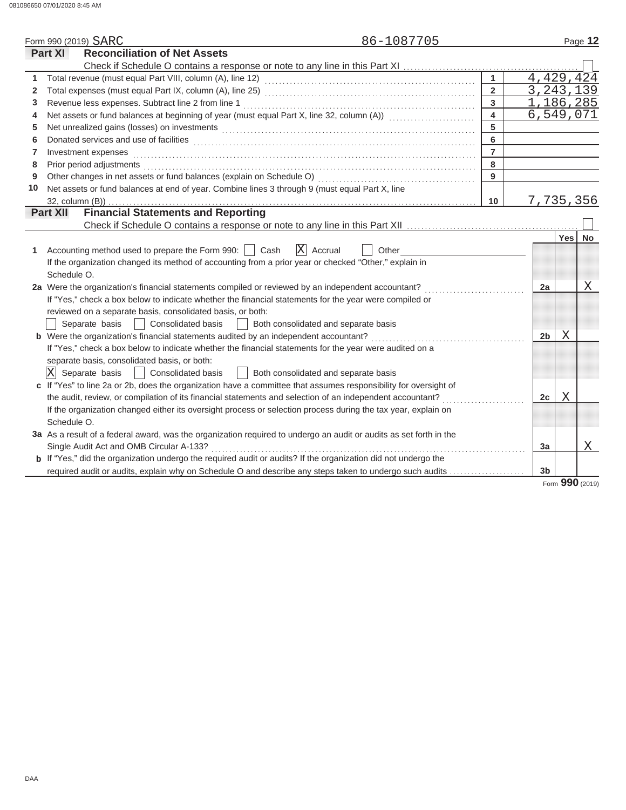|              | 86-1087705<br>Form 990 (2019) SARC                                                                                                                                                                                             |                         |                |            | Page 12 |
|--------------|--------------------------------------------------------------------------------------------------------------------------------------------------------------------------------------------------------------------------------|-------------------------|----------------|------------|---------|
|              | <b>Reconciliation of Net Assets</b><br>Part XI                                                                                                                                                                                 |                         |                |            |         |
|              |                                                                                                                                                                                                                                |                         |                |            |         |
| 1            |                                                                                                                                                                                                                                | $\mathbf{1}$            | 4,429,424      |            |         |
| $\mathbf{2}$ |                                                                                                                                                                                                                                | $\overline{2}$          | 3, 243, 139    |            |         |
| 3            | Revenue less expenses. Subtract line 2 from line 1                                                                                                                                                                             | $\overline{3}$          | 1,186,285      |            |         |
| 4            | Net assets or fund balances at beginning of year (must equal Part X, line 32, column (A)) [[[[[[[[[[[[[[[[[[[                                                                                                                  | $\overline{\mathbf{4}}$ | 6,549,071      |            |         |
| 5            | Net unrealized gains (losses) on investments [11] match and the contract of the state of the state of the state of the state of the state of the state of the state of the state of the state of the state of the state of the | 5                       |                |            |         |
| 6            |                                                                                                                                                                                                                                | $6\phantom{a}$          |                |            |         |
| 7            | Investment expenses                                                                                                                                                                                                            | $\overline{7}$          |                |            |         |
| 8            | Prior period adjustments entertainment and the control of the control of the control of the control of the control of the control of the control of the control of the control of the control of the control of the control of | 8                       |                |            |         |
| 9            |                                                                                                                                                                                                                                | 9                       |                |            |         |
| 10           | Net assets or fund balances at end of year. Combine lines 3 through 9 (must equal Part X, line                                                                                                                                 |                         |                |            |         |
|              |                                                                                                                                                                                                                                | 10 <sup>°</sup>         | 7,735,356      |            |         |
|              | <b>Part XII</b>                                                                                                                                                                                                                |                         |                |            |         |
|              |                                                                                                                                                                                                                                |                         |                |            |         |
|              |                                                                                                                                                                                                                                |                         |                | <b>Yes</b> | No      |
| 1            | $ X $ Accrual<br>Accounting method used to prepare the Form 990:     Cash<br>Other                                                                                                                                             |                         |                |            |         |
|              | If the organization changed its method of accounting from a prior year or checked "Other," explain in                                                                                                                          |                         |                |            |         |
|              | Schedule O.                                                                                                                                                                                                                    |                         |                |            |         |
|              | 2a Were the organization's financial statements compiled or reviewed by an independent accountant?                                                                                                                             |                         | 2a             |            | X       |
|              | If "Yes," check a box below to indicate whether the financial statements for the year were compiled or                                                                                                                         |                         |                |            |         |
|              | reviewed on a separate basis, consolidated basis, or both:                                                                                                                                                                     |                         |                |            |         |
|              | Separate basis<br>  Consolidated basis<br>Both consolidated and separate basis                                                                                                                                                 |                         |                |            |         |
|              | b Were the organization's financial statements audited by an independent accountant?                                                                                                                                           |                         | 2 <sub>b</sub> | Χ          |         |
|              | If "Yes," check a box below to indicate whether the financial statements for the year were audited on a                                                                                                                        |                         |                |            |         |
|              | separate basis, consolidated basis, or both:                                                                                                                                                                                   |                         |                |            |         |
|              | $ \mathrm{X} $<br>Separate basis<br>  Consolidated basis<br>Both consolidated and separate basis<br>$\mathbb{R}$                                                                                                               |                         |                |            |         |
|              | c If "Yes" to line 2a or 2b, does the organization have a committee that assumes responsibility for oversight of                                                                                                               |                         |                |            |         |
|              | the audit, review, or compilation of its financial statements and selection of an independent accountant?                                                                                                                      |                         | 2c             | Χ          |         |
|              | If the organization changed either its oversight process or selection process during the tax year, explain on                                                                                                                  |                         |                |            |         |
|              | Schedule O.                                                                                                                                                                                                                    |                         |                |            |         |
|              | 3a As a result of a federal award, was the organization required to undergo an audit or audits as set forth in the                                                                                                             |                         |                |            |         |
|              | Single Audit Act and OMB Circular A-133?                                                                                                                                                                                       |                         | 3a             |            | Χ       |
|              | <b>b</b> If "Yes," did the organization undergo the required audit or audits? If the organization did not undergo the                                                                                                          |                         |                |            |         |
|              | required audit or audits, explain why on Schedule O and describe any steps taken to undergo such audits                                                                                                                        |                         | 3 <sub>b</sub> |            |         |

Form **990** (2019)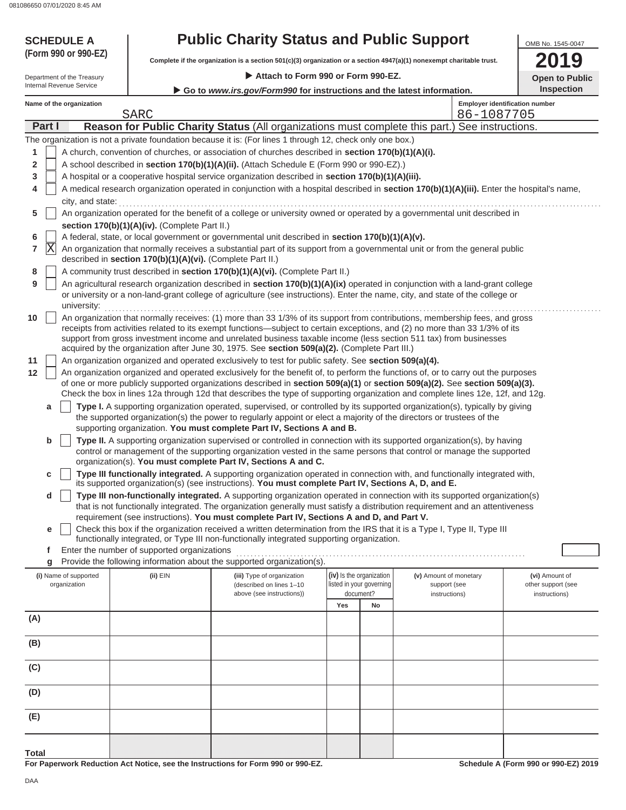| <b>SCHEDULE A</b><br>(Form 990 or 990-EZ)              | <b>Public Charity Status and Public Support</b><br>Complete if the organization is a section 501(c)(3) organization or a section 4947(a)(1) nonexempt charitable trust. |                                                                                                                                                                                                                                                                | OMB No. 1545-0047<br>19                                                                                      |                                                      |                                        |                   |                                                            |
|--------------------------------------------------------|-------------------------------------------------------------------------------------------------------------------------------------------------------------------------|----------------------------------------------------------------------------------------------------------------------------------------------------------------------------------------------------------------------------------------------------------------|--------------------------------------------------------------------------------------------------------------|------------------------------------------------------|----------------------------------------|-------------------|------------------------------------------------------------|
|                                                        |                                                                                                                                                                         |                                                                                                                                                                                                                                                                |                                                                                                              |                                                      |                                        |                   | <b>Open to Public</b>                                      |
| Department of the Treasury<br>Internal Revenue Service |                                                                                                                                                                         |                                                                                                                                                                                                                                                                | Attach to Form 990 or Form 990-EZ.<br>Go to www.irs.gov/Form990 for instructions and the latest information. |                                                      |                                        |                   |                                                            |
| Name of the organization                               |                                                                                                                                                                         |                                                                                                                                                                                                                                                                |                                                                                                              |                                                      |                                        |                   | <b>Inspection</b><br><b>Employer identification number</b> |
|                                                        | <b>SARC</b>                                                                                                                                                             |                                                                                                                                                                                                                                                                |                                                                                                              |                                                      |                                        | 86-1087705        |                                                            |
| Part I                                                 |                                                                                                                                                                         | Reason for Public Charity Status (All organizations must complete this part.)                                                                                                                                                                                  |                                                                                                              |                                                      |                                        | See instructions. |                                                            |
|                                                        |                                                                                                                                                                         | The organization is not a private foundation because it is: (For lines 1 through 12, check only one box.)                                                                                                                                                      |                                                                                                              |                                                      |                                        |                   |                                                            |
| 1                                                      |                                                                                                                                                                         | A church, convention of churches, or association of churches described in section 170(b)(1)(A)(i).                                                                                                                                                             |                                                                                                              |                                                      |                                        |                   |                                                            |
| $\overline{\mathbf{2}}$                                |                                                                                                                                                                         | A school described in section 170(b)(1)(A)(ii). (Attach Schedule E (Form 990 or 990-EZ).)                                                                                                                                                                      |                                                                                                              |                                                      |                                        |                   |                                                            |
| 3                                                      |                                                                                                                                                                         | A hospital or a cooperative hospital service organization described in section 170(b)(1)(A)(iii).                                                                                                                                                              |                                                                                                              |                                                      |                                        |                   |                                                            |
| 4<br>city, and state:                                  |                                                                                                                                                                         | A medical research organization operated in conjunction with a hospital described in section 170(b)(1)(A)(iii). Enter the hospital's name,                                                                                                                     |                                                                                                              |                                                      |                                        |                   |                                                            |
| 5                                                      |                                                                                                                                                                         | An organization operated for the benefit of a college or university owned or operated by a governmental unit described in                                                                                                                                      |                                                                                                              |                                                      |                                        |                   |                                                            |
|                                                        | section 170(b)(1)(A)(iv). (Complete Part II.)                                                                                                                           |                                                                                                                                                                                                                                                                |                                                                                                              |                                                      |                                        |                   |                                                            |
| 6<br>X                                                 |                                                                                                                                                                         | A federal, state, or local government or governmental unit described in section 170(b)(1)(A)(v).                                                                                                                                                               |                                                                                                              |                                                      |                                        |                   |                                                            |
| 7                                                      | described in section 170(b)(1)(A)(vi). (Complete Part II.)                                                                                                              | An organization that normally receives a substantial part of its support from a governmental unit or from the general public                                                                                                                                   |                                                                                                              |                                                      |                                        |                   |                                                            |
| 8                                                      |                                                                                                                                                                         | A community trust described in section 170(b)(1)(A)(vi). (Complete Part II.)                                                                                                                                                                                   |                                                                                                              |                                                      |                                        |                   |                                                            |
| 9                                                      |                                                                                                                                                                         | An agricultural research organization described in section 170(b)(1)(A)(ix) operated in conjunction with a land-grant college                                                                                                                                  |                                                                                                              |                                                      |                                        |                   |                                                            |
|                                                        |                                                                                                                                                                         | or university or a non-land-grant college of agriculture (see instructions). Enter the name, city, and state of the college or                                                                                                                                 |                                                                                                              |                                                      |                                        |                   |                                                            |
| university:                                            |                                                                                                                                                                         | An organization that normally receives: (1) more than 33 1/3% of its support from contributions, membership fees, and gross                                                                                                                                    |                                                                                                              |                                                      |                                        |                   |                                                            |
| 10                                                     |                                                                                                                                                                         | receipts from activities related to its exempt functions—subject to certain exceptions, and (2) no more than 33 1/3% of its                                                                                                                                    |                                                                                                              |                                                      |                                        |                   |                                                            |
|                                                        |                                                                                                                                                                         | support from gross investment income and unrelated business taxable income (less section 511 tax) from businesses<br>acquired by the organization after June 30, 1975. See section 509(a)(2). (Complete Part III.)                                             |                                                                                                              |                                                      |                                        |                   |                                                            |
| 11                                                     |                                                                                                                                                                         | An organization organized and operated exclusively to test for public safety. See section 509(a)(4).                                                                                                                                                           |                                                                                                              |                                                      |                                        |                   |                                                            |
| 12                                                     |                                                                                                                                                                         | An organization organized and operated exclusively for the benefit of, to perform the functions of, or to carry out the purposes                                                                                                                               |                                                                                                              |                                                      |                                        |                   |                                                            |
|                                                        |                                                                                                                                                                         | of one or more publicly supported organizations described in section 509(a)(1) or section 509(a)(2). See section 509(a)(3).                                                                                                                                    |                                                                                                              |                                                      |                                        |                   |                                                            |
|                                                        |                                                                                                                                                                         | Check the box in lines 12a through 12d that describes the type of supporting organization and complete lines 12e, 12f, and 12g.<br>Type I. A supporting organization operated, supervised, or controlled by its supported organization(s), typically by giving |                                                                                                              |                                                      |                                        |                   |                                                            |
| a                                                      |                                                                                                                                                                         | the supported organization(s) the power to regularly appoint or elect a majority of the directors or trustees of the                                                                                                                                           |                                                                                                              |                                                      |                                        |                   |                                                            |
|                                                        |                                                                                                                                                                         | supporting organization. You must complete Part IV, Sections A and B.                                                                                                                                                                                          |                                                                                                              |                                                      |                                        |                   |                                                            |
| b                                                      |                                                                                                                                                                         | Type II. A supporting organization supervised or controlled in connection with its supported organization(s), by having                                                                                                                                        |                                                                                                              |                                                      |                                        |                   |                                                            |
|                                                        |                                                                                                                                                                         | control or management of the supporting organization vested in the same persons that control or manage the supported<br>organization(s). You must complete Part IV, Sections A and C.                                                                          |                                                                                                              |                                                      |                                        |                   |                                                            |
|                                                        |                                                                                                                                                                         | Type III functionally integrated. A supporting organization operated in connection with, and functionally integrated with                                                                                                                                      |                                                                                                              |                                                      |                                        |                   |                                                            |
|                                                        |                                                                                                                                                                         | its supported organization(s) (see instructions). You must complete Part IV, Sections A, D, and E.                                                                                                                                                             |                                                                                                              |                                                      |                                        |                   |                                                            |
| d                                                      |                                                                                                                                                                         | Type III non-functionally integrated. A supporting organization operated in connection with its supported organization(s)                                                                                                                                      |                                                                                                              |                                                      |                                        |                   |                                                            |
|                                                        |                                                                                                                                                                         | that is not functionally integrated. The organization generally must satisfy a distribution requirement and an attentiveness<br>requirement (see instructions). You must complete Part IV, Sections A and D, and Part V.                                       |                                                                                                              |                                                      |                                        |                   |                                                            |
| е                                                      |                                                                                                                                                                         | Check this box if the organization received a written determination from the IRS that it is a Type I, Type II, Type III                                                                                                                                        |                                                                                                              |                                                      |                                        |                   |                                                            |
|                                                        |                                                                                                                                                                         | functionally integrated, or Type III non-functionally integrated supporting organization.                                                                                                                                                                      |                                                                                                              |                                                      |                                        |                   |                                                            |
| f                                                      | Enter the number of supported organizations                                                                                                                             |                                                                                                                                                                                                                                                                |                                                                                                              |                                                      |                                        |                   |                                                            |
| g                                                      |                                                                                                                                                                         | Provide the following information about the supported organization(s).                                                                                                                                                                                         |                                                                                                              |                                                      |                                        |                   |                                                            |
| (i) Name of supported<br>organization                  | (ii) EIN                                                                                                                                                                | (iii) Type of organization<br>(described on lines 1-10                                                                                                                                                                                                         |                                                                                                              | (iv) Is the organization<br>listed in your governing | (v) Amount of monetary<br>support (see |                   | (vi) Amount of<br>other support (see                       |
|                                                        |                                                                                                                                                                         | above (see instructions))                                                                                                                                                                                                                                      |                                                                                                              | document?                                            | instructions)                          |                   | instructions)                                              |
|                                                        |                                                                                                                                                                         |                                                                                                                                                                                                                                                                | Yes                                                                                                          | No                                                   |                                        |                   |                                                            |
| (A)                                                    |                                                                                                                                                                         |                                                                                                                                                                                                                                                                |                                                                                                              |                                                      |                                        |                   |                                                            |
| (B)                                                    |                                                                                                                                                                         |                                                                                                                                                                                                                                                                |                                                                                                              |                                                      |                                        |                   |                                                            |
| (C)                                                    |                                                                                                                                                                         |                                                                                                                                                                                                                                                                |                                                                                                              |                                                      |                                        |                   |                                                            |
|                                                        |                                                                                                                                                                         |                                                                                                                                                                                                                                                                |                                                                                                              |                                                      |                                        |                   |                                                            |
| (D)                                                    |                                                                                                                                                                         |                                                                                                                                                                                                                                                                |                                                                                                              |                                                      |                                        |                   |                                                            |
| (E)                                                    |                                                                                                                                                                         |                                                                                                                                                                                                                                                                |                                                                                                              |                                                      |                                        |                   |                                                            |
|                                                        |                                                                                                                                                                         |                                                                                                                                                                                                                                                                |                                                                                                              |                                                      |                                        |                   |                                                            |

**For Paperwork Reduction Act Notice, see the Instructions for Form 990 or 990-EZ.**

**Schedule A (Form 990 or 990-EZ) 2019**

**Total**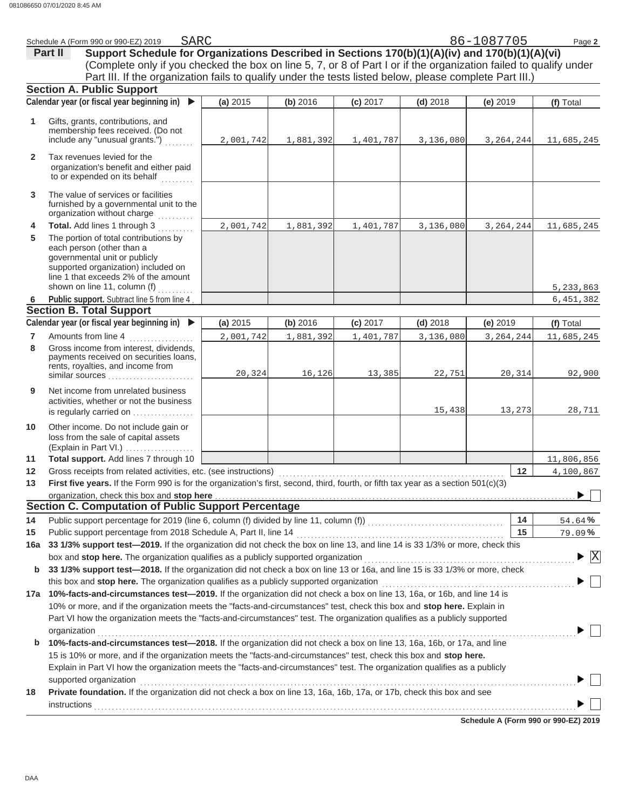|                | SARC<br>Schedule A (Form 990 or 990-EZ) 2019                                                                                                                                                                                   |           |           |            |            | 86-1087705  | Page 2          |
|----------------|--------------------------------------------------------------------------------------------------------------------------------------------------------------------------------------------------------------------------------|-----------|-----------|------------|------------|-------------|-----------------|
|                | Support Schedule for Organizations Described in Sections 170(b)(1)(A)(iv) and 170(b)(1)(A)(vi)<br>Part II                                                                                                                      |           |           |            |            |             |                 |
|                | (Complete only if you checked the box on line 5, 7, or 8 of Part I or if the organization failed to qualify under                                                                                                              |           |           |            |            |             |                 |
|                | Part III. If the organization fails to qualify under the tests listed below, please complete Part III.)                                                                                                                        |           |           |            |            |             |                 |
|                | <b>Section A. Public Support</b>                                                                                                                                                                                               |           |           |            |            |             |                 |
|                | Calendar year (or fiscal year beginning in)                                                                                                                                                                                    | (a) 2015  | (b) 2016  | (c) 2017   | $(d)$ 2018 | $(e)$ 2019  | (f) Total       |
|                |                                                                                                                                                                                                                                |           |           |            |            |             |                 |
| 1              | Gifts, grants, contributions, and<br>membership fees received. (Do not                                                                                                                                                         |           |           |            |            |             |                 |
|                | include any "unusual grants.")                                                                                                                                                                                                 | 2,001,742 | 1,881,392 | 1,401,787  | 3,136,080  | 3, 264, 244 | 11,685,245      |
|                |                                                                                                                                                                                                                                |           |           |            |            |             |                 |
| $\mathbf{2}$   | Tax revenues levied for the<br>organization's benefit and either paid                                                                                                                                                          |           |           |            |            |             |                 |
|                | to or expended on its behalf                                                                                                                                                                                                   |           |           |            |            |             |                 |
|                |                                                                                                                                                                                                                                |           |           |            |            |             |                 |
| 3              | The value of services or facilities<br>furnished by a governmental unit to the                                                                                                                                                 |           |           |            |            |             |                 |
|                | organization without charge<br>.                                                                                                                                                                                               |           |           |            |            |             |                 |
| 4              | Total. Add lines 1 through 3                                                                                                                                                                                                   | 2,001,742 | 1,881,392 | 1,401,787  | 3,136,080  | 3, 264, 244 | 11,685,245      |
| 5              | The portion of total contributions by                                                                                                                                                                                          |           |           |            |            |             |                 |
|                | each person (other than a                                                                                                                                                                                                      |           |           |            |            |             |                 |
|                | governmental unit or publicly                                                                                                                                                                                                  |           |           |            |            |             |                 |
|                | supported organization) included on<br>line 1 that exceeds 2% of the amount                                                                                                                                                    |           |           |            |            |             |                 |
|                | shown on line 11, column (f)                                                                                                                                                                                                   |           |           |            |            |             | 5,233,863       |
| 6              | Public support. Subtract line 5 from line 4                                                                                                                                                                                    |           |           |            |            |             | 6,451,382       |
|                | <b>Section B. Total Support</b>                                                                                                                                                                                                |           |           |            |            |             |                 |
|                | Calendar year (or fiscal year beginning in) $\blacktriangleright$                                                                                                                                                              | (a) 2015  | (b) 2016  | $(c)$ 2017 | $(d)$ 2018 | $(e)$ 2019  | (f) Total       |
| $\overline{7}$ | Amounts from line 4                                                                                                                                                                                                            | 2,001,742 | 1,881,392 | 1,401,787  | 3,136,080  | 3, 264, 244 | 11,685,245      |
| 8              | Gross income from interest, dividends,                                                                                                                                                                                         |           |           |            |            |             |                 |
|                | payments received on securities loans,                                                                                                                                                                                         |           |           |            |            |             |                 |
|                | rents, royalties, and income from<br>similar sources                                                                                                                                                                           | 20,324    | 16,126    | 13,385     | 22,751     | 20,314      | 92,900          |
| 9              | Net income from unrelated business                                                                                                                                                                                             |           |           |            |            |             |                 |
|                | activities, whether or not the business                                                                                                                                                                                        |           |           |            |            |             |                 |
|                | is regularly carried on                                                                                                                                                                                                        |           |           |            | 15,438     | 13,273      | 28,711          |
| 10             | Other income. Do not include gain or                                                                                                                                                                                           |           |           |            |            |             |                 |
|                | loss from the sale of capital assets                                                                                                                                                                                           |           |           |            |            |             |                 |
|                | (Explain in Part VI.)                                                                                                                                                                                                          |           |           |            |            |             |                 |
| 11             | Total support. Add lines 7 through 10                                                                                                                                                                                          |           |           |            |            |             | 11,806,856      |
| $12 \,$        | Gross receipts from related activities, etc. (see instructions)                                                                                                                                                                |           |           |            |            | 12          | 4,100,867       |
| 13             | First five years. If the Form 990 is for the organization's first, second, third, fourth, or fifth tax year as a section 501(c)(3)                                                                                             |           |           |            |            |             |                 |
|                | organization, check this box and stop here entity and state and state and state and state and state and state and state and state and state and state and state and state and state and state and state and state and state an |           |           |            |            |             |                 |
|                | <b>Section C. Computation of Public Support Percentage</b>                                                                                                                                                                     |           |           |            |            |             |                 |
| 14             |                                                                                                                                                                                                                                |           |           |            |            | 14          | 54.64%          |
| 15             |                                                                                                                                                                                                                                |           |           |            |            | 15          | 79.09%          |
| 16a            | 33 1/3% support test-2019. If the organization did not check the box on line 13, and line 14 is 33 1/3% or more, check this                                                                                                    |           |           |            |            |             |                 |
|                | box and stop here. The organization qualifies as a publicly supported organization                                                                                                                                             |           |           |            |            |             | $\vert X \vert$ |
| b              | 33 1/3% support test-2018. If the organization did not check a box on line 13 or 16a, and line 15 is 33 1/3% or more, check                                                                                                    |           |           |            |            |             |                 |
|                | this box and stop here. The organization qualifies as a publicly supported organization                                                                                                                                        |           |           |            |            |             |                 |
|                | 17a 10%-facts-and-circumstances test-2019. If the organization did not check a box on line 13, 16a, or 16b, and line 14 is                                                                                                     |           |           |            |            |             |                 |
|                | 10% or more, and if the organization meets the "facts-and-circumstances" test, check this box and stop here. Explain in                                                                                                        |           |           |            |            |             |                 |
|                | Part VI how the organization meets the "facts-and-circumstances" test. The organization qualifies as a publicly supported                                                                                                      |           |           |            |            |             |                 |
|                | organization                                                                                                                                                                                                                   |           |           |            |            |             |                 |
| b              | 10%-facts-and-circumstances test-2018. If the organization did not check a box on line 13, 16a, 16b, or 17a, and line                                                                                                          |           |           |            |            |             |                 |
|                | 15 is 10% or more, and if the organization meets the "facts-and-circumstances" test, check this box and stop here.                                                                                                             |           |           |            |            |             |                 |
|                | Explain in Part VI how the organization meets the "facts-and-circumstances" test. The organization qualifies as a publicly                                                                                                     |           |           |            |            |             |                 |
| 18             | supported organization<br>Private foundation. If the organization did not check a box on line 13, 16a, 16b, 17a, or 17b, check this box and see                                                                                |           |           |            |            |             |                 |
|                |                                                                                                                                                                                                                                |           |           |            |            |             |                 |
|                | instructions                                                                                                                                                                                                                   |           |           |            |            |             |                 |

**Schedule A (Form 990 or 990-EZ) 2019**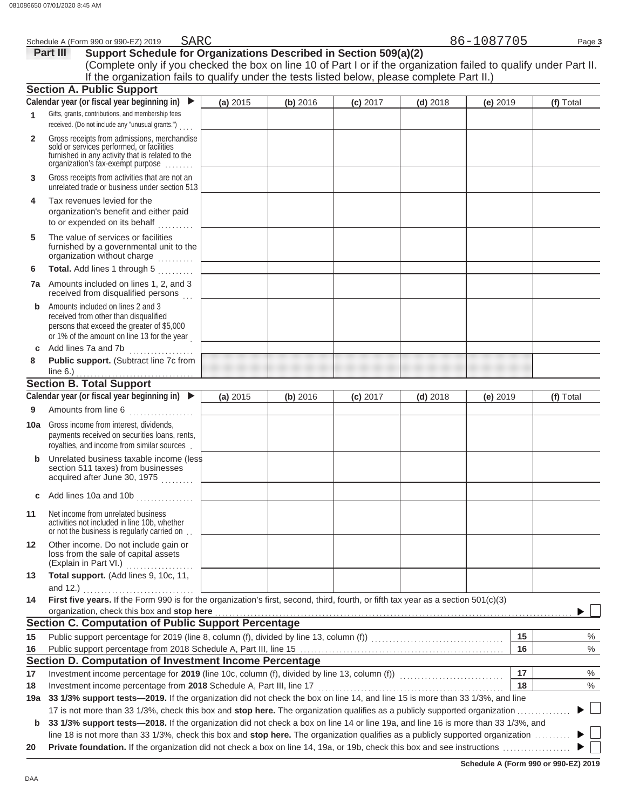|              | SARC<br>Schedule A (Form 990 or 990-EZ) 2019                                                                                                                                                                                                                   |          |          |            |            | 86-1087705 | Page 3    |
|--------------|----------------------------------------------------------------------------------------------------------------------------------------------------------------------------------------------------------------------------------------------------------------|----------|----------|------------|------------|------------|-----------|
|              | Support Schedule for Organizations Described in Section 509(a)(2)<br>Part III                                                                                                                                                                                  |          |          |            |            |            |           |
|              | (Complete only if you checked the box on line 10 of Part I or if the organization failed to qualify under Part II.                                                                                                                                             |          |          |            |            |            |           |
|              | If the organization fails to qualify under the tests listed below, please complete Part II.)                                                                                                                                                                   |          |          |            |            |            |           |
|              | <b>Section A. Public Support</b>                                                                                                                                                                                                                               |          |          |            |            |            |           |
|              | Calendar year (or fiscal year beginning in) $\blacktriangleright$                                                                                                                                                                                              | (a) 2015 | (b) 2016 | $(c)$ 2017 | $(d)$ 2018 | (e) 2019   | (f) Total |
| 1            | Gifts, grants, contributions, and membership fees<br>received. (Do not include any "unusual grants.")                                                                                                                                                          |          |          |            |            |            |           |
| $\mathbf{2}$ | Gross receipts from admissions, merchandise<br>sold or services performed, or facilities<br>furnished in any activity that is related to the<br>organization's tax-exempt purpose                                                                              |          |          |            |            |            |           |
| 3            | Gross receipts from activities that are not an<br>unrelated trade or business under section 513                                                                                                                                                                |          |          |            |            |            |           |
| 4            | Tax revenues levied for the<br>organization's benefit and either paid<br>to or expended on its behalf                                                                                                                                                          |          |          |            |            |            |           |
| 5            | The value of services or facilities<br>furnished by a governmental unit to the<br>organization without charge                                                                                                                                                  |          |          |            |            |            |           |
| 6            | Total. Add lines 1 through 5                                                                                                                                                                                                                                   |          |          |            |            |            |           |
|              | 7a Amounts included on lines 1, 2, and 3<br>received from disqualified persons                                                                                                                                                                                 |          |          |            |            |            |           |
| b            | Amounts included on lines 2 and 3<br>received from other than disqualified<br>persons that exceed the greater of \$5,000<br>or 1% of the amount on line 13 for the year                                                                                        |          |          |            |            |            |           |
| C            | Add lines 7a and 7b<br>.                                                                                                                                                                                                                                       |          |          |            |            |            |           |
| 8            | Public support. (Subtract line 7c from                                                                                                                                                                                                                         |          |          |            |            |            |           |
|              | <b>Section B. Total Support</b>                                                                                                                                                                                                                                |          |          |            |            |            |           |
|              | Calendar year (or fiscal year beginning in)                                                                                                                                                                                                                    |          |          |            |            |            |           |
|              |                                                                                                                                                                                                                                                                | (a) 2015 | (b) 2016 | $(c)$ 2017 | $(d)$ 2018 | (e) 2019   | (f) Total |
| 9            | Amounts from line 6                                                                                                                                                                                                                                            |          |          |            |            |            |           |
|              | <b>10a</b> Gross income from interest, dividends,<br>payments received on securities loans, rents,<br>royalties, and income from similar sources.                                                                                                              |          |          |            |            |            |           |
| b            | Unrelated business taxable income (less<br>section 511 taxes) from businesses<br>acquired after June 30, 1975                                                                                                                                                  |          |          |            |            |            |           |
| С            | Add lines 10a and 10b<br>.                                                                                                                                                                                                                                     |          |          |            |            |            |           |
| 11           | Net income from unrelated business<br>activities not included in line 10b, whether<br>or not the business is regularly carried on.                                                                                                                             |          |          |            |            |            |           |
| 12           | Other income. Do not include gain or<br>loss from the sale of capital assets<br>(Explain in Part VI.)                                                                                                                                                          |          |          |            |            |            |           |
| 13           | Total support. (Add lines 9, 10c, 11,<br>and 12.) $\ldots$                                                                                                                                                                                                     |          |          |            |            |            |           |
| 14           | First five years. If the Form 990 is for the organization's first, second, third, fourth, or fifth tax year as a section 501(c)(3)<br>organization, check this box and stop here <b>constant and all and all and all and all and all and all and all and a</b> |          |          |            |            |            |           |
|              | <b>Section C. Computation of Public Support Percentage</b>                                                                                                                                                                                                     |          |          |            |            |            |           |
| 15           |                                                                                                                                                                                                                                                                |          |          |            |            | 15         | $\%$      |
| 16           |                                                                                                                                                                                                                                                                |          |          |            |            | 16         | $\%$      |
|              | Section D. Computation of Investment Income Percentage                                                                                                                                                                                                         |          |          |            |            |            |           |
| 17           |                                                                                                                                                                                                                                                                |          |          |            |            | 17         | %         |
| 18           | Investment income percentage from 2018 Schedule A, Part III, line 17                                                                                                                                                                                           |          |          |            |            | 18         | %         |
| 19a          | 33 1/3% support tests-2019. If the organization did not check the box on line 14, and line 15 is more than 33 1/3%, and line                                                                                                                                   |          |          |            |            |            |           |
|              | 17 is not more than 33 1/3%, check this box and stop here. The organization qualifies as a publicly supported organization                                                                                                                                     |          |          |            |            |            |           |
| b            | 33 1/3% support tests-2018. If the organization did not check a box on line 14 or line 19a, and line 16 is more than 33 1/3%, and                                                                                                                              |          |          |            |            |            |           |
|              | line 18 is not more than 33 1/3%, check this box and stop here. The organization qualifies as a publicly supported organization                                                                                                                                |          |          |            |            |            |           |
| 20           |                                                                                                                                                                                                                                                                |          |          |            |            |            |           |

| Schedule A (Form 990 or 990-EZ) 2019 |  |  |  |
|--------------------------------------|--|--|--|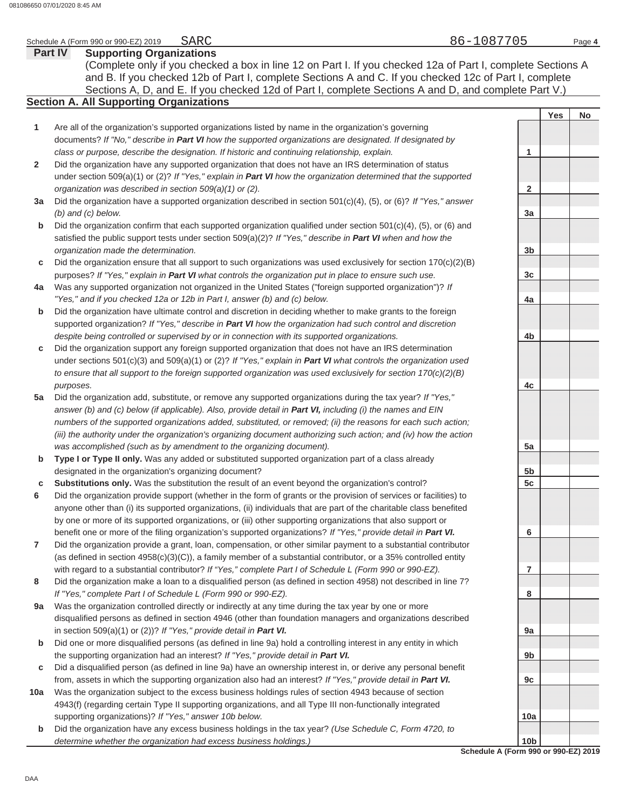#### **Part IV Supporting Organizations** Sections A, D, and E. If you checked 12d of Part I, complete Sections A and D, and complete Part V.) Schedule A (Form 990 or 990-EZ) 2019 Page **4 Section A. All Supporting Organizations** (Complete only if you checked a box in line 12 on Part I. If you checked 12a of Part I, complete Sections A and B. If you checked 12b of Part I, complete Sections A and C. If you checked 12c of Part I, complete Are all of the organization's supported organizations listed by name in the organization's governing documents? *If "No," describe in Part VI how the supported organizations are designated. If designated by class or purpose, describe the designation. If historic and continuing relationship, explain.* Did the organization have any supported organization that does not have an IRS determination of status under section 509(a)(1) or (2)? *If "Yes," explain in Part VI how the organization determined that the supported organization was described in section 509(a)(1) or (2).* **1 2 3a** Did the organization have a supported organization described in section 501(c)(4), (5), or (6)? *If "Yes," answer* **b c 4a** Was any supported organization not organized in the United States ("foreign supported organization")? *If* **b c** Did the organization support any foreign supported organization that does not have an IRS determination **5a** Did the organization add, substitute, or remove any supported organizations during the tax year? *If "Yes,"* **b c 6 7 8 9a b c 10a b** *(b) and (c) below.* Did the organization confirm that each supported organization qualified under section 501(c)(4), (5), or (6) and satisfied the public support tests under section 509(a)(2)? *If "Yes," describe in Part VI when and how the organization made the determination.* Did the organization ensure that all support to such organizations was used exclusively for section  $170(c)(2)(B)$ purposes? *If "Yes," explain in Part VI what controls the organization put in place to ensure such use. "Yes," and if you checked 12a or 12b in Part I, answer (b) and (c) below.* Did the organization have ultimate control and discretion in deciding whether to make grants to the foreign supported organization? *If "Yes," describe in Part VI how the organization had such control and discretion despite being controlled or supervised by or in connection with its supported organizations.* under sections 501(c)(3) and 509(a)(1) or (2)? *If "Yes," explain in Part VI what controls the organization used to ensure that all support to the foreign supported organization was used exclusively for section 170(c)(2)(B) purposes.* answer (b) and (c) below (if applicable). Also, provide detail in **Part VI**, *including (i)* the names and EIN *numbers of the supported organizations added, substituted, or removed; (ii) the reasons for each such action; (iii) the authority under the organization's organizing document authorizing such action; and (iv) how the action was accomplished (such as by amendment to the organizing document).* **Type I or Type II only.** Was any added or substituted supported organization part of a class already designated in the organization's organizing document? **Substitutions only.** Was the substitution the result of an event beyond the organization's control? Did the organization provide support (whether in the form of grants or the provision of services or facilities) to anyone other than (i) its supported organizations, (ii) individuals that are part of the charitable class benefited by one or more of its supported organizations, or (iii) other supporting organizations that also support or benefit one or more of the filing organization's supported organizations? *If "Yes," provide detail in Part VI.* Did the organization provide a grant, loan, compensation, or other similar payment to a substantial contributor (as defined in section 4958(c)(3)(C)), a family member of a substantial contributor, or a 35% controlled entity with regard to a substantial contributor? *If "Yes," complete Part I of Schedule L (Form 990 or 990-EZ).* Did the organization make a loan to a disqualified person (as defined in section 4958) not described in line 7? *If "Yes," complete Part I of Schedule L (Form 990 or 990-EZ).* Was the organization controlled directly or indirectly at any time during the tax year by one or more disqualified persons as defined in section 4946 (other than foundation managers and organizations described in section 509(a)(1) or (2))? *If "Yes," provide detail in Part VI.* Did one or more disqualified persons (as defined in line 9a) hold a controlling interest in any entity in which the supporting organization had an interest? *If "Yes," provide detail in Part VI.* Did a disqualified person (as defined in line 9a) have an ownership interest in, or derive any personal benefit from, assets in which the supporting organization also had an interest? *If "Yes," provide detail in Part VI.* Was the organization subject to the excess business holdings rules of section 4943 because of section 4943(f) (regarding certain Type II supporting organizations, and all Type III non-functionally integrated supporting organizations)? *If "Yes," answer 10b below.* Did the organization have any excess business holdings in the tax year? *(Use Schedule C, Form 4720, to determine whether the organization had excess business holdings.)* **Yes No 1 2 3a 3b 3c 4a 4b 4c 5a 5b 5c 6 7 8 9a 9b 9c 10a 10b** 86-1087705

**Schedule A (Form 990 or 990-EZ) 2019**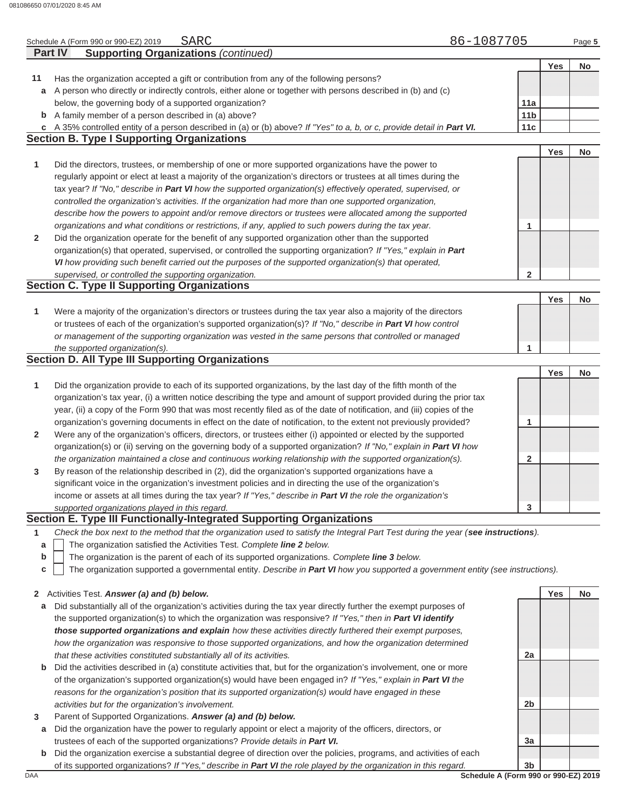|              | 86-1087705<br><b>SARC</b><br>Schedule A (Form 990 or 990-EZ) 2019                                                                                                                                                      |                 |            | Page 5    |
|--------------|------------------------------------------------------------------------------------------------------------------------------------------------------------------------------------------------------------------------|-----------------|------------|-----------|
|              | <b>Supporting Organizations (continued)</b><br><b>Part IV</b>                                                                                                                                                          |                 |            |           |
|              |                                                                                                                                                                                                                        |                 | Yes        | <b>No</b> |
| 11           | Has the organization accepted a gift or contribution from any of the following persons?                                                                                                                                |                 |            |           |
| а            | A person who directly or indirectly controls, either alone or together with persons described in (b) and (c)                                                                                                           |                 |            |           |
|              | below, the governing body of a supported organization?                                                                                                                                                                 | 11a             |            |           |
| $\mathbf b$  | A family member of a person described in (a) above?                                                                                                                                                                    | 11 <sub>b</sub> |            |           |
| C            | A 35% controlled entity of a person described in (a) or (b) above? If "Yes" to a, b, or c, provide detail in Part VI.                                                                                                  | 11 <sub>c</sub> |            |           |
|              | <b>Section B. Type I Supporting Organizations</b>                                                                                                                                                                      |                 |            |           |
|              |                                                                                                                                                                                                                        |                 | Yes        | No        |
| 1            | Did the directors, trustees, or membership of one or more supported organizations have the power to                                                                                                                    |                 |            |           |
|              | regularly appoint or elect at least a majority of the organization's directors or trustees at all times during the                                                                                                     |                 |            |           |
|              | tax year? If "No," describe in Part VI how the supported organization(s) effectively operated, supervised, or                                                                                                          |                 |            |           |
|              | controlled the organization's activities. If the organization had more than one supported organization,                                                                                                                |                 |            |           |
|              | describe how the powers to appoint and/or remove directors or trustees were allocated among the supported                                                                                                              |                 |            |           |
|              | organizations and what conditions or restrictions, if any, applied to such powers during the tax year.                                                                                                                 | 1               |            |           |
| $\mathbf{2}$ | Did the organization operate for the benefit of any supported organization other than the supported                                                                                                                    |                 |            |           |
|              | organization(s) that operated, supervised, or controlled the supporting organization? If "Yes," explain in Part                                                                                                        |                 |            |           |
|              | VI how providing such benefit carried out the purposes of the supported organization(s) that operated,                                                                                                                 |                 |            |           |
|              | supervised, or controlled the supporting organization.                                                                                                                                                                 | 2               |            |           |
|              | <b>Section C. Type II Supporting Organizations</b>                                                                                                                                                                     |                 |            |           |
|              |                                                                                                                                                                                                                        |                 | Yes        | No        |
| 1            | Were a majority of the organization's directors or trustees during the tax year also a majority of the directors                                                                                                       |                 |            |           |
|              | or trustees of each of the organization's supported organization(s)? If "No," describe in Part VI how control                                                                                                          |                 |            |           |
|              | or management of the supporting organization was vested in the same persons that controlled or managed                                                                                                                 |                 |            |           |
|              | the supported organization(s).                                                                                                                                                                                         | 1               |            |           |
|              | <b>Section D. All Type III Supporting Organizations</b>                                                                                                                                                                |                 |            |           |
|              |                                                                                                                                                                                                                        |                 | <b>Yes</b> | No        |
| 1            | Did the organization provide to each of its supported organizations, by the last day of the fifth month of the                                                                                                         |                 |            |           |
|              | organization's tax year, (i) a written notice describing the type and amount of support provided during the prior tax                                                                                                  |                 |            |           |
|              | year, (ii) a copy of the Form 990 that was most recently filed as of the date of notification, and (iii) copies of the                                                                                                 |                 |            |           |
|              | organization's governing documents in effect on the date of notification, to the extent not previously provided?                                                                                                       | 1               |            |           |
| $\mathbf{2}$ | Were any of the organization's officers, directors, or trustees either (i) appointed or elected by the supported                                                                                                       |                 |            |           |
|              | organization(s) or (ii) serving on the governing body of a supported organization? If "No," explain in Part VI how                                                                                                     |                 |            |           |
|              | the organization maintained a close and continuous working relationship with the supported organization(s).                                                                                                            | $\mathbf{2}$    |            |           |
| 3            | By reason of the relationship described in (2), did the organization's supported organizations have a                                                                                                                  |                 |            |           |
|              | significant voice in the organization's investment policies and in directing the use of the organization's                                                                                                             |                 |            |           |
|              | income or assets at all times during the tax year? If "Yes," describe in Part VI the role the organization's                                                                                                           |                 |            |           |
|              | supported organizations played in this regard.                                                                                                                                                                         | 3               |            |           |
|              | Section E. Type III Functionally-Integrated Supporting Organizations                                                                                                                                                   |                 |            |           |
| 1            | Check the box next to the method that the organization used to satisfy the Integral Part Test during the year (see instructions).                                                                                      |                 |            |           |
| a            | The organization satisfied the Activities Test. Complete line 2 below.                                                                                                                                                 |                 |            |           |
| b            | The organization is the parent of each of its supported organizations. Complete line 3 below.                                                                                                                          |                 |            |           |
| c            | The organization supported a governmental entity. Describe in Part VI how you supported a government entity (see instructions).                                                                                        |                 |            |           |
|              |                                                                                                                                                                                                                        |                 |            |           |
| $\mathbf{2}$ | Activities Test. Answer (a) and (b) below.                                                                                                                                                                             |                 | Yes        | No        |
| а            | Did substantially all of the organization's activities during the tax year directly further the exempt purposes of                                                                                                     |                 |            |           |
|              | the supported organization(s) to which the organization was responsive? If "Yes," then in Part VI identify                                                                                                             |                 |            |           |
|              | those supported organizations and explain how these activities directly furthered their exempt purposes,                                                                                                               |                 |            |           |
|              | how the organization was responsive to those supported organizations, and how the organization determined                                                                                                              |                 |            |           |
|              | that these activities constituted substantially all of its activities.                                                                                                                                                 | 2a              |            |           |
|              |                                                                                                                                                                                                                        |                 |            |           |
| b            | Did the activities described in (a) constitute activities that, but for the organization's involvement, one or more                                                                                                    |                 |            |           |
|              | of the organization's supported organization(s) would have been engaged in? If "Yes," explain in Part VI the<br>reasons for the organization's position that its supported organization(s) would have engaged in these |                 |            |           |

**3** Parent of Supported Organizations. *Answer (a) and (b) below.*

*activities but for the organization's involvement.*

- **a** Did the organization have the power to regularly appoint or elect a majority of the officers, directors, or trustees of each of the supported organizations? *Provide details in Part VI.*
- **b** Did the organization exercise a substantial degree of direction over the policies, programs, and activities of each of its supported organizations? *If "Yes," describe in Part VI the role played by the organization in this regard.*

DAA **Schedule A (Form 990 or 990-EZ) 2019 3b**

**3a**

**2b**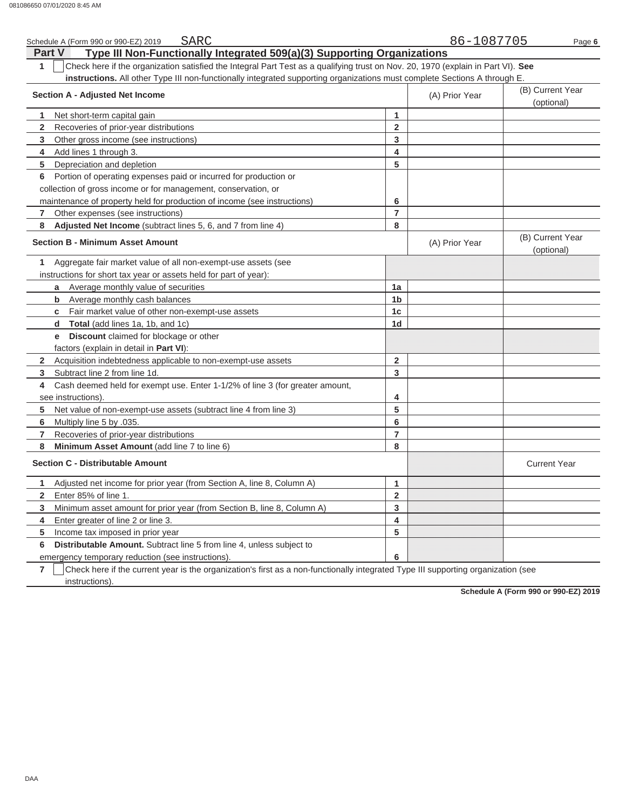| SARC<br>Schedule A (Form 990 or 990-EZ) 2019                                                                                          |                         | 86-1087705     | Page 6                         |
|---------------------------------------------------------------------------------------------------------------------------------------|-------------------------|----------------|--------------------------------|
| Type III Non-Functionally Integrated 509(a)(3) Supporting Organizations<br><b>Part V</b>                                              |                         |                |                                |
| 1<br>Check here if the organization satisfied the Integral Part Test as a qualifying trust on Nov. 20, 1970 (explain in Part VI). See |                         |                |                                |
| instructions. All other Type III non-functionally integrated supporting organizations must complete Sections A through E.             |                         |                |                                |
| <b>Section A - Adjusted Net Income</b>                                                                                                |                         | (A) Prior Year | (B) Current Year<br>(optional) |
| Net short-term capital gain<br>1                                                                                                      | 1                       |                |                                |
| $\overline{2}$<br>Recoveries of prior-year distributions                                                                              | $\mathbf 2$             |                |                                |
| 3<br>Other gross income (see instructions)                                                                                            | $\overline{3}$          |                |                                |
| Add lines 1 through 3.<br>4                                                                                                           | $\overline{\mathbf{4}}$ |                |                                |
| 5<br>Depreciation and depletion                                                                                                       | 5                       |                |                                |
| Portion of operating expenses paid or incurred for production or<br>6                                                                 |                         |                |                                |
| collection of gross income or for management, conservation, or                                                                        |                         |                |                                |
| maintenance of property held for production of income (see instructions)                                                              | 6                       |                |                                |
| $\overline{7}$<br>Other expenses (see instructions)                                                                                   | $\overline{\mathbf{r}}$ |                |                                |
| 8<br>Adjusted Net Income (subtract lines 5, 6, and 7 from line 4)                                                                     | 8                       |                |                                |
| <b>Section B - Minimum Asset Amount</b>                                                                                               |                         | (A) Prior Year | (B) Current Year<br>(optional) |
| 1<br>Aggregate fair market value of all non-exempt-use assets (see                                                                    |                         |                |                                |
| instructions for short tax year or assets held for part of year):                                                                     |                         |                |                                |
| <b>a</b> Average monthly value of securities                                                                                          | 1a                      |                |                                |
| Average monthly cash balances<br>b                                                                                                    | 1 <sub>b</sub>          |                |                                |
| <b>c</b> Fair market value of other non-exempt-use assets                                                                             | 1 <sub>c</sub>          |                |                                |
| d Total (add lines 1a, 1b, and 1c)                                                                                                    | 1 <sub>d</sub>          |                |                                |
| <b>e</b> Discount claimed for blockage or other                                                                                       |                         |                |                                |
| factors (explain in detail in Part VI):                                                                                               |                         |                |                                |
| 2 Acquisition indebtedness applicable to non-exempt-use assets                                                                        | $\overline{2}$          |                |                                |
| 3<br>Subtract line 2 from line 1d.                                                                                                    | $\overline{3}$          |                |                                |
| Cash deemed held for exempt use. Enter 1-1/2% of line 3 (for greater amount,<br>4                                                     |                         |                |                                |
| see instructions).                                                                                                                    | 4                       |                |                                |
| 5<br>Net value of non-exempt-use assets (subtract line 4 from line 3)                                                                 | 5                       |                |                                |
| 6<br>Multiply line 5 by .035.                                                                                                         | $\bf 6$                 |                |                                |
| 7<br>Recoveries of prior-year distributions                                                                                           | $\overline{7}$          |                |                                |
| 8<br>Minimum Asset Amount (add line 7 to line 6)                                                                                      | 8                       |                |                                |
| <b>Section C - Distributable Amount</b>                                                                                               |                         |                | <b>Current Year</b>            |
| Adjusted net income for prior year (from Section A, line 8, Column A)<br>1.                                                           | $\mathbf{1}$            |                |                                |
| Enter 85% of line 1.<br>$\overline{2}$                                                                                                | $\overline{2}$          |                |                                |
| 3<br>Minimum asset amount for prior year (from Section B, line 8, Column A)                                                           | $\mathbf{3}$            |                |                                |
| Enter greater of line 2 or line 3.<br>4                                                                                               | 4                       |                |                                |
| 5<br>Income tax imposed in prior year                                                                                                 | 5                       |                |                                |
| 6<br>Distributable Amount. Subtract line 5 from line 4, unless subject to                                                             |                         |                |                                |
| emergency temporary reduction (see instructions).                                                                                     | 6                       |                |                                |

**7** | Check here if the current year is the organization's first as a non-functionally integrated Type III supporting organization (see instructions).

**Schedule A (Form 990 or 990-EZ) 2019**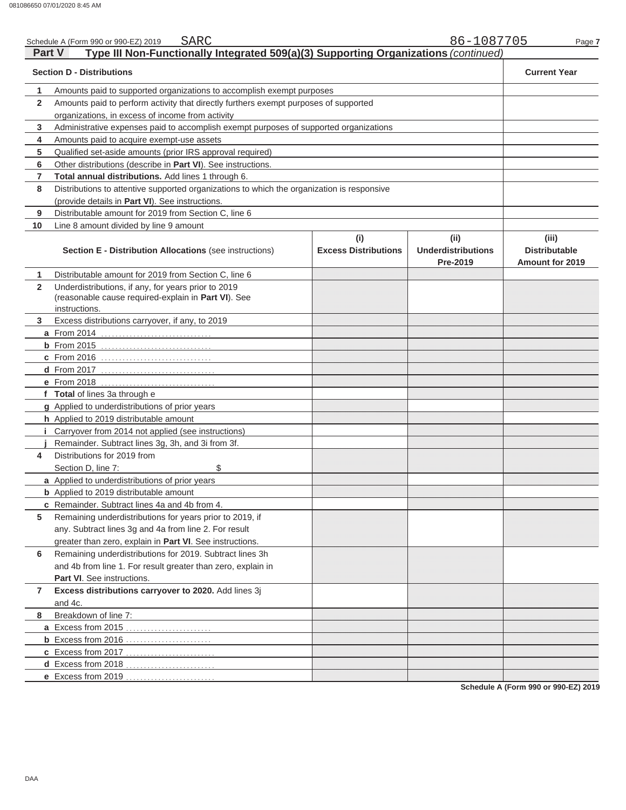| <b>Part V</b> | SARC<br>Schedule A (Form 990 or 990-EZ) 2019                                                                                |                                    | 86-1087705                                    | Page 7                                                  |
|---------------|-----------------------------------------------------------------------------------------------------------------------------|------------------------------------|-----------------------------------------------|---------------------------------------------------------|
|               | Type III Non-Functionally Integrated 509(a)(3) Supporting Organizations (continued)<br><b>Section D - Distributions</b>     |                                    |                                               | <b>Current Year</b>                                     |
|               |                                                                                                                             |                                    |                                               |                                                         |
| 1             | Amounts paid to supported organizations to accomplish exempt purposes                                                       |                                    |                                               |                                                         |
| $\mathbf{2}$  | Amounts paid to perform activity that directly furthers exempt purposes of supported                                        |                                    |                                               |                                                         |
|               | organizations, in excess of income from activity                                                                            |                                    |                                               |                                                         |
| 3             | Administrative expenses paid to accomplish exempt purposes of supported organizations                                       |                                    |                                               |                                                         |
| 4             | Amounts paid to acquire exempt-use assets                                                                                   |                                    |                                               |                                                         |
| 5             | Qualified set-aside amounts (prior IRS approval required)                                                                   |                                    |                                               |                                                         |
| 6             | Other distributions (describe in Part VI). See instructions.                                                                |                                    |                                               |                                                         |
| 7             | Total annual distributions. Add lines 1 through 6.                                                                          |                                    |                                               |                                                         |
| 8             | Distributions to attentive supported organizations to which the organization is responsive                                  |                                    |                                               |                                                         |
|               | (provide details in Part VI). See instructions.                                                                             |                                    |                                               |                                                         |
| 9             | Distributable amount for 2019 from Section C, line 6                                                                        |                                    |                                               |                                                         |
| 10            | Line 8 amount divided by line 9 amount                                                                                      |                                    |                                               |                                                         |
|               | Section E - Distribution Allocations (see instructions)                                                                     | (i)<br><b>Excess Distributions</b> | (ii)<br><b>Underdistributions</b><br>Pre-2019 | (iii)<br><b>Distributable</b><br><b>Amount for 2019</b> |
| 1             | Distributable amount for 2019 from Section C, line 6                                                                        |                                    |                                               |                                                         |
| $\mathbf{2}$  | Underdistributions, if any, for years prior to 2019<br>(reasonable cause required-explain in Part VI). See<br>instructions. |                                    |                                               |                                                         |
| 3             | Excess distributions carryover, if any, to 2019                                                                             |                                    |                                               |                                                         |
|               |                                                                                                                             |                                    |                                               |                                                         |
|               | <b>b</b> From 2015                                                                                                          |                                    |                                               |                                                         |
|               | c From 2016                                                                                                                 |                                    |                                               |                                                         |
|               | <b>d</b> From 2017                                                                                                          |                                    |                                               |                                                         |
|               | e From 2018                                                                                                                 |                                    |                                               |                                                         |
|               | f Total of lines 3a through e                                                                                               |                                    |                                               |                                                         |
|               | g Applied to underdistributions of prior years                                                                              |                                    |                                               |                                                         |
|               | h Applied to 2019 distributable amount                                                                                      |                                    |                                               |                                                         |
|               | Carryover from 2014 not applied (see instructions)                                                                          |                                    |                                               |                                                         |
|               | Remainder. Subtract lines 3g, 3h, and 3i from 3f.                                                                           |                                    |                                               |                                                         |
| 4             | Distributions for 2019 from                                                                                                 |                                    |                                               |                                                         |
|               | \$<br>Section D, line 7:                                                                                                    |                                    |                                               |                                                         |
|               | a Applied to underdistributions of prior years                                                                              |                                    |                                               |                                                         |
|               | <b>b</b> Applied to 2019 distributable amount                                                                               |                                    |                                               |                                                         |
|               | <b>c</b> Remainder. Subtract lines 4a and 4b from 4.                                                                        |                                    |                                               |                                                         |
| 5             | Remaining underdistributions for years prior to 2019, if                                                                    |                                    |                                               |                                                         |
|               | any. Subtract lines 3g and 4a from line 2. For result                                                                       |                                    |                                               |                                                         |
|               | greater than zero, explain in Part VI. See instructions.                                                                    |                                    |                                               |                                                         |
| 6             | Remaining underdistributions for 2019. Subtract lines 3h                                                                    |                                    |                                               |                                                         |
|               | and 4b from line 1. For result greater than zero, explain in                                                                |                                    |                                               |                                                         |
|               |                                                                                                                             |                                    |                                               |                                                         |
|               | Part VI. See instructions.                                                                                                  |                                    |                                               |                                                         |
| 7             | Excess distributions carryover to 2020. Add lines 3j                                                                        |                                    |                                               |                                                         |
|               | and 4c.                                                                                                                     |                                    |                                               |                                                         |
| 8             | Breakdown of line 7:                                                                                                        |                                    |                                               |                                                         |
|               | a Excess from 2015                                                                                                          |                                    |                                               |                                                         |
|               |                                                                                                                             |                                    |                                               |                                                         |
|               | c Excess from 2017                                                                                                          |                                    |                                               |                                                         |
|               | d Excess from 2018                                                                                                          |                                    |                                               |                                                         |
|               | e Excess from 2019                                                                                                          |                                    |                                               |                                                         |

**Schedule A (Form 990 or 990-EZ) 2019**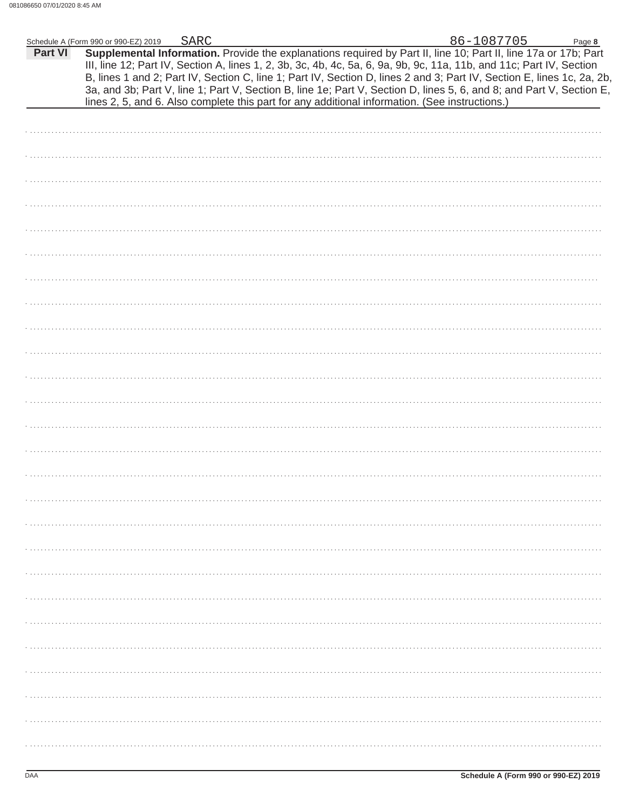| <b>Part VI</b> | Schedule A (Form 990 or 990-EZ) 2019<br>Supplemental Information. Provide the explanations required by Part II, line 10; Part II, line 17a or 17b; Part<br>III, line 12; Part IV, Section A, lines 1, 2, 3b, 3c, 4b, 4c, 5a, 6, 9a, 9b, 9c, 11a, 11b, and 11c; Part IV, Section | <b>SARC</b> |  | 86-1087705 | Page 8<br>B, lines 1 and 2; Part IV, Section C, line 1; Part IV, Section D, lines 2 and 3; Part IV, Section E, lines 1c, 2a, 2b, |
|----------------|---------------------------------------------------------------------------------------------------------------------------------------------------------------------------------------------------------------------------------------------------------------------------------|-------------|--|------------|----------------------------------------------------------------------------------------------------------------------------------|
|                | lines 2, 5, and 6. Also complete this part for any additional information. (See instructions.)                                                                                                                                                                                  |             |  |            | 3a, and 3b; Part V, line 1; Part V, Section B, line 1e; Part V, Section D, lines 5, 6, and 8; and Part V, Section E,             |
|                |                                                                                                                                                                                                                                                                                 |             |  |            |                                                                                                                                  |
|                |                                                                                                                                                                                                                                                                                 |             |  |            |                                                                                                                                  |
|                |                                                                                                                                                                                                                                                                                 |             |  |            |                                                                                                                                  |
|                |                                                                                                                                                                                                                                                                                 |             |  |            |                                                                                                                                  |
|                |                                                                                                                                                                                                                                                                                 |             |  |            |                                                                                                                                  |
|                |                                                                                                                                                                                                                                                                                 |             |  |            |                                                                                                                                  |
|                |                                                                                                                                                                                                                                                                                 |             |  |            |                                                                                                                                  |
|                |                                                                                                                                                                                                                                                                                 |             |  |            |                                                                                                                                  |
|                |                                                                                                                                                                                                                                                                                 |             |  |            |                                                                                                                                  |
|                |                                                                                                                                                                                                                                                                                 |             |  |            |                                                                                                                                  |
|                |                                                                                                                                                                                                                                                                                 |             |  |            |                                                                                                                                  |
|                |                                                                                                                                                                                                                                                                                 |             |  |            |                                                                                                                                  |
|                |                                                                                                                                                                                                                                                                                 |             |  |            |                                                                                                                                  |
|                |                                                                                                                                                                                                                                                                                 |             |  |            |                                                                                                                                  |
|                |                                                                                                                                                                                                                                                                                 |             |  |            |                                                                                                                                  |
|                |                                                                                                                                                                                                                                                                                 |             |  |            |                                                                                                                                  |
|                |                                                                                                                                                                                                                                                                                 |             |  |            |                                                                                                                                  |
|                |                                                                                                                                                                                                                                                                                 |             |  |            |                                                                                                                                  |
|                |                                                                                                                                                                                                                                                                                 |             |  |            |                                                                                                                                  |
|                |                                                                                                                                                                                                                                                                                 |             |  |            |                                                                                                                                  |
|                |                                                                                                                                                                                                                                                                                 |             |  |            |                                                                                                                                  |
|                |                                                                                                                                                                                                                                                                                 |             |  |            |                                                                                                                                  |
|                |                                                                                                                                                                                                                                                                                 |             |  |            |                                                                                                                                  |
|                |                                                                                                                                                                                                                                                                                 |             |  |            |                                                                                                                                  |
|                |                                                                                                                                                                                                                                                                                 |             |  |            |                                                                                                                                  |
|                |                                                                                                                                                                                                                                                                                 |             |  |            |                                                                                                                                  |
|                |                                                                                                                                                                                                                                                                                 |             |  |            |                                                                                                                                  |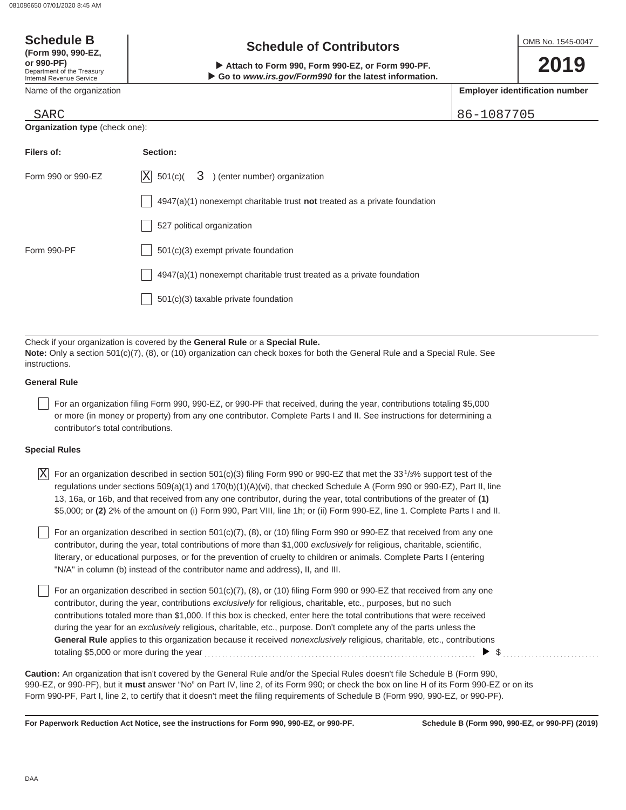| <b>Schedule B</b>                                                                                                                                                                                       | <b>Schedule of Contributors</b> |            | OMB No. 1545-0047                     |
|---------------------------------------------------------------------------------------------------------------------------------------------------------------------------------------------------------|---------------------------------|------------|---------------------------------------|
| (Form 990, 990-EZ,<br>or 990-PF)<br>Attach to Form 990, Form 990-EZ, or Form 990-PF.<br>Department of the Treasury<br>Go to www.irs.gov/Form990 for the latest information.<br>Internal Revenue Service |                                 |            | 2019                                  |
| Name of the organization                                                                                                                                                                                |                                 |            | <b>Employer identification number</b> |
| SARC                                                                                                                                                                                                    |                                 | 86-1087705 |                                       |
| <b>Organization type (check one):</b>                                                                                                                                                                   |                                 |            |                                       |

| Filers of:         | Section:                                                                           |
|--------------------|------------------------------------------------------------------------------------|
| Form 990 or 990-EZ | X<br>$501(c)$ $3$ ) (enter number) organization                                    |
|                    | $4947(a)(1)$ nonexempt charitable trust <b>not</b> treated as a private foundation |
|                    | 527 political organization                                                         |
| Form 990-PF        | 501(c)(3) exempt private foundation                                                |
|                    | 4947(a)(1) nonexempt charitable trust treated as a private foundation              |
|                    | $501(c)(3)$ taxable private foundation                                             |
|                    |                                                                                    |

Check if your organization is covered by the **General Rule** or a **Special Rule. Note:** Only a section 501(c)(7), (8), or (10) organization can check boxes for both the General Rule and a Special Rule. See instructions.

## **General Rule**

For an organization filing Form 990, 990-EZ, or 990-PF that received, during the year, contributions totaling \$5,000 or more (in money or property) from any one contributor. Complete Parts I and II. See instructions for determining a contributor's total contributions.

### **Special Rules**

| $ X $ For an organization described in section 501(c)(3) filing Form 990 or 990-EZ that met the 33 <sup>1</sup> /3% support test of the |
|-----------------------------------------------------------------------------------------------------------------------------------------|
| regulations under sections 509(a)(1) and 170(b)(1)(A)(vi), that checked Schedule A (Form 990 or 990-EZ), Part II, line                  |
| 13, 16a, or 16b, and that received from any one contributor, during the year, total contributions of the greater of (1)                 |
| \$5,000; or (2) 2% of the amount on (i) Form 990, Part VIII, line 1h; or (ii) Form 990-EZ, line 1. Complete Parts I and II.             |

literary, or educational purposes, or for the prevention of cruelty to children or animals. Complete Parts I (entering For an organization described in section  $501(c)(7)$ , (8), or (10) filing Form 990 or 990-EZ that received from any one contributor, during the year, total contributions of more than \$1,000 *exclusively* for religious, charitable, scientific, "N/A" in column (b) instead of the contributor name and address), II, and III.

For an organization described in section 501(c)(7), (8), or (10) filing Form 990 or 990-EZ that received from any one contributor, during the year, contributions *exclusively* for religious, charitable, etc., purposes, but no such contributions totaled more than \$1,000. If this box is checked, enter here the total contributions that were received during the year for an *exclusively* religious, charitable, etc., purpose. Don't complete any of the parts unless the **General Rule** applies to this organization because it received *nonexclusively* religious, charitable, etc., contributions totaling \$5,000 or more during the year  $\ldots$   $\ldots$   $\ldots$   $\ldots$   $\ldots$   $\ldots$   $\ldots$   $\ldots$   $\ldots$   $\ldots$   $\ldots$   $\ldots$   $\ldots$ 

990-EZ, or 990-PF), but it **must** answer "No" on Part IV, line 2, of its Form 990; or check the box on line H of its Form 990-EZ or on its Form 990-PF, Part I, line 2, to certify that it doesn't meet the filing requirements of Schedule B (Form 990, 990-EZ, or 990-PF). **Caution:** An organization that isn't covered by the General Rule and/or the Special Rules doesn't file Schedule B (Form 990,

**For Paperwork Reduction Act Notice, see the instructions for Form 990, 990-EZ, or 990-PF.**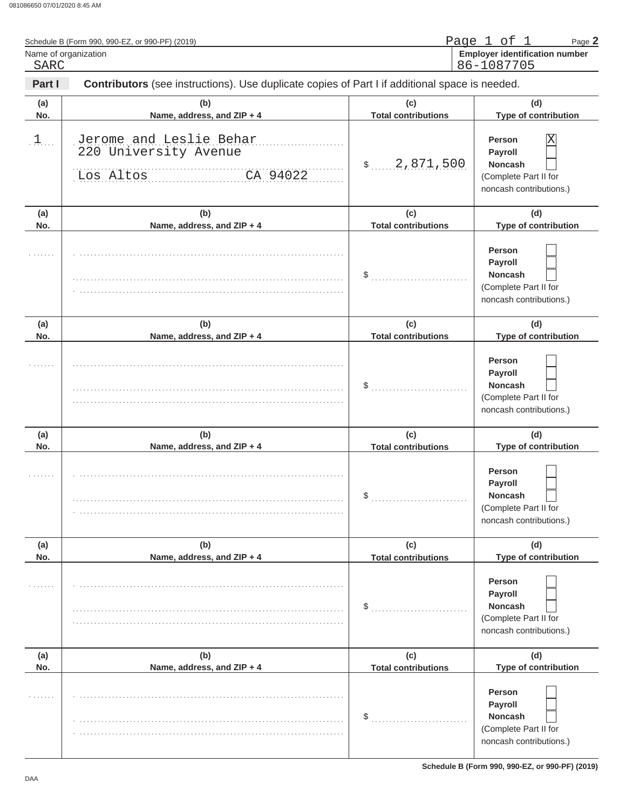| Name of organization<br>SARC | Schedule B (Form 990, 990-EZ, or 990-PF) (2019)                                                |                                   | Page 1 of 1<br>Page 2<br><b>Employer identification number</b><br>86-1087705                 |
|------------------------------|------------------------------------------------------------------------------------------------|-----------------------------------|----------------------------------------------------------------------------------------------|
| Part I                       | Contributors (see instructions). Use duplicate copies of Part I if additional space is needed. |                                   |                                                                                              |
| (a)<br>No.                   | (b)<br>Name, address, and ZIP + 4                                                              | (c)<br><b>Total contributions</b> | (d)<br>Type of contribution                                                                  |
| $\downarrow$                 | Jerome and Leslie Behar<br>220 University Avenue<br>CA 94022<br>Los Altos                      | \$ 2,871,500                      | Person<br>Χ<br>Payroll<br><b>Noncash</b><br>(Complete Part II for<br>noncash contributions.) |
| (a)<br>No.                   | (b)<br>Name, address, and ZIP + 4                                                              | (c)<br><b>Total contributions</b> | (d)<br>Type of contribution                                                                  |
|                              |                                                                                                | $\sim$                            | Person<br>Payroll<br><b>Noncash</b><br>(Complete Part II for<br>noncash contributions.)      |
| (a)<br>No.                   | (b)<br>Name, address, and ZIP + 4                                                              | (c)<br><b>Total contributions</b> | (d)<br>Type of contribution                                                                  |
|                              |                                                                                                | \$                                | Person<br>Payroll<br><b>Noncash</b><br>(Complete Part II for<br>noncash contributions.)      |
| (a)<br>No.                   | (b)<br>Name, address, and ZIP + 4                                                              | (c)<br><b>Total contributions</b> | (d)<br>Type of contribution                                                                  |
|                              |                                                                                                | \$                                | <b>Person</b><br>Payroll<br>Noncash<br>(Complete Part II for<br>noncash contributions.)      |
| (a)<br>No.                   | (b)<br>Name, address, and ZIP + 4                                                              | (c)<br><b>Total contributions</b> | (d)<br>Type of contribution                                                                  |
|                              |                                                                                                | \$                                | Person<br>Payroll<br>Noncash<br>(Complete Part II for<br>noncash contributions.)             |
| (a)<br>No.                   | (b)<br>Name, address, and ZIP + 4                                                              | (c)<br><b>Total contributions</b> | (d)<br>Type of contribution                                                                  |
|                              |                                                                                                | \$                                | Person<br><b>Payroll</b><br>Noncash<br>(Complete Part II for<br>noncash contributions.)      |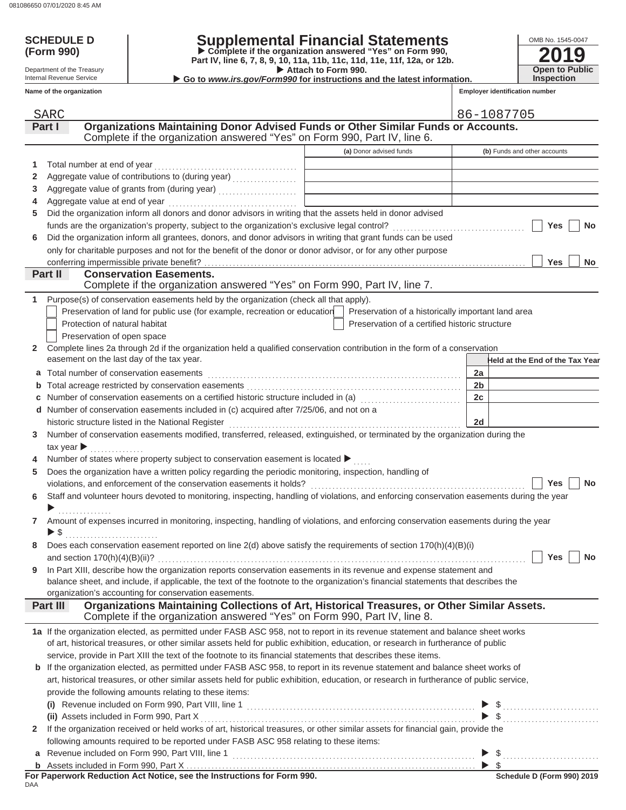## **SCHEDULE D Supplemental Financial Statements**

Attach to Form 990. **(Form 990) Permify Complete if the organization answered "Yes" on Form 990,**<br>Part IV, line 6, 7, 8, 9, 10, 11a, 11b, 11c, 11d, 11e, 11f, 12a, or 12b.

▶ Go to *www.irs.gov/Form990* for instructions and the latest information.

| OMB No. 1545-0047     |
|-----------------------|
| 2019                  |
| <b>Open to Public</b> |
| <b>Inspection</b>     |

**Employer identification number**

Internal Revenue Service **Name of the organization**

Department of the Treasury

|              | <b>SARC</b>                                                                                                                               |                                                    |                | 86-1087705                      |
|--------------|-------------------------------------------------------------------------------------------------------------------------------------------|----------------------------------------------------|----------------|---------------------------------|
|              | Organizations Maintaining Donor Advised Funds or Other Similar Funds or Accounts.<br>Part I                                               |                                                    |                |                                 |
|              | Complete if the organization answered "Yes" on Form 990, Part IV, line 6.                                                                 |                                                    |                |                                 |
|              |                                                                                                                                           | (a) Donor advised funds                            |                | (b) Funds and other accounts    |
| 1            |                                                                                                                                           |                                                    |                |                                 |
| 2            |                                                                                                                                           |                                                    |                |                                 |
| 3            |                                                                                                                                           |                                                    |                |                                 |
| 4            |                                                                                                                                           |                                                    |                |                                 |
| 5            | Did the organization inform all donors and donor advisors in writing that the assets held in donor advised                                |                                                    |                |                                 |
|              |                                                                                                                                           |                                                    |                | Yes<br><b>No</b>                |
| 6            | Did the organization inform all grantees, donors, and donor advisors in writing that grant funds can be used                              |                                                    |                |                                 |
|              | only for charitable purposes and not for the benefit of the donor or donor advisor, or for any other purpose                              |                                                    |                |                                 |
|              |                                                                                                                                           |                                                    |                | Yes<br><b>No</b>                |
|              | Part II<br><b>Conservation Easements.</b>                                                                                                 |                                                    |                |                                 |
|              | Complete if the organization answered "Yes" on Form 990, Part IV, line 7.                                                                 |                                                    |                |                                 |
| 1            | Purpose(s) of conservation easements held by the organization (check all that apply).                                                     |                                                    |                |                                 |
|              | Preservation of land for public use (for example, recreation or education                                                                 | Preservation of a historically important land area |                |                                 |
|              | Protection of natural habitat                                                                                                             | Preservation of a certified historic structure     |                |                                 |
|              | Preservation of open space                                                                                                                |                                                    |                |                                 |
| $\mathbf{2}$ | Complete lines 2a through 2d if the organization held a qualified conservation contribution in the form of a conservation                 |                                                    |                |                                 |
|              | easement on the last day of the tax year.                                                                                                 |                                                    |                | Held at the End of the Tax Year |
|              | a Total number of conservation easements                                                                                                  |                                                    | 2a             |                                 |
|              |                                                                                                                                           |                                                    | 2 <sub>b</sub> |                                 |
|              | Number of conservation easements on a certified historic structure included in (a) [11] Number of conservation                            |                                                    | 2c             |                                 |
|              | d Number of conservation easements included in (c) acquired after 7/25/06, and not on a                                                   |                                                    |                |                                 |
|              |                                                                                                                                           |                                                    | 2d             |                                 |
| 3            | Number of conservation easements modified, transferred, released, extinguished, or terminated by the organization during the              |                                                    |                |                                 |
|              | tax year $\blacktriangleright$                                                                                                            |                                                    |                |                                 |
|              | Number of states where property subject to conservation easement is located ▶                                                             |                                                    |                |                                 |
| 5            | Does the organization have a written policy regarding the periodic monitoring, inspection, handling of                                    |                                                    |                |                                 |
|              |                                                                                                                                           |                                                    |                | Yes<br><b>No</b>                |
| 6            | Staff and volunteer hours devoted to monitoring, inspecting, handling of violations, and enforcing conservation easements during the year |                                                    |                |                                 |
|              |                                                                                                                                           |                                                    |                |                                 |
| $\mathbf{7}$ | Amount of expenses incurred in monitoring, inspecting, handling of violations, and enforcing conservation easements during the year       |                                                    |                |                                 |
|              | ▶ \$                                                                                                                                      |                                                    |                |                                 |
| 8            | Does each conservation easement reported on line 2(d) above satisfy the requirements of section 170(h)(4)(B)(i)                           |                                                    |                |                                 |
|              |                                                                                                                                           |                                                    |                | Yes<br><b>No</b>                |
| 9            | In Part XIII, describe how the organization reports conservation easements in its revenue and expense statement and                       |                                                    |                |                                 |
|              | balance sheet, and include, if applicable, the text of the footnote to the organization's financial statements that describes the         |                                                    |                |                                 |
|              | organization's accounting for conservation easements.                                                                                     |                                                    |                |                                 |
|              | Organizations Maintaining Collections of Art, Historical Treasures, or Other Similar Assets.<br><b>Part III</b>                           |                                                    |                |                                 |
|              | Complete if the organization answered "Yes" on Form 990, Part IV, line 8.                                                                 |                                                    |                |                                 |
|              | 1a If the organization elected, as permitted under FASB ASC 958, not to report in its revenue statement and balance sheet works           |                                                    |                |                                 |
|              | of art, historical treasures, or other similar assets held for public exhibition, education, or research in furtherance of public         |                                                    |                |                                 |
|              | service, provide in Part XIII the text of the footnote to its financial statements that describes these items.                            |                                                    |                |                                 |
|              | <b>b</b> If the organization elected, as permitted under FASB ASC 958, to report in its revenue statement and balance sheet works of      |                                                    |                |                                 |
|              | art, historical treasures, or other similar assets held for public exhibition, education, or research in furtherance of public service,   |                                                    |                |                                 |
|              | provide the following amounts relating to these items:                                                                                    |                                                    |                |                                 |
|              |                                                                                                                                           |                                                    |                |                                 |
|              | (ii) Assets included in Form 990, Part X                                                                                                  |                                                    |                | $\$\ldots$                      |
| $\mathbf{2}$ | If the organization received or held works of art, historical treasures, or other similar assets for financial gain, provide the          |                                                    |                |                                 |
|              | following amounts required to be reported under FASB ASC 958 relating to these items:                                                     |                                                    |                |                                 |
|              |                                                                                                                                           |                                                    |                | $\$\ldots$                      |
|              |                                                                                                                                           |                                                    |                |                                 |
|              |                                                                                                                                           |                                                    |                | Schedule D (Form 990) 2019      |

n ui<br>DAA **FIND REDUCTIONS TOT FORM 990.**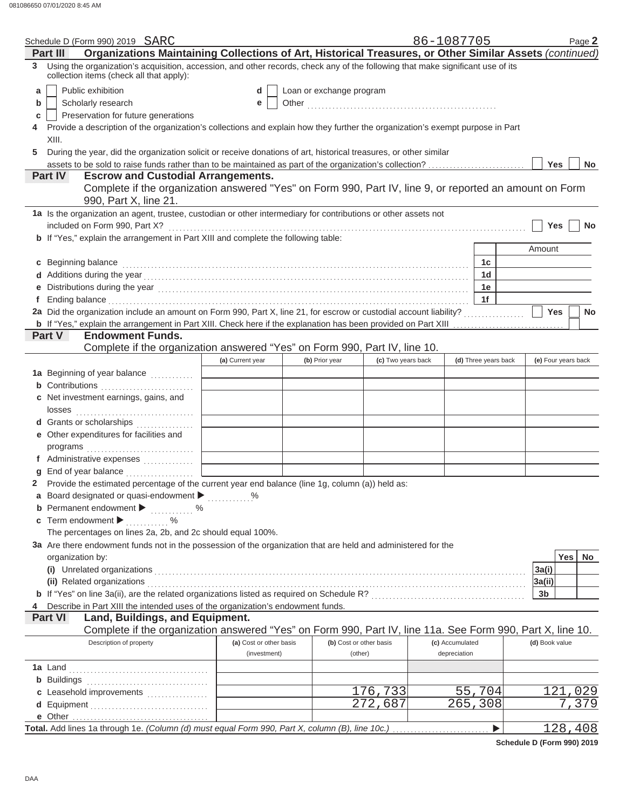|   | Schedule D (Form 990) 2019 SARC                                                                                                                                                                                                |                         |                          |                         | 86-1087705      |                       | Page 2                  |
|---|--------------------------------------------------------------------------------------------------------------------------------------------------------------------------------------------------------------------------------|-------------------------|--------------------------|-------------------------|-----------------|-----------------------|-------------------------|
|   | Organizations Maintaining Collections of Art, Historical Treasures, or Other Similar Assets (continued)<br>Part III                                                                                                            |                         |                          |                         |                 |                       |                         |
|   | 3 Using the organization's acquisition, accession, and other records, check any of the following that make significant use of its<br>collection items (check all that apply):                                                  |                         |                          |                         |                 |                       |                         |
| a | Public exhibition                                                                                                                                                                                                              | d                       | Loan or exchange program |                         |                 |                       |                         |
| b | Scholarly research                                                                                                                                                                                                             | е                       |                          |                         |                 |                       |                         |
| с | Preservation for future generations                                                                                                                                                                                            |                         |                          |                         |                 |                       |                         |
|   | Provide a description of the organization's collections and explain how they further the organization's exempt purpose in Part                                                                                                 |                         |                          |                         |                 |                       |                         |
|   | XIII.                                                                                                                                                                                                                          |                         |                          |                         |                 |                       |                         |
| 5 | During the year, did the organization solicit or receive donations of art, historical treasures, or other similar                                                                                                              |                         |                          |                         |                 |                       |                         |
|   | assets to be sold to raise funds rather than to be maintained as part of the organization's collection?                                                                                                                        |                         |                          |                         |                 |                       | Yes<br><b>No</b>        |
|   | <b>Escrow and Custodial Arrangements.</b><br>Part IV                                                                                                                                                                           |                         |                          |                         |                 |                       |                         |
|   | Complete if the organization answered "Yes" on Form 990, Part IV, line 9, or reported an amount on Form                                                                                                                        |                         |                          |                         |                 |                       |                         |
|   | 990, Part X, line 21.                                                                                                                                                                                                          |                         |                          |                         |                 |                       |                         |
|   | 1a Is the organization an agent, trustee, custodian or other intermediary for contributions or other assets not                                                                                                                |                         |                          |                         |                 |                       |                         |
|   | included on Form 990, Part X?                                                                                                                                                                                                  |                         |                          |                         |                 |                       | <b>Yes</b><br><b>No</b> |
|   | b If "Yes," explain the arrangement in Part XIII and complete the following table:                                                                                                                                             |                         |                          |                         |                 |                       |                         |
|   |                                                                                                                                                                                                                                |                         |                          |                         |                 |                       | Amount                  |
|   |                                                                                                                                                                                                                                |                         |                          |                         |                 | 1c                    |                         |
|   | c Beginning balance                                                                                                                                                                                                            |                         |                          |                         |                 | 1 <sub>d</sub>        |                         |
|   |                                                                                                                                                                                                                                |                         |                          |                         |                 |                       |                         |
|   |                                                                                                                                                                                                                                |                         |                          |                         |                 | 1e<br>1f              |                         |
|   | Ending balance continuum continuum continuum continuum continuum continuum continuum continuum continuum continuum continuum continuum continuum continuum continuum continuum continuum continuum continuum continuum continu |                         |                          |                         |                 |                       |                         |
|   | 2a Did the organization include an amount on Form 990, Part X, line 21, for escrow or custodial account liability?                                                                                                             |                         |                          |                         |                 |                       | Yes<br><b>No</b>        |
|   | b If "Yes," explain the arrangement in Part XIII. Check here if the explanation has been provided on Part XIII                                                                                                                 |                         |                          |                         |                 |                       |                         |
|   | <b>Part V</b><br><b>Endowment Funds.</b>                                                                                                                                                                                       |                         |                          |                         |                 |                       |                         |
|   | Complete if the organization answered "Yes" on Form 990, Part IV, line 10.                                                                                                                                                     |                         |                          |                         |                 |                       |                         |
|   |                                                                                                                                                                                                                                | (a) Current year        | (b) Prior year           | (c) Two years back      |                 | (d) Three years back  | (e) Four years back     |
|   | 1a Beginning of year balance                                                                                                                                                                                                   |                         |                          |                         |                 |                       |                         |
|   | <b>b</b> Contributions <b>contributions</b>                                                                                                                                                                                    |                         |                          |                         |                 |                       |                         |
|   | c Net investment earnings, gains, and                                                                                                                                                                                          |                         |                          |                         |                 |                       |                         |
|   | losses                                                                                                                                                                                                                         |                         |                          |                         |                 |                       |                         |
|   | d Grants or scholarships                                                                                                                                                                                                       |                         |                          |                         |                 |                       |                         |
|   | e Other expenditures for facilities and                                                                                                                                                                                        |                         |                          |                         |                 |                       |                         |
|   |                                                                                                                                                                                                                                |                         |                          |                         |                 |                       |                         |
|   | f Administrative expenses                                                                                                                                                                                                      |                         |                          |                         |                 |                       |                         |
|   | $g$ End of year balance $\ldots$                                                                                                                                                                                               |                         |                          |                         |                 |                       |                         |
|   | 2 Provide the estimated percentage of the current year end balance (line 1g, column (a)) held as:                                                                                                                              |                         |                          |                         |                 |                       |                         |
|   | a Board designated or quasi-endowment > %                                                                                                                                                                                      |                         |                          |                         |                 |                       |                         |
|   | <b>b</b> Permanent endowment $\blacktriangleright$<br>. %                                                                                                                                                                      |                         |                          |                         |                 |                       |                         |
|   | c Term endowment $\blacktriangleright$<br>$\%$                                                                                                                                                                                 |                         |                          |                         |                 |                       |                         |
|   | The percentages on lines 2a, 2b, and 2c should equal 100%.                                                                                                                                                                     |                         |                          |                         |                 |                       |                         |
|   | 3a Are there endowment funds not in the possession of the organization that are held and administered for the                                                                                                                  |                         |                          |                         |                 |                       |                         |
|   | organization by:                                                                                                                                                                                                               |                         |                          |                         |                 |                       | <b>Yes</b><br>No.       |
|   | (i) Unrelated organizations                                                                                                                                                                                                    |                         |                          |                         |                 |                       | 3a(i)                   |
|   | (ii) Related organizations                                                                                                                                                                                                     |                         |                          |                         |                 |                       | 3a(ii)                  |
|   |                                                                                                                                                                                                                                |                         |                          |                         |                 |                       | 3b                      |
|   | Describe in Part XIII the intended uses of the organization's endowment funds.                                                                                                                                                 |                         |                          |                         |                 |                       |                         |
|   | <b>Part VI</b><br>Land, Buildings, and Equipment.                                                                                                                                                                              |                         |                          |                         |                 |                       |                         |
|   | Complete if the organization answered "Yes" on Form 990, Part IV, line 11a. See Form 990, Part X, line 10.                                                                                                                     |                         |                          |                         |                 |                       |                         |
|   | Description of property                                                                                                                                                                                                        | (a) Cost or other basis |                          | (b) Cost or other basis | (c) Accumulated |                       | (d) Book value          |
|   |                                                                                                                                                                                                                                | (investment)            |                          | (other)                 | depreciation    |                       |                         |
|   | <b>1a</b> Land                                                                                                                                                                                                                 |                         |                          |                         |                 |                       |                         |
|   | <b>b</b> Buildings                                                                                                                                                                                                             |                         |                          |                         |                 |                       |                         |
|   | c Leasehold improvements                                                                                                                                                                                                       |                         |                          | 176,733                 |                 | 55,704                | 121,029                 |
|   |                                                                                                                                                                                                                                |                         |                          | 272,687                 |                 | $\overline{2}$ 65,308 | 7,379                   |
|   |                                                                                                                                                                                                                                |                         |                          |                         |                 |                       |                         |
|   |                                                                                                                                                                                                                                |                         |                          |                         |                 | ▶                     | 128,408                 |
|   |                                                                                                                                                                                                                                |                         |                          |                         |                 |                       |                         |

**Schedule D (Form 990) 2019**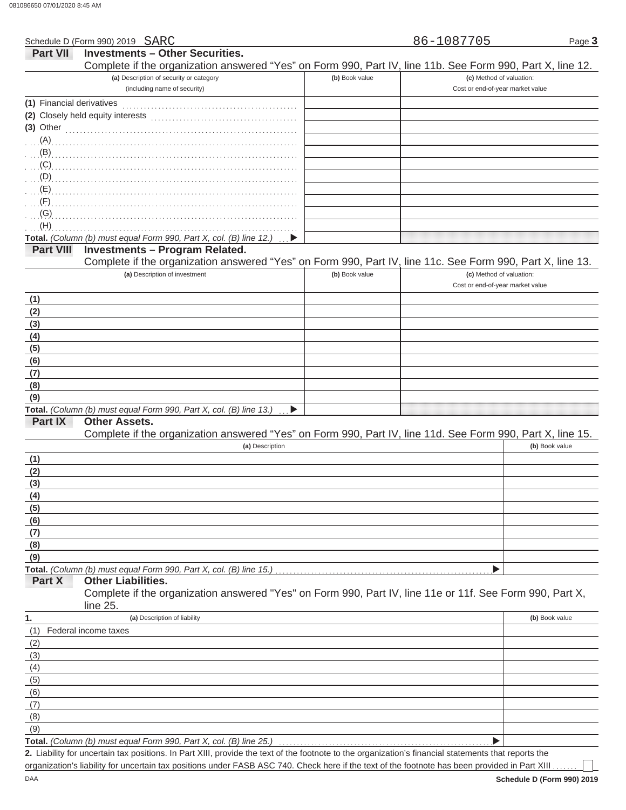Schedule D (Form 990) 2019 SARC

Page **3**

| Part VII                  | <b>Investments - Other Securities.</b>                                                                                                                                                                                                                                                                                             |                |                                  |
|---------------------------|------------------------------------------------------------------------------------------------------------------------------------------------------------------------------------------------------------------------------------------------------------------------------------------------------------------------------------|----------------|----------------------------------|
|                           | Complete if the organization answered "Yes" on Form 990, Part IV, line 11b. See Form 990, Part X, line 12.                                                                                                                                                                                                                         |                |                                  |
|                           | (a) Description of security or category                                                                                                                                                                                                                                                                                            | (b) Book value | (c) Method of valuation:         |
|                           | (including name of security)                                                                                                                                                                                                                                                                                                       |                | Cost or end-of-year market value |
| (1) Financial derivatives |                                                                                                                                                                                                                                                                                                                                    |                |                                  |
|                           |                                                                                                                                                                                                                                                                                                                                    |                |                                  |
| $(3)$ Other               |                                                                                                                                                                                                                                                                                                                                    |                |                                  |
|                           |                                                                                                                                                                                                                                                                                                                                    |                |                                  |
|                           |                                                                                                                                                                                                                                                                                                                                    |                |                                  |
|                           | $\overline{a}$ (C) $\overline{a}$ (C) $\overline{a}$ (C) $\overline{a}$ (C) $\overline{a}$ (C) $\overline{a}$ (C) $\overline{a}$ (C) $\overline{a}$ (C) $\overline{a}$ (C) $\overline{a}$ (C) $\overline{a}$ (C) $\overline{a}$ (C) $\overline{a}$ (C) $\overline{a}$ (C) $\overline{a}$ (C) $\overline{a}$ (C) $\overline{a}$ (C) |                |                                  |
|                           |                                                                                                                                                                                                                                                                                                                                    |                |                                  |
|                           |                                                                                                                                                                                                                                                                                                                                    |                |                                  |
| (F)                       |                                                                                                                                                                                                                                                                                                                                    |                |                                  |
| (G)<br>(H)                |                                                                                                                                                                                                                                                                                                                                    |                |                                  |
|                           | Total. (Column (b) must equal Form 990, Part X, col. (B) line 12.)                                                                                                                                                                                                                                                                 |                |                                  |
| <b>Part VIII</b>          | <b>Investments - Program Related.</b>                                                                                                                                                                                                                                                                                              |                |                                  |
|                           | Complete if the organization answered "Yes" on Form 990, Part IV, line 11c. See Form 990, Part X, line 13.                                                                                                                                                                                                                         |                |                                  |
|                           | (a) Description of investment                                                                                                                                                                                                                                                                                                      | (b) Book value | (c) Method of valuation:         |
|                           |                                                                                                                                                                                                                                                                                                                                    |                | Cost or end-of-year market value |
| (1)                       |                                                                                                                                                                                                                                                                                                                                    |                |                                  |
| (2)                       |                                                                                                                                                                                                                                                                                                                                    |                |                                  |
| (3)                       |                                                                                                                                                                                                                                                                                                                                    |                |                                  |
| (4)                       |                                                                                                                                                                                                                                                                                                                                    |                |                                  |
| (5)                       |                                                                                                                                                                                                                                                                                                                                    |                |                                  |
| (6)                       |                                                                                                                                                                                                                                                                                                                                    |                |                                  |
| (7)                       |                                                                                                                                                                                                                                                                                                                                    |                |                                  |
| (8)                       |                                                                                                                                                                                                                                                                                                                                    |                |                                  |
| (9)                       |                                                                                                                                                                                                                                                                                                                                    |                |                                  |
|                           | Total. (Column (b) must equal Form 990, Part X, col. (B) line 13.)<br>▶                                                                                                                                                                                                                                                            |                |                                  |
| <b>Part IX</b>            | <b>Other Assets.</b>                                                                                                                                                                                                                                                                                                               |                |                                  |
|                           | Complete if the organization answered "Yes" on Form 990, Part IV, line 11d. See Form 990, Part X, line 15.                                                                                                                                                                                                                         |                |                                  |
|                           | (a) Description                                                                                                                                                                                                                                                                                                                    |                | (b) Book value                   |
| (1)                       |                                                                                                                                                                                                                                                                                                                                    |                |                                  |
| (2)                       |                                                                                                                                                                                                                                                                                                                                    |                |                                  |
| (3)                       |                                                                                                                                                                                                                                                                                                                                    |                |                                  |
| (4)                       |                                                                                                                                                                                                                                                                                                                                    |                |                                  |
| (5)                       |                                                                                                                                                                                                                                                                                                                                    |                |                                  |
| (6)                       |                                                                                                                                                                                                                                                                                                                                    |                |                                  |
| (7)                       |                                                                                                                                                                                                                                                                                                                                    |                |                                  |
| (8)                       |                                                                                                                                                                                                                                                                                                                                    |                |                                  |
| (9)                       | Total. (Column (b) must equal Form 990, Part X, col. (B) line 15.)                                                                                                                                                                                                                                                                 |                |                                  |
| Part X                    | <b>Other Liabilities.</b>                                                                                                                                                                                                                                                                                                          |                |                                  |
|                           | Complete if the organization answered "Yes" on Form 990, Part IV, line 11e or 11f. See Form 990, Part X,                                                                                                                                                                                                                           |                |                                  |
|                           | line 25.                                                                                                                                                                                                                                                                                                                           |                |                                  |
| 1.                        | (a) Description of liability                                                                                                                                                                                                                                                                                                       |                | (b) Book value                   |
| (1)                       | Federal income taxes                                                                                                                                                                                                                                                                                                               |                |                                  |
| (2)                       |                                                                                                                                                                                                                                                                                                                                    |                |                                  |
| (3)                       |                                                                                                                                                                                                                                                                                                                                    |                |                                  |
| (4)                       |                                                                                                                                                                                                                                                                                                                                    |                |                                  |
| (5)                       |                                                                                                                                                                                                                                                                                                                                    |                |                                  |
| (6)                       |                                                                                                                                                                                                                                                                                                                                    |                |                                  |
| (7)                       |                                                                                                                                                                                                                                                                                                                                    |                |                                  |
| (8)                       |                                                                                                                                                                                                                                                                                                                                    |                |                                  |
| (9)                       |                                                                                                                                                                                                                                                                                                                                    |                |                                  |
|                           | Total. (Column (b) must equal Form 990, Part X, col. (B) line 25.)                                                                                                                                                                                                                                                                 |                |                                  |

Liability for uncertain tax positions. In Part XIII, provide the text of the footnote to the organization's financial statements that reports the **2.** organization's liability for uncertain tax positions under FASB ASC 740. Check here if the text of the footnote has been provided in Part XIII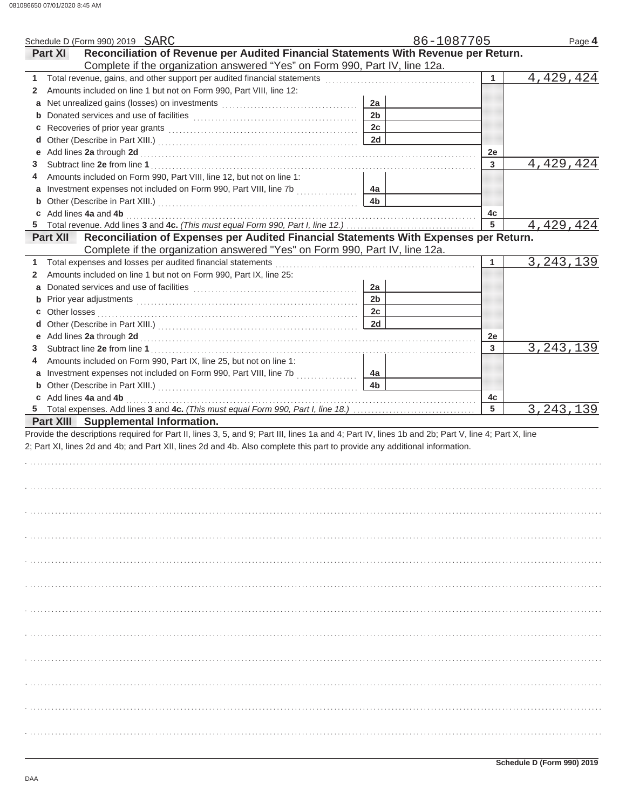|                | Schedule D (Form 990) 2019 SARC                                                                                                                    |                | 86-1087705      | Page 4      |
|----------------|----------------------------------------------------------------------------------------------------------------------------------------------------|----------------|-----------------|-------------|
| <b>Part XI</b> | Reconciliation of Revenue per Audited Financial Statements With Revenue per Return.                                                                |                |                 |             |
|                | Complete if the organization answered "Yes" on Form 990, Part IV, line 12a.                                                                        |                |                 |             |
| 1.             |                                                                                                                                                    |                | 1               | 4,429,424   |
| $\mathbf{2}$   | Amounts included on line 1 but not on Form 990, Part VIII, line 12:                                                                                |                |                 |             |
|                |                                                                                                                                                    | 2a             |                 |             |
|                |                                                                                                                                                    | 2 <sub>b</sub> |                 |             |
|                |                                                                                                                                                    | 2c             |                 |             |
|                |                                                                                                                                                    | 2d             |                 |             |
| е              | Add lines 2a through 2d [11, 12] March 2014 (12) March 2014 (12) March 2014 (12) March 2014 (12) March 2014 (1                                     |                | 2e              |             |
| 3              |                                                                                                                                                    |                | 3               | 4,429,424   |
| 4              | Amounts included on Form 990, Part VIII, line 12, but not on line 1:                                                                               |                |                 |             |
|                |                                                                                                                                                    | 4a             |                 |             |
|                |                                                                                                                                                    | 4 <sub>b</sub> |                 |             |
|                | c Add lines 4a and 4b                                                                                                                              |                | 4c              |             |
|                |                                                                                                                                                    |                | $5\phantom{.0}$ | 4,429,424   |
|                | Part XII Reconciliation of Expenses per Audited Financial Statements With Expenses per Return.                                                     |                |                 |             |
|                | Complete if the organization answered "Yes" on Form 990, Part IV, line 12a.                                                                        |                |                 |             |
| 1.             | Total expenses and losses per audited financial statements                                                                                         |                | 1               | 3, 243, 139 |
| 2              | Amounts included on line 1 but not on Form 990, Part IX, line 25:                                                                                  |                |                 |             |
|                |                                                                                                                                                    | 2a             |                 |             |
|                |                                                                                                                                                    | 2 <sub>b</sub> |                 |             |
|                |                                                                                                                                                    | 2c             |                 |             |
|                |                                                                                                                                                    | 2d             |                 |             |
|                |                                                                                                                                                    |                | 2e              |             |
| 3              |                                                                                                                                                    |                | 3               | 3, 243, 139 |
| 4              | Amounts included on Form 990, Part IX, line 25, but not on line 1:                                                                                 |                |                 |             |
|                |                                                                                                                                                    | 4a             |                 |             |
|                |                                                                                                                                                    |                |                 |             |
|                |                                                                                                                                                    |                |                 |             |
|                |                                                                                                                                                    | 4 <sub>b</sub> |                 |             |
|                | c Add lines 4a and 4b                                                                                                                              |                | 4c              |             |
|                |                                                                                                                                                    |                | 5               | 3, 243, 139 |
|                | <b>Part XIII</b> Supplemental Information.                                                                                                         |                |                 |             |
|                | Provide the descriptions required for Part II, lines 3, 5, and 9; Part III, lines 1a and 4; Part IV, lines 1b and 2b; Part V, line 4; Part X, line |                |                 |             |
|                | 2; Part XI, lines 2d and 4b; and Part XII, lines 2d and 4b. Also complete this part to provide any additional information.                         |                |                 |             |
|                |                                                                                                                                                    |                |                 |             |
|                |                                                                                                                                                    |                |                 |             |
|                |                                                                                                                                                    |                |                 |             |
|                |                                                                                                                                                    |                |                 |             |
|                |                                                                                                                                                    |                |                 |             |
|                |                                                                                                                                                    |                |                 |             |
|                |                                                                                                                                                    |                |                 |             |
|                |                                                                                                                                                    |                |                 |             |
|                |                                                                                                                                                    |                |                 |             |
|                |                                                                                                                                                    |                |                 |             |
|                |                                                                                                                                                    |                |                 |             |
|                |                                                                                                                                                    |                |                 |             |
|                |                                                                                                                                                    |                |                 |             |
|                |                                                                                                                                                    |                |                 |             |
|                |                                                                                                                                                    |                |                 |             |
|                |                                                                                                                                                    |                |                 |             |
|                |                                                                                                                                                    |                |                 |             |
|                |                                                                                                                                                    |                |                 |             |
|                |                                                                                                                                                    |                |                 |             |
|                |                                                                                                                                                    |                |                 |             |
|                |                                                                                                                                                    |                |                 |             |
|                |                                                                                                                                                    |                |                 |             |
|                |                                                                                                                                                    |                |                 |             |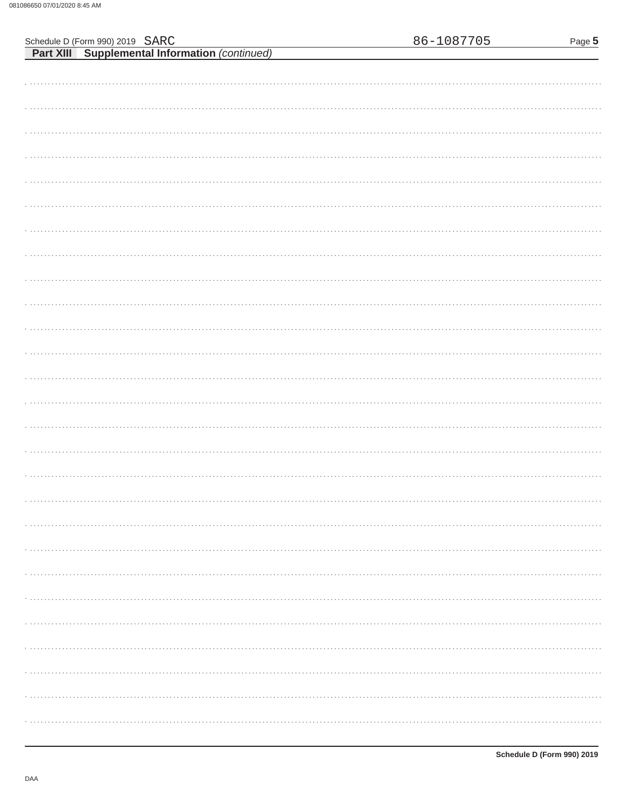| Schedule D (Form 990) 2019 SARC                       | 86-1087705 | Page 5 |
|-------------------------------------------------------|------------|--------|
| <b>Part XIII</b> Supplemental Information (continued) |            |        |
|                                                       |            |        |
|                                                       |            |        |
|                                                       |            |        |
|                                                       |            |        |
|                                                       |            |        |
|                                                       |            |        |
|                                                       |            |        |
|                                                       |            |        |
|                                                       |            |        |
|                                                       |            |        |
|                                                       |            |        |
|                                                       |            |        |
|                                                       |            |        |
|                                                       |            |        |
|                                                       |            |        |
|                                                       |            |        |
|                                                       |            |        |
|                                                       |            |        |
|                                                       |            |        |
|                                                       |            |        |
|                                                       |            |        |
|                                                       |            |        |
|                                                       |            |        |
|                                                       |            |        |
|                                                       |            |        |
|                                                       |            |        |
|                                                       |            |        |
|                                                       |            |        |
|                                                       |            |        |
|                                                       |            |        |
|                                                       |            |        |
|                                                       |            |        |
|                                                       |            |        |
|                                                       |            |        |
|                                                       |            |        |
|                                                       |            |        |
|                                                       |            |        |
|                                                       |            |        |
|                                                       |            |        |
|                                                       |            |        |
|                                                       |            |        |
|                                                       |            |        |
|                                                       |            |        |
|                                                       |            |        |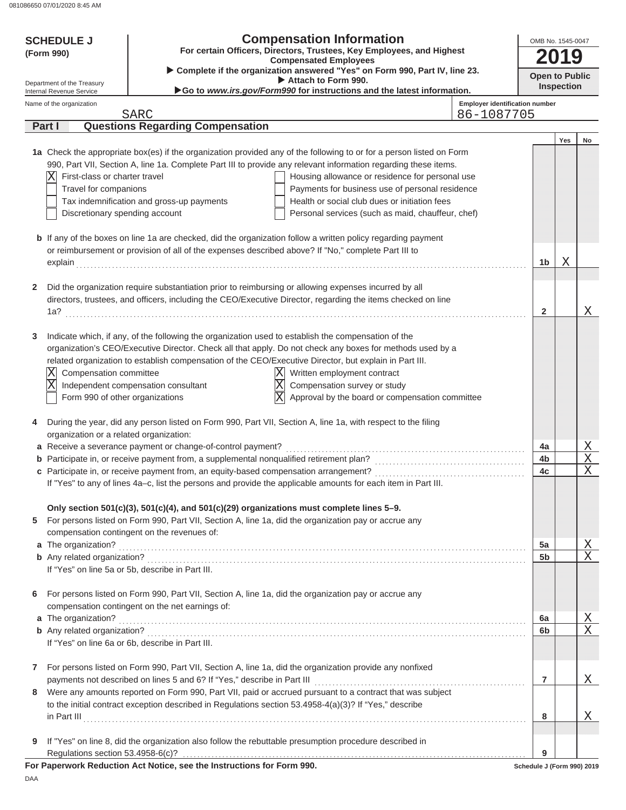| <b>SCHEDULE J</b>                                      |                               | <b>Compensation Information</b>                                                                     |                                                                                                                      | OMB No. 1545-0047                     |                            |     |        |
|--------------------------------------------------------|-------------------------------|-----------------------------------------------------------------------------------------------------|----------------------------------------------------------------------------------------------------------------------|---------------------------------------|----------------------------|-----|--------|
| (Form 990)                                             |                               |                                                                                                     | For certain Officers, Directors, Trustees, Key Employees, and Highest<br><b>Compensated Employees</b>                |                                       |                            |     |        |
|                                                        |                               |                                                                                                     | Complete if the organization answered "Yes" on Form 990, Part IV, line 23.<br>Attach to Form 990.                    |                                       | <b>Open to Public</b>      |     |        |
| Department of the Treasury<br>Internal Revenue Service |                               |                                                                                                     | Go to www.irs.gov/Form990 for instructions and the latest information.                                               |                                       | <b>Inspection</b>          |     |        |
| Name of the organization                               |                               |                                                                                                     |                                                                                                                      | <b>Employer identification number</b> |                            |     |        |
| Part I                                                 |                               | <b>SARC</b><br><b>Questions Regarding Compensation</b>                                              |                                                                                                                      | 86-1087705                            |                            |     |        |
|                                                        |                               |                                                                                                     |                                                                                                                      |                                       |                            | Yes | No     |
|                                                        |                               |                                                                                                     | 1a Check the appropriate box(es) if the organization provided any of the following to or for a person listed on Form |                                       |                            |     |        |
|                                                        |                               |                                                                                                     | 990, Part VII, Section A, line 1a. Complete Part III to provide any relevant information regarding these items.      |                                       |                            |     |        |
| ΙX                                                     | First-class or charter travel |                                                                                                     | Housing allowance or residence for personal use                                                                      |                                       |                            |     |        |
|                                                        | Travel for companions         |                                                                                                     | Payments for business use of personal residence                                                                      |                                       |                            |     |        |
|                                                        |                               | Tax indemnification and gross-up payments                                                           | Health or social club dues or initiation fees                                                                        |                                       |                            |     |        |
|                                                        |                               | Discretionary spending account                                                                      | Personal services (such as maid, chauffeur, chef)                                                                    |                                       |                            |     |        |
|                                                        |                               |                                                                                                     | <b>b</b> If any of the boxes on line 1a are checked, did the organization follow a written policy regarding payment  |                                       |                            |     |        |
|                                                        |                               | or reimbursement or provision of all of the expenses described above? If "No," complete Part III to |                                                                                                                      |                                       |                            |     |        |
|                                                        |                               | explain explain                                                                                     |                                                                                                                      |                                       | 1b                         | Χ   |        |
| 2                                                      |                               |                                                                                                     | Did the organization require substantiation prior to reimbursing or allowing expenses incurred by all                |                                       |                            |     |        |
|                                                        |                               |                                                                                                     | directors, trustees, and officers, including the CEO/Executive Director, regarding the items checked on line         |                                       |                            |     |        |
| 1a?                                                    |                               |                                                                                                     |                                                                                                                      |                                       | $\mathbf{2}$               |     | Χ      |
| 3                                                      |                               | Indicate which, if any, of the following the organization used to establish the compensation of the |                                                                                                                      |                                       |                            |     |        |
|                                                        |                               |                                                                                                     | organization's CEO/Executive Director. Check all that apply. Do not check any boxes for methods used by a            |                                       |                            |     |        |
|                                                        |                               |                                                                                                     | related organization to establish compensation of the CEO/Executive Director, but explain in Part III.               |                                       |                            |     |        |
| $\overline{\mathbf{X}}$                                | Compensation committee        |                                                                                                     | Written employment contract<br>ΙX                                                                                    |                                       |                            |     |        |
| $\overline{\text{X}}$                                  |                               | Independent compensation consultant                                                                 | $\overline{\text{X}}$<br>Compensation survey or study                                                                |                                       |                            |     |        |
|                                                        |                               | Form 990 of other organizations                                                                     | $\overline{\text{x}}$<br>Approval by the board or compensation committee                                             |                                       |                            |     |        |
|                                                        |                               |                                                                                                     |                                                                                                                      |                                       |                            |     |        |
| 4                                                      |                               |                                                                                                     | During the year, did any person listed on Form 990, Part VII, Section A, line 1a, with respect to the filing         |                                       |                            |     |        |
|                                                        |                               | organization or a related organization:                                                             |                                                                                                                      |                                       |                            |     |        |
|                                                        |                               | a Receive a severance payment or change-of-control payment?                                         |                                                                                                                      |                                       | 4a                         |     | Χ      |
|                                                        |                               | <b>b</b> Participate in, or receive payment from, a supplemental nonqualified retirement plan?      |                                                                                                                      |                                       | 4b                         |     | Χ<br>Χ |
|                                                        |                               | c Participate in, or receive payment from, an equity-based compensation arrangement?                | If "Yes" to any of lines 4a-c, list the persons and provide the applicable amounts for each item in Part III.        |                                       | 4c                         |     |        |
|                                                        |                               |                                                                                                     |                                                                                                                      |                                       |                            |     |        |
|                                                        |                               | Only section 501(c)(3), 501(c)(4), and 501(c)(29) organizations must complete lines 5-9.            |                                                                                                                      |                                       |                            |     |        |
| 5                                                      |                               |                                                                                                     | For persons listed on Form 990, Part VII, Section A, line 1a, did the organization pay or accrue any                 |                                       |                            |     |        |
|                                                        |                               | compensation contingent on the revenues of:                                                         |                                                                                                                      |                                       |                            |     |        |
| a The organization?                                    |                               |                                                                                                     |                                                                                                                      |                                       | 5a<br>5b                   |     | Χ<br>X |
|                                                        |                               | If "Yes" on line 5a or 5b, describe in Part III.                                                    |                                                                                                                      |                                       |                            |     |        |
|                                                        |                               |                                                                                                     |                                                                                                                      |                                       |                            |     |        |
| 6                                                      |                               |                                                                                                     | For persons listed on Form 990, Part VII, Section A, line 1a, did the organization pay or accrue any                 |                                       |                            |     |        |
|                                                        |                               | compensation contingent on the net earnings of:                                                     |                                                                                                                      |                                       |                            |     |        |
|                                                        |                               |                                                                                                     |                                                                                                                      |                                       | 6a                         |     | Χ      |
|                                                        |                               | If "Yes" on line 6a or 6b, describe in Part III.                                                    |                                                                                                                      |                                       | 6b                         |     | X      |
|                                                        |                               |                                                                                                     |                                                                                                                      |                                       |                            |     |        |
| $\mathbf{7}$                                           |                               |                                                                                                     | For persons listed on Form 990, Part VII, Section A, line 1a, did the organization provide any nonfixed              |                                       |                            |     |        |
|                                                        |                               | payments not described on lines 5 and 6? If "Yes," describe in Part III                             |                                                                                                                      |                                       | $\overline{7}$             |     | Χ      |
| 8                                                      |                               |                                                                                                     | Were any amounts reported on Form 990, Part VII, paid or accrued pursuant to a contract that was subject             |                                       |                            |     |        |
|                                                        |                               |                                                                                                     | to the initial contract exception described in Regulations section 53.4958-4(a)(3)? If "Yes," describe               |                                       |                            |     |        |
|                                                        |                               |                                                                                                     |                                                                                                                      |                                       | 8                          |     | Χ      |
| 9                                                      |                               |                                                                                                     | If "Yes" on line 8, did the organization also follow the rebuttable presumption procedure described in               |                                       |                            |     |        |
|                                                        |                               |                                                                                                     |                                                                                                                      |                                       | 9                          |     |        |
|                                                        |                               | For Paperwork Reduction Act Notice, see the Instructions for Form 990.                              |                                                                                                                      |                                       | Schedule J (Form 990) 2019 |     |        |

DAA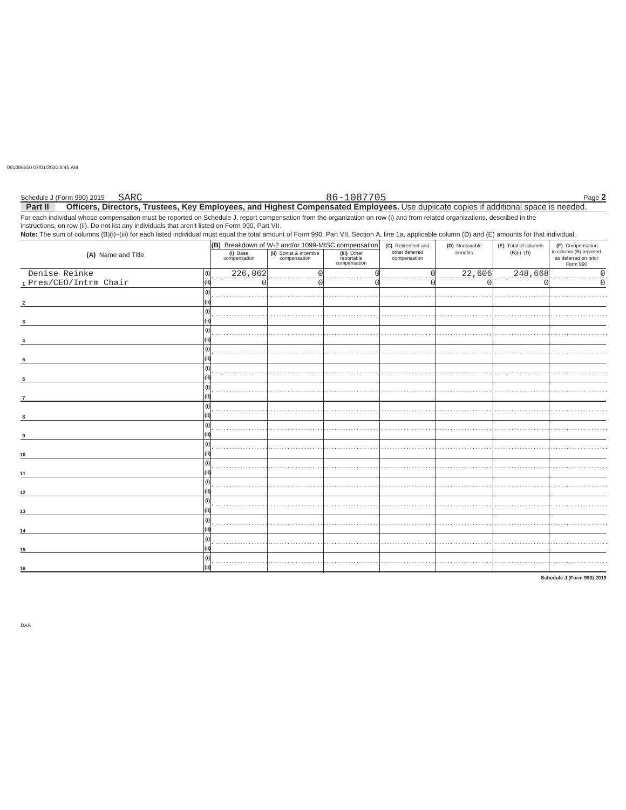081086650 07/01/2020 8:45 AM

| Schedule J (Form 990) 2019 | SARC | 86-1087705                                                                                                                                                                   | Page 2 |
|----------------------------|------|------------------------------------------------------------------------------------------------------------------------------------------------------------------------------|--------|
| Part II                    |      | Officers, Directors, Trustees, Key Employees, and Highest Compensated Employees. Use duplicate copies if additional space is needed.                                         |        |
|                            |      | For each individual whose compensation must be reported on Schedule J, report compensation from the organization on row (i) and from related organizations, described in the |        |

instructions, on row (ii). Do not list any individuals that aren't listed on Form 990, Part VII.<br>Note: The sum of columns (B)(i)–(iii) for each listed individual must equal the total amount of Form 990, Part VII, Section A

|                        | (B) Breakdown of W-2 and/or 1099-MISC compensation |                                        |                                           | (C) Retirement and             | (D) Nontaxable | (E) Total of columns | (F) Compensation                                           |
|------------------------|----------------------------------------------------|----------------------------------------|-------------------------------------------|--------------------------------|----------------|----------------------|------------------------------------------------------------|
| (A) Name and Title     | (i) Base<br>compensation                           | (ii) Bonus & incentive<br>compensation | (iii) Other<br>reportable<br>compensation | other deferred<br>compensation | benefits       | $(B)(i)$ – $(D)$     | in column (B) reported<br>as deferred on prior<br>Form 990 |
| Denise Reinke<br>(i)   | 226,062                                            |                                        |                                           |                                | 22,606         | 248,668              | $\Omega$                                                   |
| 1 Pres/CEO/Intrm Chair |                                                    |                                        |                                           |                                |                |                      | $\Omega$                                                   |
|                        |                                                    |                                        |                                           |                                |                |                      |                                                            |
|                        |                                                    |                                        |                                           |                                |                |                      |                                                            |
|                        |                                                    |                                        |                                           |                                |                |                      |                                                            |
|                        |                                                    |                                        |                                           |                                |                |                      |                                                            |
|                        |                                                    |                                        |                                           |                                |                |                      |                                                            |
|                        |                                                    |                                        |                                           |                                |                |                      |                                                            |
|                        |                                                    |                                        |                                           |                                |                |                      |                                                            |
|                        |                                                    |                                        |                                           |                                |                |                      |                                                            |
|                        |                                                    |                                        |                                           |                                |                |                      |                                                            |
|                        |                                                    |                                        |                                           |                                |                |                      |                                                            |
| 6                      |                                                    |                                        |                                           |                                |                |                      |                                                            |
|                        |                                                    |                                        |                                           |                                |                |                      |                                                            |
| $\overline{7}$         |                                                    |                                        |                                           |                                |                |                      |                                                            |
|                        |                                                    |                                        |                                           |                                |                |                      |                                                            |
| 8                      |                                                    |                                        |                                           |                                |                |                      |                                                            |
|                        |                                                    |                                        |                                           |                                |                |                      |                                                            |
| $\alpha$               |                                                    |                                        |                                           |                                |                |                      |                                                            |
|                        |                                                    |                                        |                                           |                                |                |                      |                                                            |
| 10                     |                                                    |                                        |                                           |                                |                |                      |                                                            |
|                        |                                                    |                                        |                                           |                                |                |                      |                                                            |
| 11                     |                                                    |                                        |                                           |                                |                |                      |                                                            |
|                        |                                                    |                                        |                                           |                                |                |                      |                                                            |
|                        |                                                    |                                        |                                           |                                |                |                      |                                                            |
| $12$                   |                                                    |                                        |                                           |                                |                |                      |                                                            |
|                        |                                                    |                                        |                                           |                                |                |                      |                                                            |
| 13                     |                                                    |                                        |                                           |                                |                |                      |                                                            |
|                        |                                                    |                                        |                                           |                                |                |                      |                                                            |
| 14                     |                                                    |                                        |                                           |                                |                |                      |                                                            |
|                        |                                                    |                                        |                                           |                                |                |                      |                                                            |
| 15                     |                                                    |                                        |                                           |                                |                |                      |                                                            |
| (i)                    |                                                    |                                        |                                           |                                |                |                      |                                                            |
| 16                     |                                                    |                                        |                                           |                                |                |                      |                                                            |

Schedule J (Form 990) 2019

DAA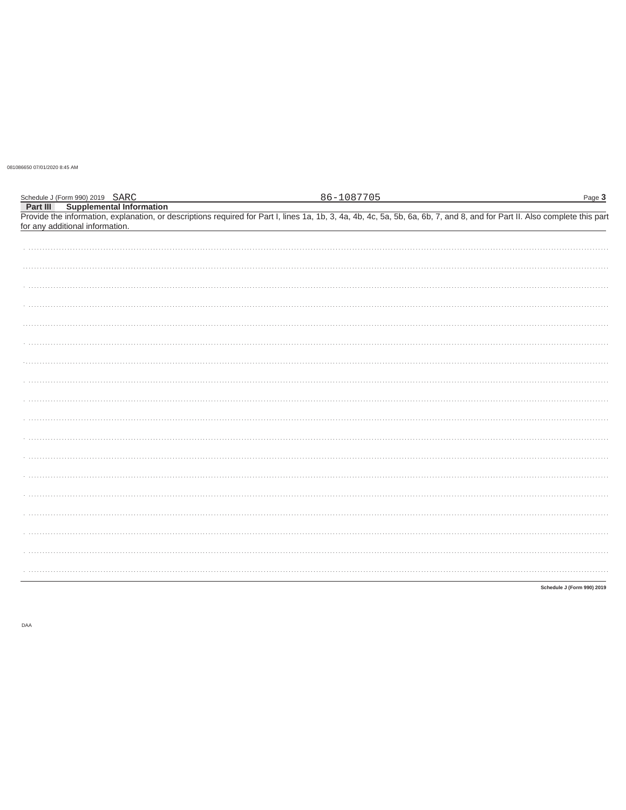081086650 07/01/2020 8:45 AM

| Schedule J (Form 990) 2019 SARC                                                                                                                                                                                                                           | 86-1087705 | Page 3                     |
|-----------------------------------------------------------------------------------------------------------------------------------------------------------------------------------------------------------------------------------------------------------|------------|----------------------------|
| <b>Part III</b> Supplemental Information<br>Provide the information, explanation, or descriptions required for Part I, lines 1a, 1b, 3, 4a, 4b, 4c, 5a, 5b, 6a, 6b, 7, and 8, and for Part II. Also complete this part<br>for any additional information. |            |                            |
|                                                                                                                                                                                                                                                           |            |                            |
|                                                                                                                                                                                                                                                           |            |                            |
|                                                                                                                                                                                                                                                           |            |                            |
|                                                                                                                                                                                                                                                           |            |                            |
|                                                                                                                                                                                                                                                           |            |                            |
|                                                                                                                                                                                                                                                           |            |                            |
|                                                                                                                                                                                                                                                           |            |                            |
|                                                                                                                                                                                                                                                           |            |                            |
|                                                                                                                                                                                                                                                           |            |                            |
|                                                                                                                                                                                                                                                           |            |                            |
|                                                                                                                                                                                                                                                           |            |                            |
|                                                                                                                                                                                                                                                           |            |                            |
|                                                                                                                                                                                                                                                           |            |                            |
|                                                                                                                                                                                                                                                           |            |                            |
|                                                                                                                                                                                                                                                           |            |                            |
|                                                                                                                                                                                                                                                           |            |                            |
|                                                                                                                                                                                                                                                           |            |                            |
|                                                                                                                                                                                                                                                           |            |                            |
|                                                                                                                                                                                                                                                           |            |                            |
|                                                                                                                                                                                                                                                           |            |                            |
|                                                                                                                                                                                                                                                           |            |                            |
|                                                                                                                                                                                                                                                           |            | Schedule J (Form 990) 2019 |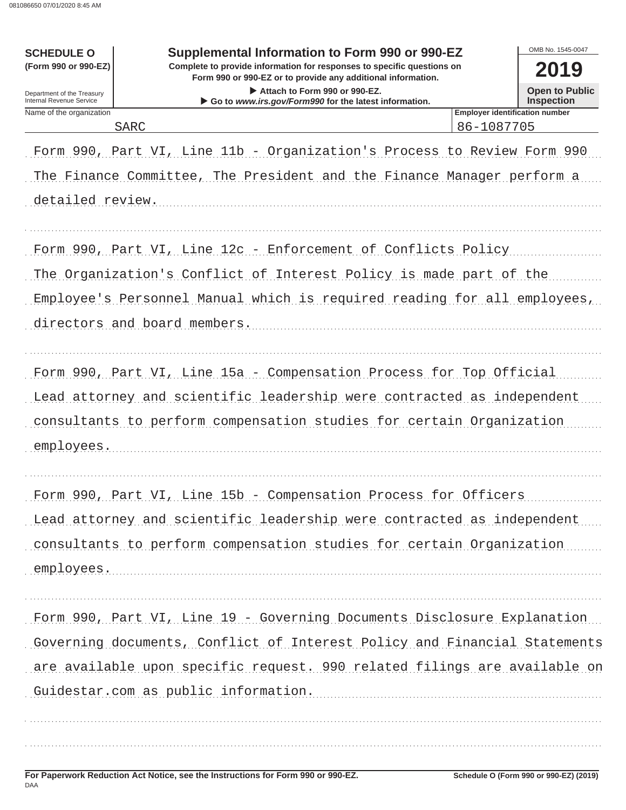| <b>SCHEDULE O</b><br>(Form 990 or 990-EZ)              | Supplemental Information to Form 990 or 990-EZ<br>Complete to provide information for responses to specific questions on<br>Form 990 or 990-EZ or to provide any additional information. |                                                     | OMB No. 1545-0047<br>2019                  |
|--------------------------------------------------------|------------------------------------------------------------------------------------------------------------------------------------------------------------------------------------------|-----------------------------------------------------|--------------------------------------------|
| Department of the Treasury<br>Internal Revenue Service | Attach to Form 990 or 990-EZ.<br>Go to www.irs.gov/Form990 for the latest information.                                                                                                   |                                                     | <b>Open to Public</b><br><b>Inspection</b> |
| Name of the organization                               | <b>SARC</b>                                                                                                                                                                              | <b>Employer identification number</b><br>86-1087705 |                                            |
|                                                        | Form 990, Part VI, Line 11b - Organization's Process to Review Form 990                                                                                                                  |                                                     |                                            |
|                                                        | The Finance Committee, The President and the Finance Manager perform a                                                                                                                   |                                                     |                                            |
| detailed review.                                       |                                                                                                                                                                                          |                                                     |                                            |
|                                                        |                                                                                                                                                                                          |                                                     |                                            |
|                                                        | Form 990, Part VI, Line 12c - Enforcement of Conflicts Policy                                                                                                                            |                                                     |                                            |
|                                                        | The Organization's Conflict of Interest Policy is made part of the                                                                                                                       |                                                     |                                            |
|                                                        | Employee's Personnel Manual which is required reading for all employees,                                                                                                                 |                                                     |                                            |
|                                                        | directors and board members.                                                                                                                                                             |                                                     |                                            |
|                                                        |                                                                                                                                                                                          |                                                     |                                            |
|                                                        | Form 990, Part VI, Line 15a - Compensation Process for Top Official                                                                                                                      |                                                     |                                            |
|                                                        | Lead attorney and scientific leadership were contracted as independent                                                                                                                   |                                                     |                                            |
|                                                        | consultants to perform compensation studies for certain Organization                                                                                                                     |                                                     |                                            |
| employees.                                             |                                                                                                                                                                                          |                                                     |                                            |
|                                                        |                                                                                                                                                                                          |                                                     |                                            |
|                                                        | Form 990, Part VI, Line 15b - Compensation Process for Officers                                                                                                                          |                                                     |                                            |
|                                                        | Lead attorney and scientific leadership were contracted as independent                                                                                                                   |                                                     |                                            |
|                                                        | consultants to perform compensation studies for certain Organization                                                                                                                     |                                                     |                                            |
| employees.                                             |                                                                                                                                                                                          |                                                     |                                            |
|                                                        | Form 990, Part VI, Line 19 - Governing Documents Disclosure Explanation                                                                                                                  |                                                     |                                            |
|                                                        | Governing documents, Conflict of Interest Policy and Financial Statements                                                                                                                |                                                     |                                            |
|                                                        | are available upon specific request. 990 related filings are available on                                                                                                                |                                                     |                                            |
|                                                        | Guidestar.com as public information.                                                                                                                                                     |                                                     |                                            |
|                                                        |                                                                                                                                                                                          |                                                     |                                            |
|                                                        |                                                                                                                                                                                          |                                                     |                                            |
|                                                        |                                                                                                                                                                                          |                                                     |                                            |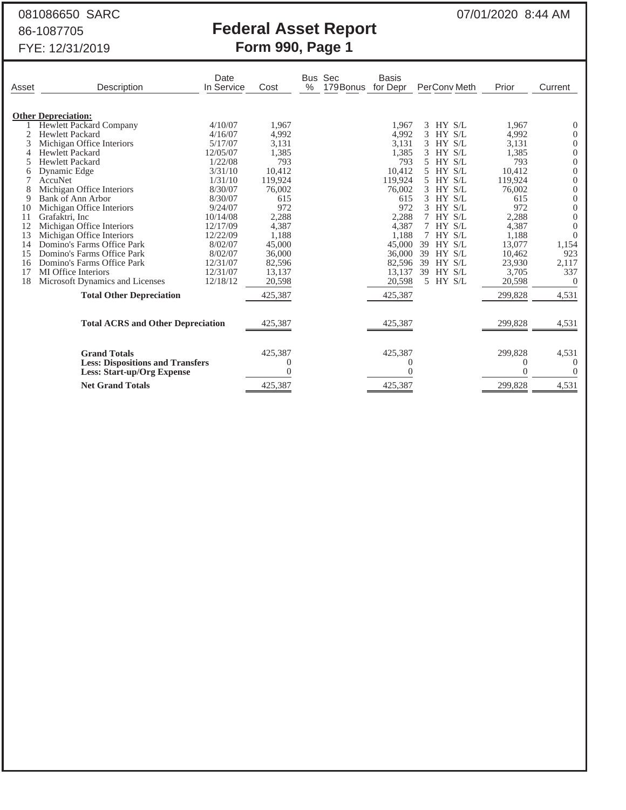# 081086650 SARC 07/01/2020 8:44 AM 86-1087705 **Federal Asset Report**

|       | 00-1007700<br>FYE: 12/31/2019            |                    |         | ו טעטועו הטטטר ווטףטונ<br>Form 990, Page 1 |                          |              |         |              |
|-------|------------------------------------------|--------------------|---------|--------------------------------------------|--------------------------|--------------|---------|--------------|
| Asset | Description                              | Date<br>In Service | Cost    | Bus Sec<br>179Bonus<br>$\%$                | <b>Basis</b><br>for Depr | PerCony Meth | Prior   | Current      |
|       | <b>Other Depreciation:</b>               |                    |         |                                            |                          |              |         |              |
|       | <b>Hewlett Packard Company</b>           | 4/10/07            | 1,967   |                                            | 1.967                    | $3$ HY $S/L$ | 1,967   | O            |
|       | <b>Hewlett Packard</b>                   | 4/16/07            | 4,992   |                                            | 4,992                    | 3<br>HY S/L  | 4,992   |              |
|       | Michigan Office Interiors                | 5/17/07            | 3,131   |                                            | 3,131                    | 3 HY S/L     | 3,131   | 0            |
|       | <b>Hewlett Packard</b>                   | 12/05/07           | 1,385   |                                            | 1,385                    | 3 HY S/L     | 1,385   | 0            |
|       | <b>Hewlett Packard</b>                   | 1/22/08            | 793     |                                            | 793                      | 5 HY S/L     | 793     | 0            |
| 6     | Dynamic Edge                             | 3/31/10            | 10,412  |                                            | 10,412                   | 5 HY S/L     | 10,412  |              |
|       | AccuNet                                  | 1/31/10            | 119,924 |                                            | 119,924                  | 5 HY S/L     | 119,924 |              |
| 8     | Michigan Office Interiors                | 8/30/07            | 76,002  |                                            | 76,002                   | 3<br>HY S/L  | 76,002  |              |
| 9     | Bank of Ann Arbor                        | 8/30/07            | 615     |                                            | 615                      | $3$ HY $S/L$ | 615     | 0            |
| 10    | Michigan Office Interiors                | 9/24/07            | 972     |                                            | 972                      | HY S/L<br>3  | 972     | 0            |
| 11    | Grafaktri, Inc                           | 10/14/08           | 2,288   |                                            | 2,288                    | HY S/L<br>7  | 2,288   |              |
| 12    | Michigan Office Interiors                | 12/17/09           | 4,387   |                                            | 4,387                    | 7 HY S/L     | 4,387   |              |
| 13    | Michigan Office Interiors                | 12/22/09           | 1,188   |                                            | 1,188                    | 7 HY S/L     | 1,188   | $\mathbf{0}$ |
| 14    | Domino's Farms Office Park               | 8/02/07            | 45,000  |                                            | 45,000                   | 39 HY S/L    | 13,077  | 1,154        |
| 15    | Domino's Farms Office Park               | 8/02/07            | 36,000  |                                            | 36,000                   | 39<br>HY S/L | 10,462  | 923          |
| 16    | Domino's Farms Office Park               | 12/31/07           | 82,596  |                                            | 82,596                   | 39 HY S/L    | 23,930  | 2,117        |
| 17    | <b>MI</b> Office Interiors               | 12/31/07           | 13,137  |                                            | 13,137                   | 39 HY S/L    | 3,705   | 337          |
| 18    | Microsoft Dynamics and Licenses          | 12/18/12           | 20,598  |                                            | 20,598                   | 5 HY S/L     | 20,598  | 0            |
|       | <b>Total Other Depreciation</b>          |                    | 425,387 |                                            | 425,387                  |              | 299,828 | 4,531        |
|       | <b>Total ACRS and Other Depreciation</b> |                    | 425,387 |                                            | 425,387                  |              | 299,828 | 4,531        |

| <b>Grand Totals</b>                     | 425.387 | 425,387 | 299,828 | 4,531 |
|-----------------------------------------|---------|---------|---------|-------|
| <b>Less: Dispositions and Transfers</b> |         |         |         |       |
| <b>Less: Start-up/Org Expense</b>       |         |         |         |       |
| <b>Net Grand Totals</b>                 | 425,387 | 425,387 | 299,828 | 4.531 |
|                                         |         |         |         |       |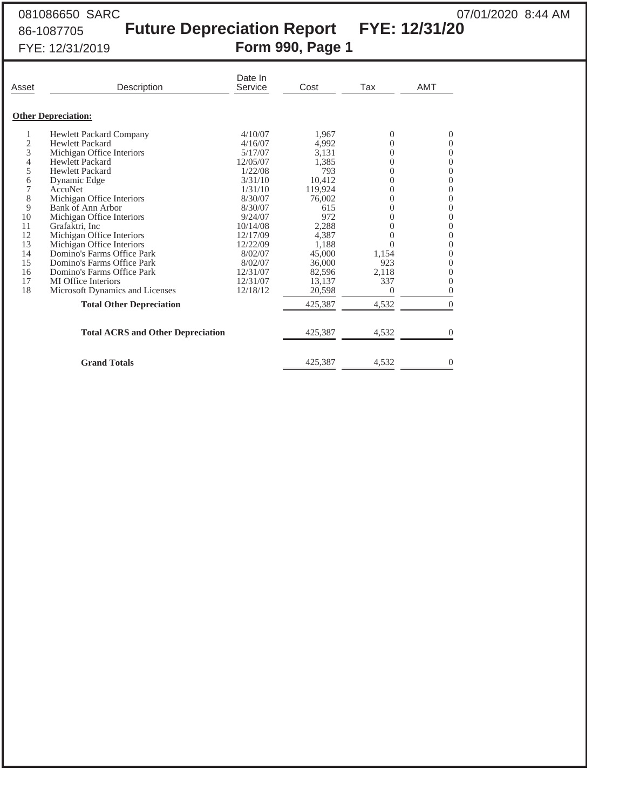## 081086650 SARC 081086650 SARC 07/01/2020 8:44 AM 86-1087705 **Future Depreciation Report FYE: 12/31/20** FYE: 12/31/2019 **Form 990, Page 1**

| Asset                                                        | Description                                                                                                                                                                                                                                                                                                        | Date In<br>Service                                                                                                          | Cost                                                                                              | Tax                                                                    | <b>AMT</b>                                                                                  |
|--------------------------------------------------------------|--------------------------------------------------------------------------------------------------------------------------------------------------------------------------------------------------------------------------------------------------------------------------------------------------------------------|-----------------------------------------------------------------------------------------------------------------------------|---------------------------------------------------------------------------------------------------|------------------------------------------------------------------------|---------------------------------------------------------------------------------------------|
|                                                              | <b>Other Depreciation:</b>                                                                                                                                                                                                                                                                                         |                                                                                                                             |                                                                                                   |                                                                        |                                                                                             |
| 1<br>2<br>3<br>4<br>5<br>6<br>7                              | <b>Hewlett Packard Company</b><br><b>Hewlett Packard</b><br>Michigan Office Interiors<br><b>Hewlett Packard</b><br><b>Hewlett Packard</b><br>Dynamic Edge<br>AccuNet                                                                                                                                               | 4/10/07<br>4/16/07<br>5/17/07<br>12/05/07<br>1/22/08<br>3/31/10<br>1/31/10                                                  | 1,967<br>4,992<br>3,131<br>1,385<br>793<br>10,412<br>119,924                                      | $\Omega$<br>0<br>0<br>$\overline{0}$<br>0<br>0<br>0                    | $\Omega$<br>0<br>0<br>0<br>$\overline{0}$<br>0<br>$\overline{0}$                            |
| 8<br>9<br>10<br>11<br>12<br>13<br>14<br>15<br>16<br>17<br>18 | Michigan Office Interiors<br>Bank of Ann Arbor<br>Michigan Office Interiors<br>Grafaktri, Inc<br>Michigan Office Interiors<br>Michigan Office Interiors<br>Domino's Farms Office Park<br>Domino's Farms Office Park<br>Domino's Farms Office Park<br><b>MI</b> Office Interiors<br>Microsoft Dynamics and Licenses | 8/30/07<br>8/30/07<br>9/24/07<br>10/14/08<br>12/17/09<br>12/22/09<br>8/02/07<br>8/02/07<br>12/31/07<br>12/31/07<br>12/18/12 | 76,002<br>615<br>972<br>2,288<br>4,387<br>1,188<br>45,000<br>36,000<br>82,596<br>13,137<br>20,598 | 0<br>0<br>0<br>0<br>0<br>0<br>1,154<br>923<br>2,118<br>337<br>$\Omega$ | $\theta$<br>0<br>0<br>$\overline{0}$<br>$\Omega$<br>0<br>0<br>0<br>0<br>0<br>$\overline{0}$ |
|                                                              | <b>Total Other Depreciation</b><br><b>Total ACRS and Other Depreciation</b><br><b>Grand Totals</b>                                                                                                                                                                                                                 |                                                                                                                             | 425,387<br>425,387<br>425,387                                                                     | 4,532<br>4,532<br>4,532                                                | $\Omega$<br>0<br>0                                                                          |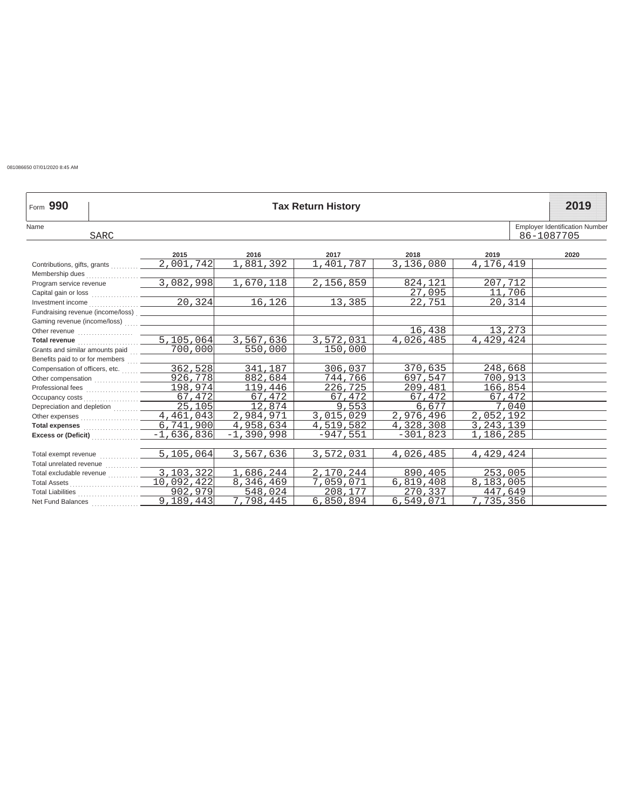081086650 07/01/2020 8:45 AM

| Form 990                                            |                     |              | <b>Tax Return History</b> |            |             | 2019                                  |
|-----------------------------------------------------|---------------------|--------------|---------------------------|------------|-------------|---------------------------------------|
| Name                                                |                     |              |                           |            |             | <b>Employer Identification Number</b> |
| <b>SARC</b>                                         |                     |              |                           |            |             | 86-1087705                            |
|                                                     | 2015                | 2016         | 2017                      | 2018       | 2019        | 2020                                  |
|                                                     | 2,001,742           | 881,392      | 401,787                   | 3,136,080  | 4,176,419   |                                       |
|                                                     |                     |              |                           |            |             |                                       |
| Program service revenue                             | 3,082,998           | 1,670,118    | 2,156,859                 | 824.121    | 207.712     |                                       |
|                                                     |                     |              |                           | 27,095     | 11,706      |                                       |
| Investment income $\overline{\qquad \qquad 20,324}$ |                     | 16,126       | 13,385                    | 22,751     | 20,314      |                                       |
|                                                     |                     |              |                           |            |             |                                       |
|                                                     |                     |              |                           |            |             |                                       |
|                                                     |                     |              |                           | 16,438     | 13,273      |                                       |
|                                                     |                     | 3,567,636    | 3,572,031                 | 4,026,485  | 4,429,424   |                                       |
| Grants and similar amounts paid  _______            | 700,000             | 550,000      | 150,000                   |            |             |                                       |
| Benefits paid to or for members  ______             |                     |              |                           |            |             |                                       |
|                                                     | 362,528             | 341,187      | 306,037                   | 370,635    | 248,668     |                                       |
|                                                     | 926,778             | 882,684      | 744,766                   | 697,547    | 700,913     |                                       |
|                                                     |                     | 119,446      | 226,725                   | 209,481    | 166,854     |                                       |
|                                                     | 67,472              | 67,472       | 67,472                    | 67,472     | 67,472      |                                       |
| Depreciation and depletion                          | $\overline{25,105}$ | 12,874       | 9,553                     | 6,677      | 7,040       |                                       |
|                                                     | 4,461,043           | 2,984,971    | 3,015,029                 | 2,976,496  | 2,052,192   |                                       |
|                                                     | 6,741,900           | 4,958,634    | 4,519,582                 | 4,328,308  | 3, 243, 139 |                                       |
|                                                     | $-1,636,836$        | $-1,390,998$ | $-947.551$                | $-301,823$ | 1,186,285   |                                       |
|                                                     |                     |              |                           |            |             |                                       |
| Total exempt revenue <b>contained</b>               | 5,105,064           | 3,567,636    | 3,572,031                 | 4,026,485  | 4,429,424   |                                       |
|                                                     |                     |              |                           |            |             |                                       |
| Total excludable revenue                            | 3,103,322           | 1,686,244    | 2,170,244                 | 890,405    | 253,005     |                                       |
|                                                     | 10,092,422          | 8,346,469    | 7,059,071                 | 6,819,408  | 8,183,005   |                                       |
|                                                     | 902,979             | 548,024      | 208,177                   | 270,337    | 447,649     |                                       |
|                                                     | 9,189,443           | 7,798,445    | 6,850,894                 | 6,549,071  | 7,735,356   |                                       |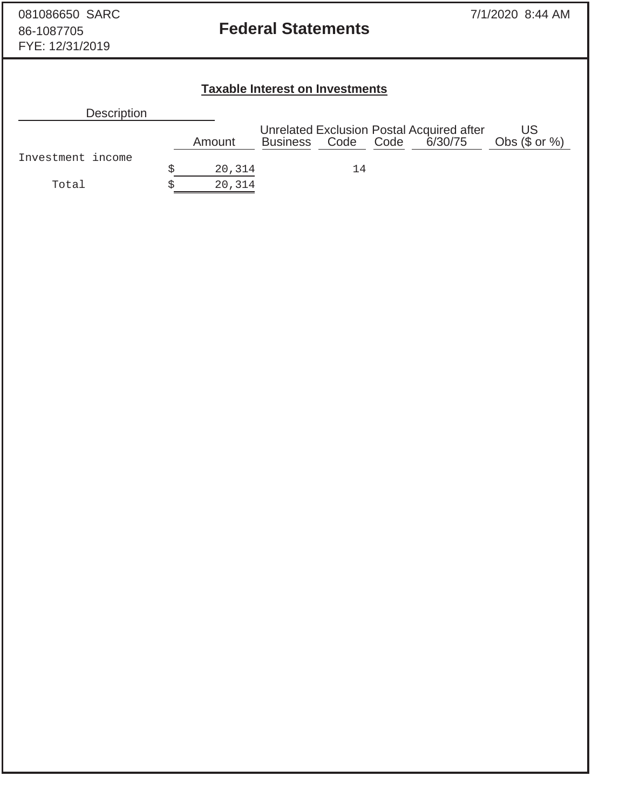# 86-1087705 **Federal Statements**

## **Taxable Interest on Investments**

| <b>Description</b> |        |                    |    |                                                      |                        |
|--------------------|--------|--------------------|----|------------------------------------------------------|------------------------|
|                    | Amount | Business Code Code |    | Unrelated Exclusion Postal Acquired after<br>6/30/75 | US<br>Obs $(\$$ or $%$ |
| Investment income  | 20,314 |                    | 14 |                                                      |                        |
| Total              | 20,314 |                    |    |                                                      |                        |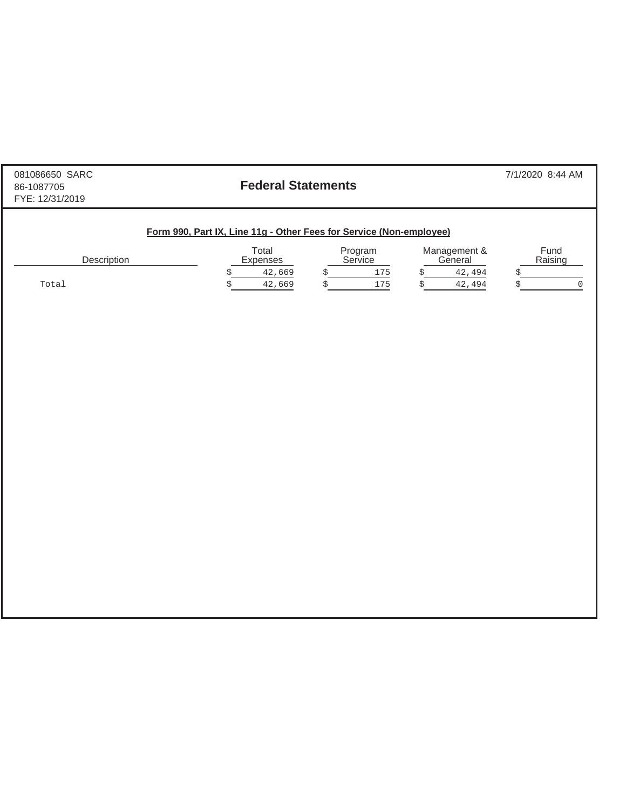| 081086650 SARC<br>86-1087705<br>FYE: 12/31/2019 | <b>Federal Statements</b>                                           |                        |                              | 7/1/2020 8:44 AM        |
|-------------------------------------------------|---------------------------------------------------------------------|------------------------|------------------------------|-------------------------|
|                                                 | Form 990, Part IX, Line 11g - Other Fees for Service (Non-employee) |                        |                              |                         |
| Description                                     | Total<br>Expenses                                                   | Program<br>Service     | Management &<br>General      | Fund<br>Raising         |
| Total                                           | 42,669<br>\$<br>\$<br>42,669                                        | 175<br>\$<br>\$<br>175 | 42,494<br>\$<br>\$<br>42,494 | \$<br>\$<br>$\mathsf 0$ |
|                                                 |                                                                     |                        |                              |                         |
|                                                 |                                                                     |                        |                              |                         |
|                                                 |                                                                     |                        |                              |                         |
|                                                 |                                                                     |                        |                              |                         |
|                                                 |                                                                     |                        |                              |                         |
|                                                 |                                                                     |                        |                              |                         |
|                                                 |                                                                     |                        |                              |                         |
|                                                 |                                                                     |                        |                              |                         |
|                                                 |                                                                     |                        |                              |                         |
|                                                 |                                                                     |                        |                              |                         |
|                                                 |                                                                     |                        |                              |                         |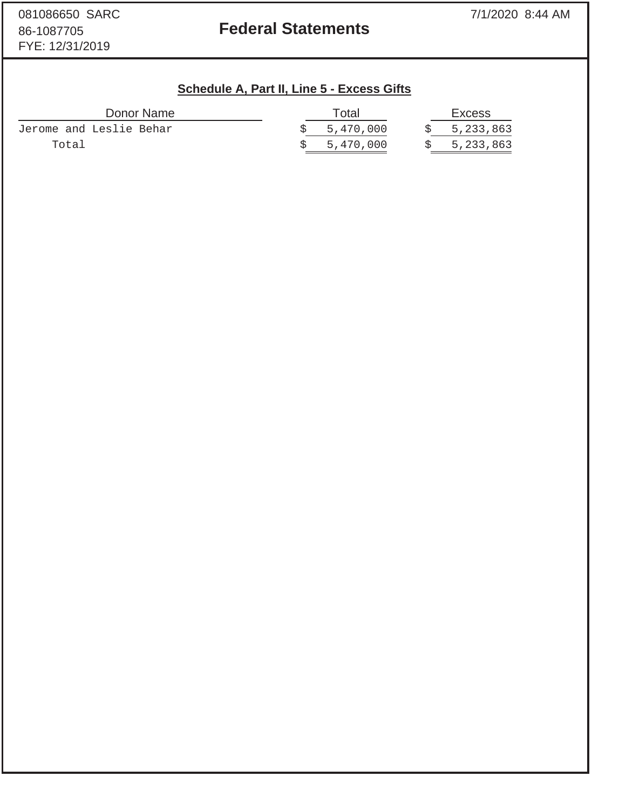## 86-1087705 **Federal Statements**

# **Schedule A, Part II, Line 5 - Excess Gifts**

| Donor Name              | Total       | <b>Excess</b> |
|-------------------------|-------------|---------------|
| Jerome and Leslie Behar | \$5,470,000 | \$5,233,863   |
| Total                   | 5,470,000   | 5,233,863     |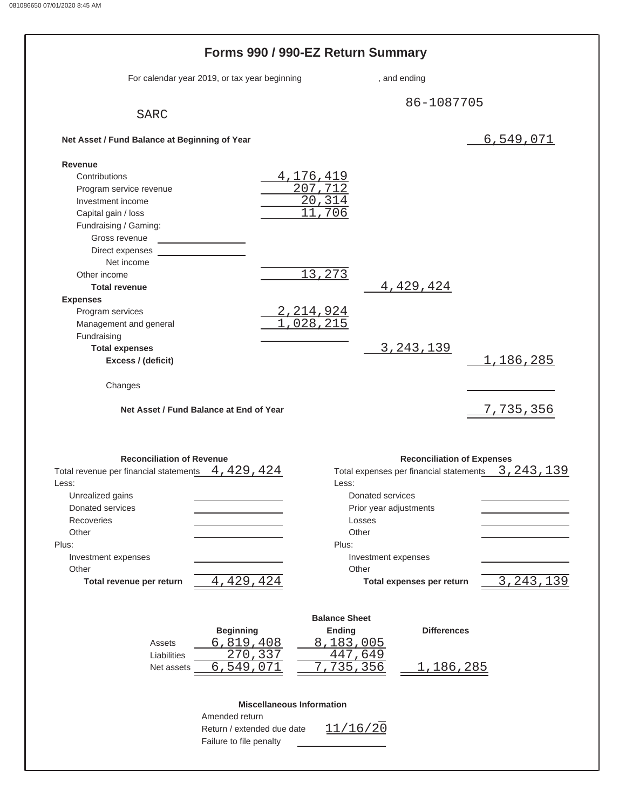|                                                    | Forms 990 / 990-EZ Return Summary             |                               |                                   |                                                                    |
|----------------------------------------------------|-----------------------------------------------|-------------------------------|-----------------------------------|--------------------------------------------------------------------|
|                                                    | For calendar year 2019, or tax year beginning |                               | , and ending                      |                                                                    |
| <b>SARC</b>                                        |                                               |                               | 86-1087705                        |                                                                    |
| Net Asset / Fund Balance at Beginning of Year      |                                               |                               |                                   | 6,549,071                                                          |
|                                                    |                                               |                               |                                   |                                                                    |
| Revenue<br>Contributions                           |                                               | 4,176,419                     |                                   |                                                                    |
| Program service revenue                            |                                               | 207,712                       |                                   |                                                                    |
| Investment income                                  |                                               | $\overline{20, 314}$          |                                   |                                                                    |
| Capital gain / loss                                |                                               | ,706                          |                                   |                                                                    |
| Fundraising / Gaming:                              |                                               |                               |                                   |                                                                    |
| Gross revenue                                      |                                               |                               |                                   |                                                                    |
| Direct expenses                                    |                                               |                               |                                   |                                                                    |
| Net income                                         |                                               |                               |                                   |                                                                    |
| Other income                                       |                                               | 13,273                        |                                   |                                                                    |
| <b>Total revenue</b>                               |                                               |                               | 4,429,424                         |                                                                    |
| <b>Expenses</b>                                    |                                               |                               |                                   |                                                                    |
| Program services                                   |                                               |                               |                                   |                                                                    |
| Management and general                             |                                               | <u>2,214,924</u><br>1,028,215 |                                   |                                                                    |
| Fundraising                                        |                                               |                               |                                   |                                                                    |
| <b>Total expenses</b>                              |                                               |                               | 3, 243, 139                       |                                                                    |
| Excess / (deficit)                                 |                                               |                               |                                   | 1, 186, 285                                                        |
|                                                    |                                               |                               |                                   |                                                                    |
| Changes                                            | Net Asset / Fund Balance at End of Year       |                               |                                   | 7,735,356                                                          |
|                                                    |                                               |                               |                                   |                                                                    |
| <b>Reconciliation of Revenue</b>                   |                                               |                               | <b>Reconciliation of Expenses</b> |                                                                    |
| Total revenue per financial statements 4, 429, 424 |                                               |                               |                                   |                                                                    |
| Less:                                              |                                               | Less:                         |                                   |                                                                    |
| Unrealized gains                                   |                                               | Donated services              |                                   |                                                                    |
| Donated services                                   |                                               | Prior year adjustments        |                                   |                                                                    |
| Recoveries                                         |                                               | Losses                        |                                   |                                                                    |
| Other                                              |                                               | Other                         |                                   |                                                                    |
| Plus:                                              |                                               | Plus:                         |                                   |                                                                    |
| Investment expenses                                |                                               | Investment expenses           |                                   |                                                                    |
| Other                                              |                                               | Other                         |                                   |                                                                    |
| Total revenue per return                           | 4,429,424                                     |                               | Total expenses per return         |                                                                    |
|                                                    |                                               | <b>Balance Sheet</b>          |                                   |                                                                    |
|                                                    | <b>Beginning</b>                              | <b>Ending</b>                 | <b>Differences</b>                |                                                                    |
| Assets                                             | 6,819,408                                     | 8,183,005                     |                                   |                                                                    |
| Liabilities                                        | $\overline{270}$ , 337                        | 447,649                       |                                   |                                                                    |
| Net assets                                         | 6,549,071                                     | 735,356                       | <u>1,186,285</u>                  |                                                                    |
|                                                    | <b>Miscellaneous Information</b>              |                               |                                   |                                                                    |
|                                                    | Amended return                                |                               |                                   |                                                                    |
|                                                    | Return / extended due date                    | 11/16/20                      |                                   | Total expenses per financial statements 3, 243, 139<br>3, 243, 139 |